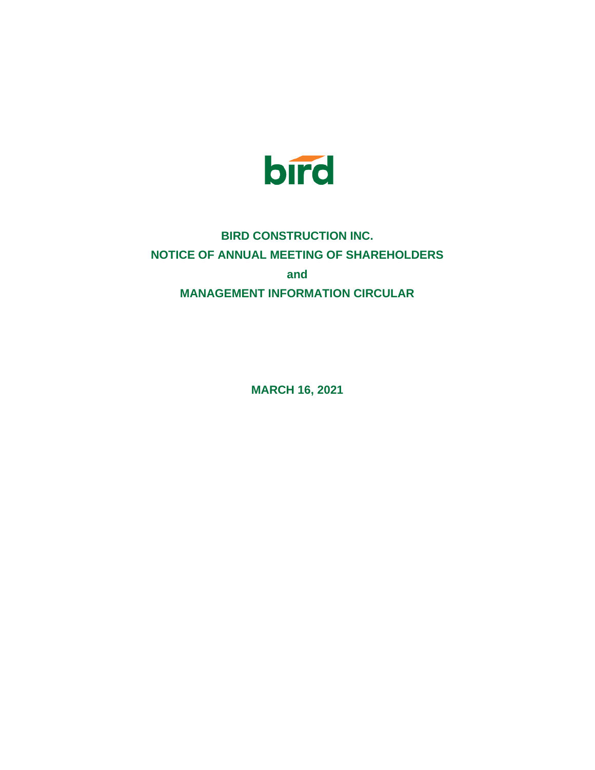

## **BIRD CONSTRUCTION INC. NOTICE OF ANNUAL MEETING OF SHAREHOLDERS and MANAGEMENT INFORMATION CIRCULAR**

**MARCH 16, 2021**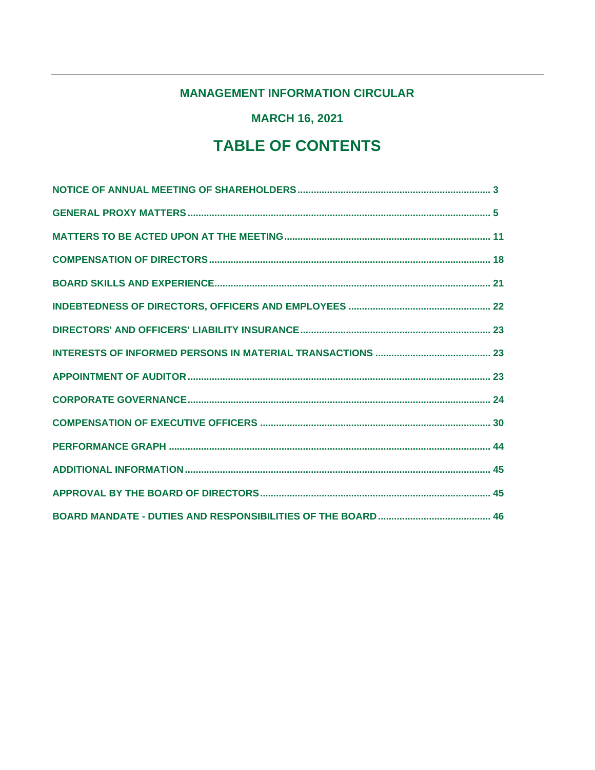### **MANAGEMENT INFORMATION CIRCULAR**

**MARCH 16, 2021** 

# **TABLE OF CONTENTS**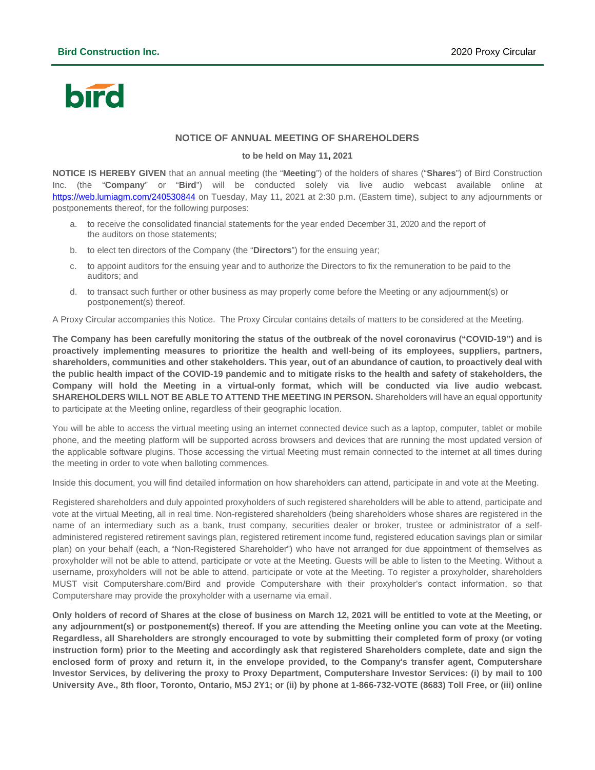# bird

### **NOTICE OF ANNUAL MEETING OF SHAREHOLDERS**

#### **to be held on May 11, 2021**

<span id="page-2-0"></span>**NOTICE IS HEREBY GIVEN** that an annual meeting (the "**Meeting**") of the holders of shares ("**Shares**") of Bird Construction Inc. (the "**Company**" or "**Bird**") will be conducted solely via live audio webcast available online at <https://web.lumiagm.com/240530844> on Tuesday, May 11, 2021 at 2:30 p.m. (Eastern time), subject to any adjournments or postponements thereof, for the following purposes:

- a. to receive the consolidated financial statements for the year ended December 31, 2020 and the report of the auditors on those statements;
- b. to elect ten directors of the Company (the "**Directors**") for the ensuing year;
- c. to appoint auditors for the ensuing year and to authorize the Directors to fix the remuneration to be paid to the auditors; and
- d. to transact such further or other business as may properly come before the Meeting or any adjournment(s) or postponement(s) thereof.

A Proxy Circular accompanies this Notice. The Proxy Circular contains details of matters to be considered at the Meeting.

**The Company has been carefully monitoring the status of the outbreak of the novel coronavirus ("COVID-19") and is proactively implementing measures to prioritize the health and well-being of its employees, suppliers, partners, shareholders, communities and other stakeholders. This year, out of an abundance of caution, to proactively deal with the public health impact of the COVID-19 pandemic and to mitigate risks to the health and safety of stakeholders, the Company will hold the Meeting in a virtual-only format, which will be conducted via live audio webcast. SHAREHOLDERS WILL NOT BE ABLE TO ATTEND THE MEETING IN PERSON.** Shareholders will have an equal opportunity to participate at the Meeting online, regardless of their geographic location.

You will be able to access the virtual meeting using an internet connected device such as a laptop, computer, tablet or mobile phone, and the meeting platform will be supported across browsers and devices that are running the most updated version of the applicable software plugins. Those accessing the virtual Meeting must remain connected to the internet at all times during the meeting in order to vote when balloting commences.

Inside this document, you will find detailed information on how shareholders can attend, participate in and vote at the Meeting.

Registered shareholders and duly appointed proxyholders of such registered shareholders will be able to attend, participate and vote at the virtual Meeting, all in real time. Non-registered shareholders (being shareholders whose shares are registered in the name of an intermediary such as a bank, trust company, securities dealer or broker, trustee or administrator of a selfadministered registered retirement savings plan, registered retirement income fund, registered education savings plan or similar plan) on your behalf (each, a "Non-Registered Shareholder") who have not arranged for due appointment of themselves as proxyholder will not be able to attend, participate or vote at the Meeting. Guests will be able to listen to the Meeting. Without a username, proxyholders will not be able to attend, participate or vote at the Meeting. To register a proxyholder, shareholders MUST visit Computershare.com/Bird and provide Computershare with their proxyholder's contact information, so that Computershare may provide the proxyholder with a username via email.

**Only holders of record of Shares at the close of business on March 12, 2021 will be entitled to vote at the Meeting, or any adjournment(s) or postponement(s) thereof. If you are attending the Meeting online you can vote at the Meeting. Regardless, all Shareholders are strongly encouraged to vote by submitting their completed form of proxy (or voting instruction form) prior to the Meeting and accordingly ask that registered Shareholders complete, date and sign the enclosed form of proxy and return it, in the envelope provided, to the Company's transfer agent, Computershare Investor Services, by delivering the proxy to Proxy Department, Computershare Investor Services: (i) by mail to 100 University Ave., 8th floor, Toronto, Ontario, M5J 2Y1; or (ii) by phone at 1-866-732-VOTE (8683) Toll Free, or (iii) online**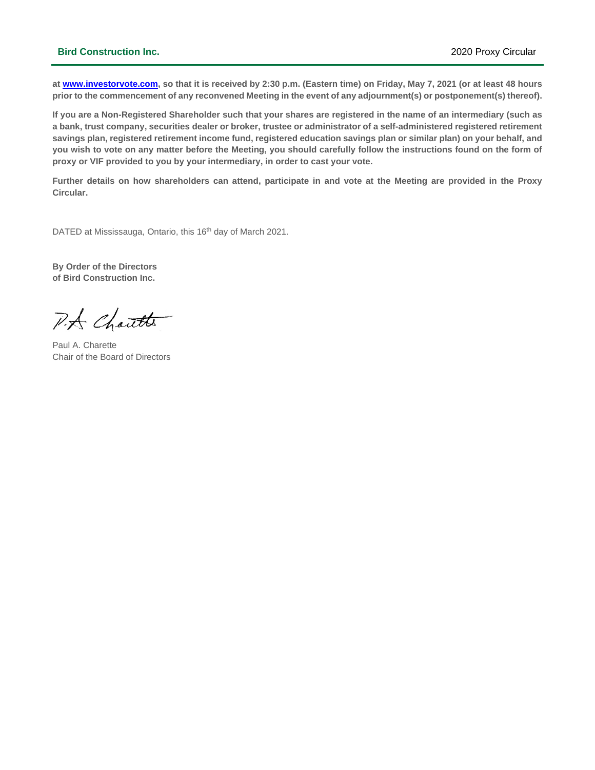### **Bird Construction Inc.** 2020 Proxy Circular

**a[t www.investorvote.com,](http://www.investorvote.com/) so that it is received by 2:30 p.m. (Eastern time) on Friday, May 7, 2021 (or at least 48 hours prior to the commencement of any reconvened Meeting in the event of any adjournment(s) or postponement(s) thereof).**

**If you are a Non-Registered Shareholder such that your shares are registered in the name of an intermediary (such as a bank, trust company, securities dealer or broker, trustee or administrator of a self-administered registered retirement savings plan, registered retirement income fund, registered education savings plan or similar plan) on your behalf, and you wish to vote on any matter before the Meeting, you should carefully follow the instructions found on the form of proxy or VIF provided to you by your intermediary, in order to cast your vote.**

**Further details on how shareholders can attend, participate in and vote at the Meeting are provided in the Proxy Circular.**

DATED at Mississauga, Ontario, this 16<sup>th</sup> day of March 2021.

**By Order of the Directors of Bird Construction Inc.**

P.A Chautts

Paul A. Charette Chair of the Board of Directors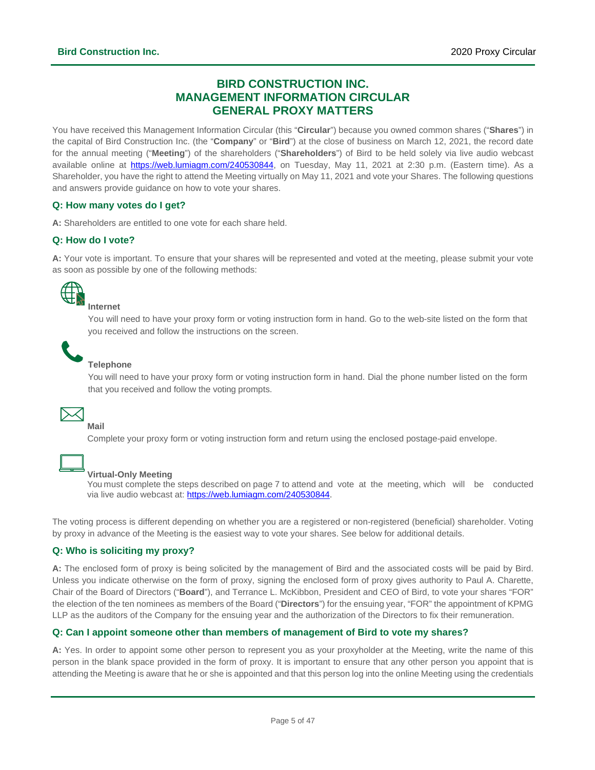### **BIRD CONSTRUCTION INC. MANAGEMENT INFORMATION CIRCULAR GENERAL PROXY MATTERS**

<span id="page-4-0"></span>You have received this Management Information Circular (this "**Circular**") because you owned common shares ("**Shares**") in the capital of Bird Construction Inc. (the "**Company**" or "**Bird**") at the close of business on March 12, 2021, the record date for the annual meeting ("**Meeting**") of the shareholders ("**Shareholders**") of Bird to be held solely via live audio webcast available online at [https://web.lumiagm.com/240530844,](https://web.lumiagm.com/240530844) on Tuesday, May 11, 2021 at 2:30 p.m. (Eastern time). As a Shareholder, you have the right to attend the Meeting virtually on May 11, 2021 and vote your Shares. The following questions and answers provide guidance on how to vote your shares.

### **Q: How many votes do I get?**

**A:** Shareholders are entitled to one vote for each share held.

### **Q: How do I vote?**

**A:** Your vote is important. To ensure that your shares will be represented and voted at the meeting, please submit your vote as soon as possible by one of the following methods:



### **Internet**

You will need to have your proxy form or voting instruction form in hand. Go to the web-site listed on the form that you received and follow the instructions on the screen.



### **Telephone**

You will need to have your proxy form or voting instruction form in hand. Dial the phone number listed on the form that you received and follow the voting prompts.



### **Mail**

Complete your proxy form or voting instruction form and return using the enclosed postage-paid envelope.



### **Virtual-Only Meeting**

You must complete the steps described on page 7 to attend and vote at the meeting, which will be conducted via live audio webcast at: [https://web.lumiagm.com/240530844.](https://web.lumiagm.com/240530844)

The voting process is different depending on whether you are a registered or non-registered (beneficial) shareholder. Voting by proxy in advance of the Meeting is the easiest way to vote your shares. See below for additional details.

### **Q: Who is soliciting my proxy?**

**A:** The enclosed form of proxy is being solicited by the management of Bird and the associated costs will be paid by Bird. Unless you indicate otherwise on the form of proxy, signing the enclosed form of proxy gives authority to Paul A. Charette, Chair of the Board of Directors ("**Board**"), and Terrance L. McKibbon, President and CEO of Bird, to vote your shares "FOR" the election of the ten nominees as members of the Board ("**Directors**") for the ensuing year, "FOR" the appointment of KPMG LLP as the auditors of the Company for the ensuing year and the authorization of the Directors to fix their remuneration.

### **Q: Can I appoint someone other than members of management of Bird to vote my shares?**

**A:** Yes. In order to appoint some other person to represent you as your proxyholder at the Meeting, write the name of this person in the blank space provided in the form of proxy. It is important to ensure that any other person you appoint that is attending the Meeting is aware that he or she is appointed and that this person log into the online Meeting using the credentials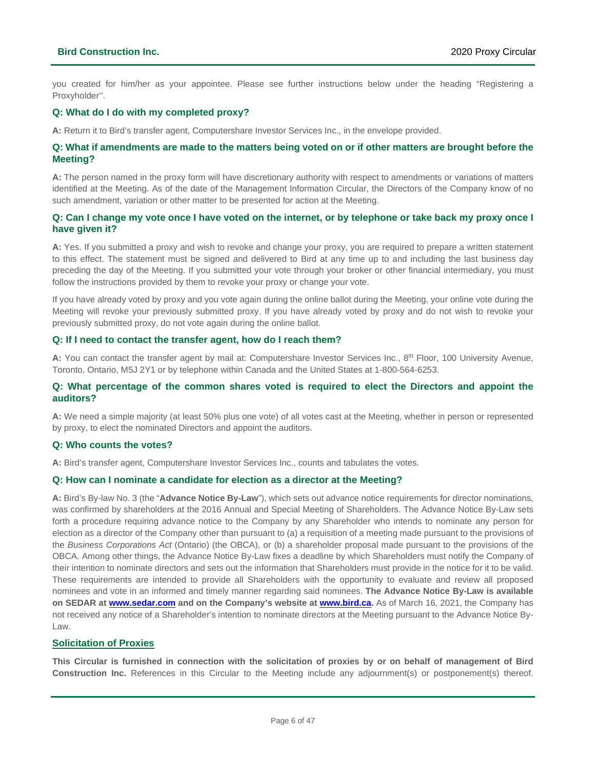you created for him/her as your appointee. Please see further instructions below under the heading "Registering a Proxyholder''.

### **Q: What do I do with my completed proxy?**

**A:** Return it to Bird's transfer agent, Computershare Investor Services Inc., in the envelope provided.

### **Q: What if amendments are made to the matters being voted on or if other matters are brought before the Meeting?**

**A:** The person named in the proxy form will have discretionary authority with respect to amendments or variations of matters identified at the Meeting. As of the date of the Management Information Circular, the Directors of the Company know of no such amendment, variation or other matter to be presented for action at the Meeting.

### **Q: Can I change my vote once I have voted on the internet, or by telephone or take back my proxy once I have given it?**

**A:** Yes. If you submitted a proxy and wish to revoke and change your proxy, you are required to prepare a written statement to this effect. The statement must be signed and delivered to Bird at any time up to and including the last business day preceding the day of the Meeting. If you submitted your vote through your broker or other financial intermediary, you must follow the instructions provided by them to revoke your proxy or change your vote.

If you have already voted by proxy and you vote again during the online ballot during the Meeting, your online vote during the Meeting will revoke your previously submitted proxy. If you have already voted by proxy and do not wish to revoke your previously submitted proxy, do not vote again during the online ballot.

### **Q: If I need to contact the transfer agent, how do I reach them?**

A: You can contact the transfer agent by mail at: Computershare Investor Services Inc., 8<sup>th</sup> Floor, 100 University Avenue, Toronto, Ontario, M5J 2Y1 or by telephone within Canada and the United States at 1-800-564-6253.

### **Q: What percentage of the common shares voted is required to elect the Directors and appoint the auditors?**

**A:** We need a simple majority (at least 50% plus one vote) of all votes cast at the Meeting, whether in person or represented by proxy, to elect the nominated Directors and appoint the auditors.

### **Q: Who counts the votes?**

**A:** Bird's transfer agent, Computershare Investor Services Inc., counts and tabulates the votes.

### **Q: How can I nominate a candidate for election as a director at the Meeting?**

**A:** Bird's By-law No. 3 (the "**Advance Notice By-Law**"), which sets out advance notice requirements for director nominations, was confirmed by shareholders at the 2016 Annual and Special Meeting of Shareholders. The Advance Notice By-Law sets forth a procedure requiring advance notice to the Company by any Shareholder who intends to nominate any person for election as a director of the Company other than pursuant to (a) a requisition of a meeting made pursuant to the provisions of the *Business Corporations Act* (Ontario) (the OBCA), or (b) a shareholder proposal made pursuant to the provisions of the OBCA. Among other things, the Advance Notice By-Law fixes a deadline by which Shareholders must notify the Company of their intention to nominate directors and sets out the information that Shareholders must provide in the notice for it to be valid. These requirements are intended to provide all Shareholders with the opportunity to evaluate and review all proposed nominees and vote in an informed and timely manner regarding said nominees. **The Advance Notice By-Law is available on SEDAR at [www.sedar.com](http://www.sedar.com/) and on the Company's website at [www.bird.ca.](http://www.bird.ca/)** As of March 16, 2021, the Company has not received any notice of a Shareholder's intention to nominate directors at the Meeting pursuant to the Advance Notice By-Law.

### **Solicitation of Proxies**

**This Circular is furnished in connection with the solicitation of proxies by or on behalf of management of Bird Construction Inc.** References in this Circular to the Meeting include any adjournment(s) or postponement(s) thereof.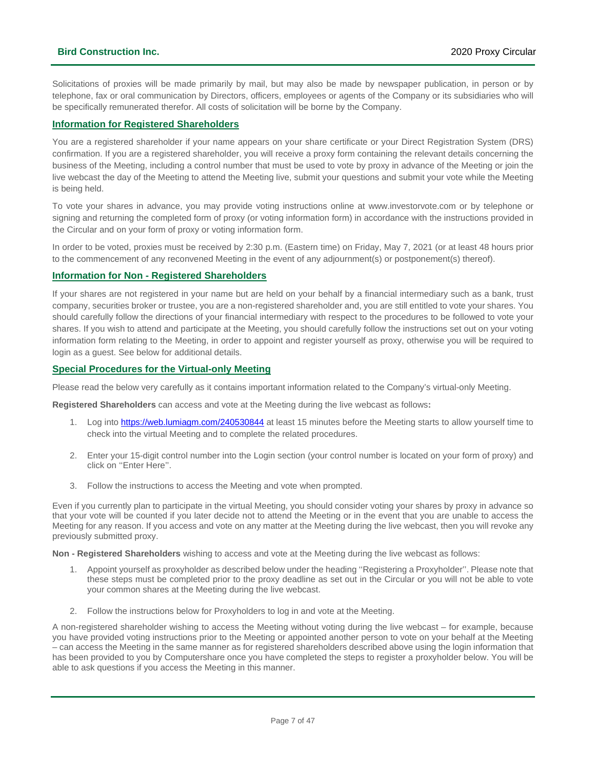Solicitations of proxies will be made primarily by mail, but may also be made by newspaper publication, in person or by telephone, fax or oral communication by Directors, officers, employees or agents of the Company or its subsidiaries who will be specifically remunerated therefor. All costs of solicitation will be borne by the Company.

### **Information for Registered Shareholders**

You are a registered shareholder if your name appears on your share certificate or your Direct Registration System (DRS) confirmation. If you are a registered shareholder, you will receive a proxy form containing the relevant details concerning the business of the Meeting, including a control number that must be used to vote by proxy in advance of the Meeting or join the live webcast the day of the Meeting to attend the Meeting live, submit your questions and submit your vote while the Meeting is being held.

To vote your shares in advance, you may provide voting instructions online at [www.investorvote.com](http://www.investorvote.com/) or by telephone or signing and returning the completed form of proxy (or voting information form) in accordance with the instructions provided in the Circular and on your form of proxy or voting information form.

In order to be voted, proxies must be received by 2:30 p.m. (Eastern time) on Friday, May 7, 2021 (or at least 48 hours prior to the commencement of any reconvened Meeting in the event of any adjournment(s) or postponement(s) thereof).

### **Information for Non - Registered Shareholders**

If your shares are not registered in your name but are held on your behalf by a financial intermediary such as a bank, trust company, securities broker or trustee, you are a non-registered shareholder and, you are still entitled to vote your shares. You should carefully follow the directions of your financial intermediary with respect to the procedures to be followed to vote your shares. If you wish to attend and participate at the Meeting, you should carefully follow the instructions set out on your voting information form relating to the Meeting, in order to appoint and register yourself as proxy, otherwise you will be required to login as a guest. See below for additional details.

### **Special Procedures for the Virtual-only Meeting**

Please read the below very carefully as it contains important information related to the Company's virtual-only Meeting.

**Registered Shareholders** can access and vote at the Meeting during the live webcast as follows**:**

- 1. Log int[o https://web.lumiagm.com/240530844](https://web.lumiagm.com/240530844) at least 15 minutes before the Meeting starts to allow yourself time to check into the virtual Meeting and to complete the related procedures.
- 2. Enter your 15-digit control number into the Login section (your control number is located on your form of proxy) and click on ''Enter Here''.
- 3. Follow the instructions to access the Meeting and vote when prompted.

Even if you currently plan to participate in the virtual Meeting, you should consider voting your shares by proxy in advance so that your vote will be counted if you later decide not to attend the Meeting or in the event that you are unable to access the Meeting for any reason. If you access and vote on any matter at the Meeting during the live webcast, then you will revoke any previously submitted proxy.

**Non - Registered Shareholders** wishing to access and vote at the Meeting during the live webcast as follows:

- 1. Appoint yourself as proxyholder as described below under the heading ''Registering a Proxyholder''. Please note that these steps must be completed prior to the proxy deadline as set out in the Circular or you will not be able to vote your common shares at the Meeting during the live webcast.
- 2. Follow the instructions below for Proxyholders to log in and vote at the Meeting.

A non-registered shareholder wishing to access the Meeting without voting during the live webcast – for example, because you have provided voting instructions prior to the Meeting or appointed another person to vote on your behalf at the Meeting – can access the Meeting in the same manner as for registered shareholders described above using the login information that has been provided to you by Computershare once you have completed the steps to register a proxyholder below. You will be able to ask questions if you access the Meeting in this manner.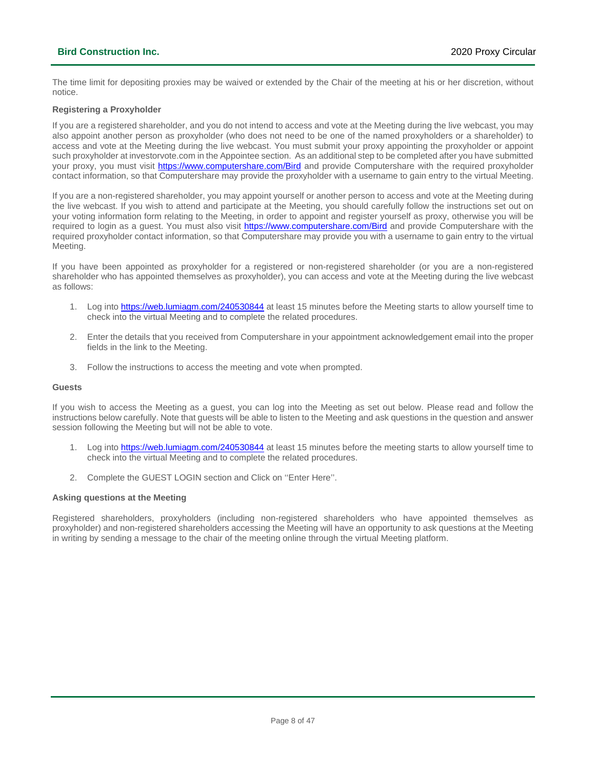### **Bird Construction Inc.** 2020 Proxy Circular

The time limit for depositing proxies may be waived or extended by the Chair of the meeting at his or her discretion, without notice.

### **Registering a Proxyholder**

If you are a registered shareholder, and you do not intend to access and vote at the Meeting during the live webcast, you may also appoint another person as proxyholder (who does not need to be one of the named proxyholders or a shareholder) to access and vote at the Meeting during the live webcast. You must submit your proxy appointing the proxyholder or appoint such proxyholder at investorvote.com in the Appointee section. As an additional step to be completed after you have submitted your proxy, you must visit <https://www.computershare.com/Bird> and provide Computershare with the required proxyholder contact information, so that Computershare may provide the proxyholder with a username to gain entry to the virtual Meeting.

If you are a non-registered shareholder, you may appoint yourself or another person to access and vote at the Meeting during the live webcast. If you wish to attend and participate at the Meeting, you should carefully follow the instructions set out on your voting information form relating to the Meeting, in order to appoint and register yourself as proxy, otherwise you will be required to login as a guest. You must also visit<https://www.computershare.com/Bird> and provide Computershare with the required proxyholder contact information, so that Computershare may provide you with a username to gain entry to the virtual Meeting.

If you have been appointed as proxyholder for a registered or non-registered shareholder (or you are a non-registered shareholder who has appointed themselves as proxyholder), you can access and vote at the Meeting during the live webcast as follows:

- 1. Log int[o https://web.lumiagm.com/240530844](https://web.lumiagm.com/240530844) at least 15 minutes before the Meeting starts to allow yourself time to check into the virtual Meeting and to complete the related procedures.
- 2. Enter the details that you received from Computershare in your appointment acknowledgement email into the proper fields in the link to the Meeting.
- 3. Follow the instructions to access the meeting and vote when prompted.

#### **Guests**

If you wish to access the Meeting as a guest, you can log into the Meeting as set out below. Please read and follow the instructions below carefully. Note that guests will be able to listen to the Meeting and ask questions in the question and answer session following the Meeting but will not be able to vote.

- 1. Log int[o https://web.lumiagm.com/240530844](https://web.lumiagm.com/240530844) at least 15 minutes before the meeting starts to allow yourself time to check into the virtual Meeting and to complete the related procedures.
- 2. Complete the GUEST LOGIN section and Click on ''Enter Here''.

### **Asking questions at the Meeting**

Registered shareholders, proxyholders (including non-registered shareholders who have appointed themselves as proxyholder) and non-registered shareholders accessing the Meeting will have an opportunity to ask questions at the Meeting in writing by sending a message to the chair of the meeting online through the virtual Meeting platform.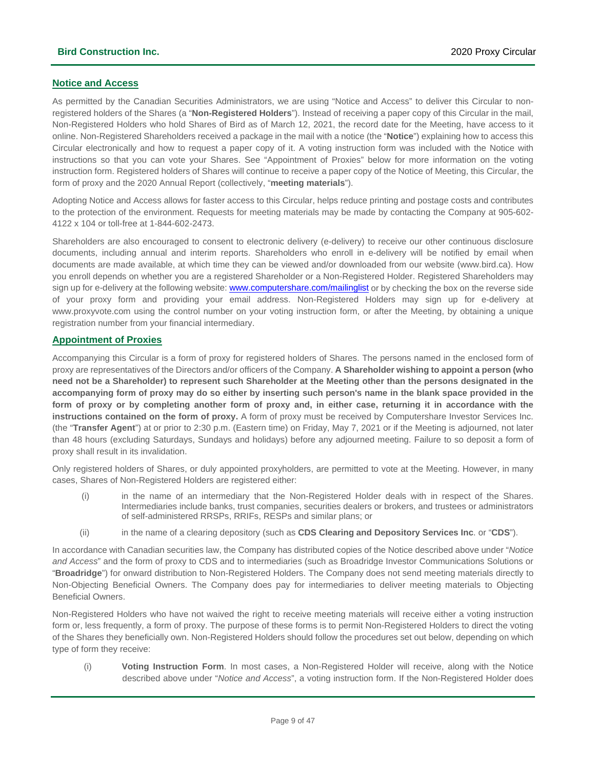### **Notice and Access**

As permitted by the Canadian Securities Administrators, we are using "Notice and Access" to deliver this Circular to nonregistered holders of the Shares (a "**Non-Registered Holders**"). Instead of receiving a paper copy of this Circular in the mail, Non-Registered Holders who hold Shares of Bird as of March 12, 2021, the record date for the Meeting, have access to it online. Non-Registered Shareholders received a package in the mail with a notice (the "**Notice**") explaining how to access this Circular electronically and how to request a paper copy of it. A voting instruction form was included with the Notice with instructions so that you can vote your Shares. See "Appointment of Proxies" below for more information on the voting instruction form. Registered holders of Shares will continue to receive a paper copy of the Notice of Meeting, this Circular, the form of proxy and the 2020 Annual Report (collectively, "**meeting materials**").

Adopting Notice and Access allows for faster access to this Circular, helps reduce printing and postage costs and contributes to the protection of the environment. Requests for meeting materials may be made by contacting the Company at 905-602- 4122 x 104 or toll-free at 1-844-602-2473.

Shareholders are also encouraged to consent to electronic delivery (e-delivery) to receive our other continuous disclosure documents, including annual and interim reports. Shareholders who enroll in e-delivery will be notified by email when documents are made available, at which time they can be viewed and/or downloaded from our website [\(www.bird.ca\)](http://www.bird.ca/). How you enroll depends on whether you are a registered Shareholder or a Non-Registered Holder. Registered Shareholders may sign up for e-delivery at the following website: [www.computershare.com/mailinglist](http://www.computershare.com/mailinglist) or by checking the box on the reverse side of your proxy form and providing your email address. Non-Registered Holders may sign up for e-delivery at www.proxyvote.com using the control number on your voting instruction form, or after the Meeting, by obtaining a unique registration number from your financial intermediary.

### **Appointment of Proxies**

Accompanying this Circular is a form of proxy for registered holders of Shares. The persons named in the enclosed form of proxy are representatives of the Directors and/or officers of the Company. **A Shareholder wishing to appoint a person (who need not be a Shareholder) to represent such Shareholder at the Meeting other than the persons designated in the accompanying form of proxy may do so either by inserting such person's name in the blank space provided in the form of proxy or by completing another form of proxy and, in either case, returning it in accordance with the instructions contained on the form of proxy.** A form of proxy must be received by Computershare Investor Services Inc. (the "**Transfer Agent**") at or prior to 2:30 p.m. (Eastern time) on Friday, May 7, 2021 or if the Meeting is adjourned, not later than 48 hours (excluding Saturdays, Sundays and holidays) before any adjourned meeting. Failure to so deposit a form of proxy shall result in its invalidation.

Only registered holders of Shares, or duly appointed proxyholders, are permitted to vote at the Meeting. However, in many cases, Shares of Non-Registered Holders are registered either:

- (i) in the name of an intermediary that the Non-Registered Holder deals with in respect of the Shares. Intermediaries include banks, trust companies, securities dealers or brokers, and trustees or administrators of self-administered RRSPs, RRIFs, RESPs and similar plans; or
- (ii) in the name of a clearing depository (such as **CDS Clearing and Depository Services Inc**. or "**CDS**").

In accordance with Canadian securities law, the Company has distributed copies of the Notice described above under "*Notice and Access*" and the form of proxy to CDS and to intermediaries (such as Broadridge Investor Communications Solutions or "**Broadridge**") for onward distribution to Non-Registered Holders. The Company does not send meeting materials directly to Non-Objecting Beneficial Owners. The Company does pay for intermediaries to deliver meeting materials to Objecting Beneficial Owners.

Non-Registered Holders who have not waived the right to receive meeting materials will receive either a voting instruction form or, less frequently, a form of proxy. The purpose of these forms is to permit Non-Registered Holders to direct the voting of the Shares they beneficially own. Non-Registered Holders should follow the procedures set out below, depending on which type of form they receive:

(i) **Voting Instruction Form**. In most cases, a Non-Registered Holder will receive, along with the Notice described above under "*Notice and Access*", a voting instruction form. If the Non-Registered Holder does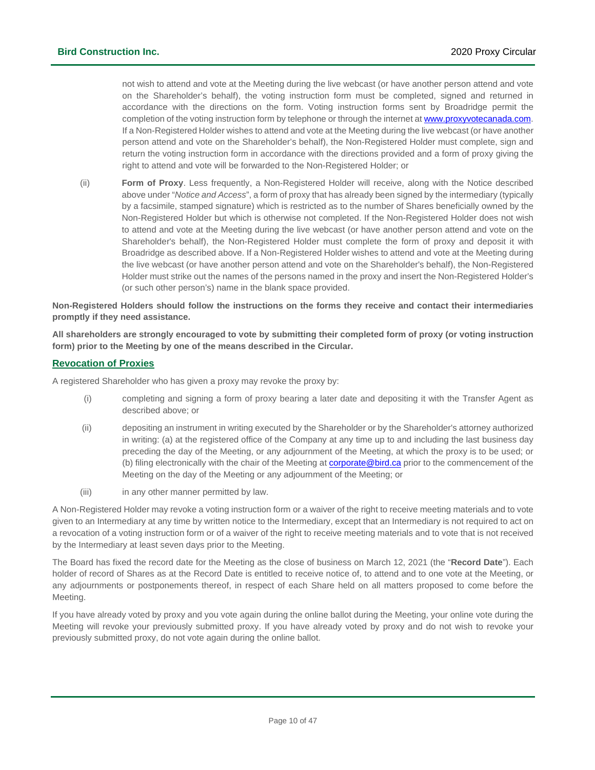not wish to attend and vote at the Meeting during the live webcast (or have another person attend and vote on the Shareholder's behalf), the voting instruction form must be completed, signed and returned in accordance with the directions on the form. Voting instruction forms sent by Broadridge permit the completion of the voting instruction form by telephone or through the internet a[t www.proxyvotecanada.com.](http://www.proxyvotecanada.com/) If a Non-Registered Holder wishes to attend and vote at the Meeting during the live webcast (or have another person attend and vote on the Shareholder's behalf), the Non-Registered Holder must complete, sign and return the voting instruction form in accordance with the directions provided and a form of proxy giving the right to attend and vote will be forwarded to the Non-Registered Holder; or

(ii) **Form of Proxy**. Less frequently, a Non-Registered Holder will receive, along with the Notice described above under "*Notice and Access*", a form of proxy that has already been signed by the intermediary (typically by a facsimile, stamped signature) which is restricted as to the number of Shares beneficially owned by the Non-Registered Holder but which is otherwise not completed. If the Non-Registered Holder does not wish to attend and vote at the Meeting during the live webcast (or have another person attend and vote on the Shareholder's behalf), the Non-Registered Holder must complete the form of proxy and deposit it with Broadridge as described above. If a Non-Registered Holder wishes to attend and vote at the Meeting during the live webcast (or have another person attend and vote on the Shareholder's behalf), the Non-Registered Holder must strike out the names of the persons named in the proxy and insert the Non-Registered Holder's (or such other person's) name in the blank space provided.

**Non-Registered Holders should follow the instructions on the forms they receive and contact their intermediaries promptly if they need assistance.**

**All shareholders are strongly encouraged to vote by submitting their completed form of proxy (or voting instruction form) prior to the Meeting by one of the means described in the Circular.**

### **Revocation of Proxies**

A registered Shareholder who has given a proxy may revoke the proxy by:

- (i) completing and signing a form of proxy bearing a later date and depositing it with the Transfer Agent as described above; or
- (ii) depositing an instrument in writing executed by the Shareholder or by the Shareholder's attorney authorized in writing: (a) at the registered office of the Company at any time up to and including the last business day preceding the day of the Meeting, or any adjournment of the Meeting, at which the proxy is to be used; or (b) filing electronically with the chair of the Meeting a[t corporate@bird.ca](mailto:corporate@bird.ca) prior to the commencement of the Meeting on the day of the Meeting or any adjournment of the Meeting; or
- (iii) in any other manner permitted by law.

A Non-Registered Holder may revoke a voting instruction form or a waiver of the right to receive meeting materials and to vote given to an Intermediary at any time by written notice to the Intermediary, except that an Intermediary is not required to act on a revocation of a voting instruction form or of a waiver of the right to receive meeting materials and to vote that is not received by the Intermediary at least seven days prior to the Meeting.

The Board has fixed the record date for the Meeting as the close of business on March 12, 2021 (the "**Record Date**"). Each holder of record of Shares as at the Record Date is entitled to receive notice of, to attend and to one vote at the Meeting, or any adjournments or postponements thereof, in respect of each Share held on all matters proposed to come before the Meeting.

If you have already voted by proxy and you vote again during the online ballot during the Meeting, your online vote during the Meeting will revoke your previously submitted proxy. If you have already voted by proxy and do not wish to revoke your previously submitted proxy, do not vote again during the online ballot.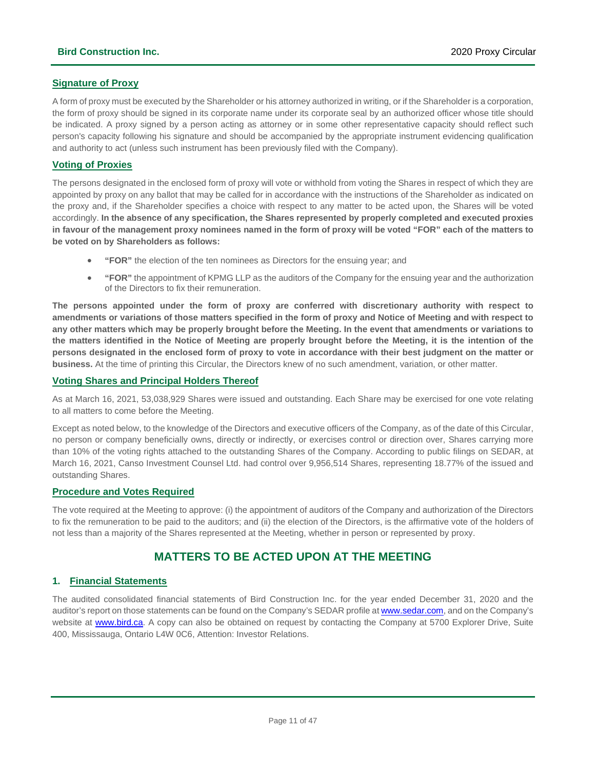### **Signature of Proxy**

A form of proxy must be executed by the Shareholder or his attorney authorized in writing, or if the Shareholder is a corporation, the form of proxy should be signed in its corporate name under its corporate seal by an authorized officer whose title should be indicated. A proxy signed by a person acting as attorney or in some other representative capacity should reflect such person's capacity following his signature and should be accompanied by the appropriate instrument evidencing qualification and authority to act (unless such instrument has been previously filed with the Company).

### **Voting of Proxies**

The persons designated in the enclosed form of proxy will vote or withhold from voting the Shares in respect of which they are appointed by proxy on any ballot that may be called for in accordance with the instructions of the Shareholder as indicated on the proxy and, if the Shareholder specifies a choice with respect to any matter to be acted upon, the Shares will be voted accordingly. **In the absence of any specification, the Shares represented by properly completed and executed proxies in favour of the management proxy nominees named in the form of proxy will be voted "FOR" each of the matters to be voted on by Shareholders as follows:**

- **"FOR"** the election of the ten nominees as Directors for the ensuing year; and
- **"FOR"** the appointment of KPMG LLP as the auditors of the Company for the ensuing year and the authorization of the Directors to fix their remuneration.

**The persons appointed under the form of proxy are conferred with discretionary authority with respect to amendments or variations of those matters specified in the form of proxy and Notice of Meeting and with respect to any other matters which may be properly brought before the Meeting. In the event that amendments or variations to the matters identified in the Notice of Meeting are properly brought before the Meeting, it is the intention of the persons designated in the enclosed form of proxy to vote in accordance with their best judgment on the matter or business.** At the time of printing this Circular, the Directors knew of no such amendment, variation, or other matter.

### **Voting Shares and Principal Holders Thereof**

As at March 16, 2021, 53,038,929 Shares were issued and outstanding. Each Share may be exercised for one vote relating to all matters to come before the Meeting.

Except as noted below, to the knowledge of the Directors and executive officers of the Company, as of the date of this Circular, no person or company beneficially owns, directly or indirectly, or exercises control or direction over, Shares carrying more than 10% of the voting rights attached to the outstanding Shares of the Company. According to public filings on SEDAR, at March 16, 2021, Canso Investment Counsel Ltd. had control over 9,956,514 Shares, representing 18.77% of the issued and outstanding Shares.

### **Procedure and Votes Required**

The vote required at the Meeting to approve: (i) the appointment of auditors of the Company and authorization of the Directors to fix the remuneration to be paid to the auditors; and (ii) the election of the Directors, is the affirmative vote of the holders of not less than a majority of the Shares represented at the Meeting, whether in person or represented by proxy.

### **MATTERS TO BE ACTED UPON AT THE MEETING**

### <span id="page-10-0"></span>**1. Financial Statements**

The audited consolidated financial statements of Bird Construction Inc. for the year ended December 31, 2020 and the auditor's report on those statements can be found on the Company's SEDAR profile a[t www.sedar.com,](http://www.sedar.com/) and on the Company's website at [www.bird.ca.](http://www.bird.ca/) A copy can also be obtained on request by contacting the Company at 5700 Explorer Drive, Suite 400, Mississauga, Ontario L4W 0C6, Attention: Investor Relations.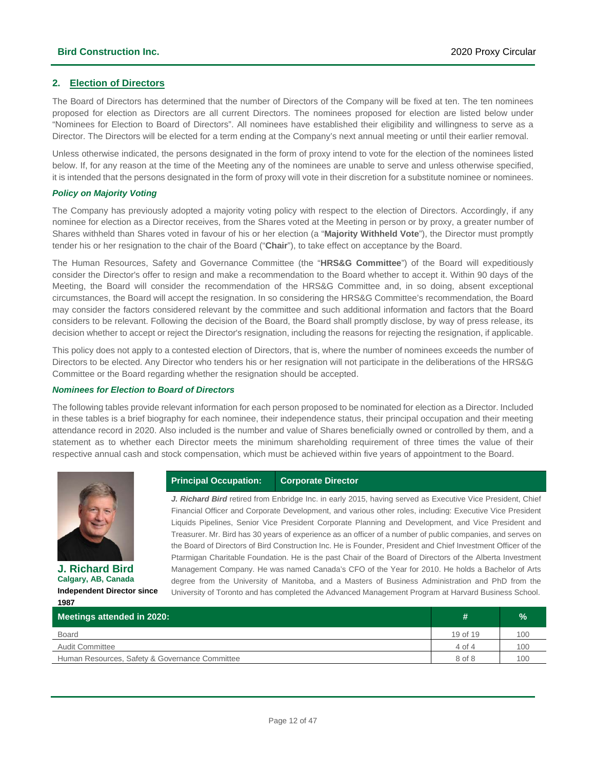### **2. Election of Directors**

The Board of Directors has determined that the number of Directors of the Company will be fixed at ten. The ten nominees proposed for election as Directors are all current Directors. The nominees proposed for election are listed below under "Nominees for Election to Board of Directors". All nominees have established their eligibility and willingness to serve as a Director. The Directors will be elected for a term ending at the Company's next annual meeting or until their earlier removal.

Unless otherwise indicated, the persons designated in the form of proxy intend to vote for the election of the nominees listed below. If, for any reason at the time of the Meeting any of the nominees are unable to serve and unless otherwise specified, it is intended that the persons designated in the form of proxy will vote in their discretion for a substitute nominee or nominees.

### *Policy on Majority Voting*

The Company has previously adopted a majority voting policy with respect to the election of Directors. Accordingly, if any nominee for election as a Director receives, from the Shares voted at the Meeting in person or by proxy, a greater number of Shares withheld than Shares voted in favour of his or her election (a "**Majority Withheld Vote**"), the Director must promptly tender his or her resignation to the chair of the Board ("**Chair**"), to take effect on acceptance by the Board.

The Human Resources, Safety and Governance Committee (the "**HRS&G Committee**") of the Board will expeditiously consider the Director's offer to resign and make a recommendation to the Board whether to accept it. Within 90 days of the Meeting, the Board will consider the recommendation of the HRS&G Committee and, in so doing, absent exceptional circumstances, the Board will accept the resignation. In so considering the HRS&G Committee's recommendation, the Board may consider the factors considered relevant by the committee and such additional information and factors that the Board considers to be relevant. Following the decision of the Board, the Board shall promptly disclose, by way of press release, its decision whether to accept or reject the Director's resignation, including the reasons for rejecting the resignation, if applicable.

This policy does not apply to a contested election of Directors, that is, where the number of nominees exceeds the number of Directors to be elected. Any Director who tenders his or her resignation will not participate in the deliberations of the HRS&G Committee or the Board regarding whether the resignation should be accepted.

#### *Nominees for Election to Board of Directors*

The following tables provide relevant information for each person proposed to be nominated for election as a Director. Included in these tables is a brief biography for each nominee, their independence status, their principal occupation and their meeting attendance record in 2020. Also included is the number and value of Shares beneficially owned or controlled by them, and a statement as to whether each Director meets the minimum shareholding requirement of three times the value of their respective annual cash and stock compensation, which must be achieved within five years of appointment to the Board.



**J. Richard Bird Calgary, AB, Canada Independent Director since 1987**

### **Principal Occupation: Corporate Director**

*J. Richard Bird* retired from Enbridge Inc. in early 2015, having served as Executive Vice President, Chief Financial Officer and Corporate Development, and various other roles, including: Executive Vice President Liquids Pipelines, Senior Vice President Corporate Planning and Development, and Vice President and Treasurer. Mr. Bird has 30 years of experience as an officer of a number of public companies, and serves on the Board of Directors of Bird Construction Inc. He is Founder, President and Chief Investment Officer of the Ptarmigan Charitable Foundation. He is the past Chair of the Board of Directors of the Alberta Investment Management Company. He was named Canada's CFO of the Year for 2010. He holds a Bachelor of Arts degree from the University of Manitoba, and a Masters of Business Administration and PhD from the University of Toronto and has completed the Advanced Management Program at Harvard Business School.

| Meetings attended in 2020:                     | #        | $\frac{9}{6}$ |
|------------------------------------------------|----------|---------------|
| <b>Board</b>                                   | 19 of 19 | 100           |
| <b>Audit Committee</b>                         | 4 of 4   | 100           |
| Human Resources, Safety & Governance Committee | 8 of 8   | 100           |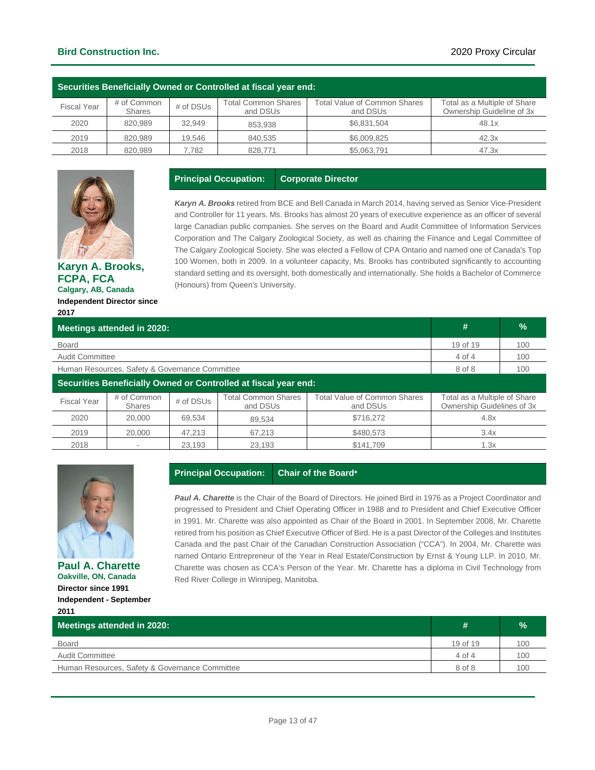### **Bird Construction Inc.** 2020 Proxy Circular

| . Securities Beneficially Owned or Controlled at fiscal year end: |                              |           |                                 |                                                 |                                                           |  |  |  |  |  |
|-------------------------------------------------------------------|------------------------------|-----------|---------------------------------|-------------------------------------------------|-----------------------------------------------------------|--|--|--|--|--|
| <b>Fiscal Year</b>                                                | # of Common<br><b>Shares</b> | # of DSUs | Total Common Shares<br>and DSUs | <b>Total Value of Common Shares</b><br>and DSUs | Total as a Multiple of Share<br>Ownership Guideline of 3x |  |  |  |  |  |
| 2020                                                              | 820.989                      | 32.949    | 853.938                         | \$6.831.504                                     | 48.1x                                                     |  |  |  |  |  |
| 2019                                                              | 820.989                      | 19.546    | 840.535                         | \$6,009.825                                     | 42.3x                                                     |  |  |  |  |  |
| 2018                                                              | 820.989                      | 7.782     | 828,771                         | \$5,063,791                                     | 47.3x                                                     |  |  |  |  |  |

**Principal Occupation: Corporate Director**



**Karyn A. Brooks, FCPA, FCA Calgary, AB, Canada Independent Director since 2017**

*Karyn A. Brooks* retired from BCE and Bell Canada in March 2014, having served as Senior Vice-President and Controller for 11 years. Ms. Brooks has almost 20 years of executive experience as an officer of several large Canadian public companies. She serves on the Board and Audit Committee of Information Services Corporation and The Calgary Zoological Society, as well as chairing the Finance and Legal Committee of The Calgary Zoological Society. She was elected a Fellow of CPA Ontario and named one of Canada's Top 100 Women, both in 2009. In a volunteer capacity, Ms. Brooks has contributed significantly to accounting standard setting and its oversight, both domestically and internationally. She holds a Bachelor of Commerce (Honours) from Queen's University.

| Meetings attended in 2020:                     | #                            | %         |                                                                 |                                          |                                                            |     |  |
|------------------------------------------------|------------------------------|-----------|-----------------------------------------------------------------|------------------------------------------|------------------------------------------------------------|-----|--|
| <b>Board</b>                                   | 19 of 19                     | 100       |                                                                 |                                          |                                                            |     |  |
| <b>Audit Committee</b>                         |                              |           |                                                                 |                                          | 4 of 4                                                     | 100 |  |
| Human Resources, Safety & Governance Committee | 8 of 8                       | 100       |                                                                 |                                          |                                                            |     |  |
|                                                |                              |           | Securities Beneficially Owned or Controlled at fiscal year end: |                                          |                                                            |     |  |
| <b>Fiscal Year</b>                             | # of Common<br><b>Shares</b> | # of DSUs | <b>Total Common Shares</b><br>and DSUs                          | Total Value of Common Shares<br>and DSUs | Total as a Multiple of Share<br>Ownership Guidelines of 3x |     |  |
| 2020                                           | 20,000                       | 69,534    | 89.534                                                          | \$716,272                                | 4.8x                                                       |     |  |
| 2019                                           | 20,000                       | 47,213    | 67,213                                                          | \$480,573                                | 3.4x                                                       |     |  |
| 2018                                           |                              | 23,193    | 23,193                                                          | \$141.709                                | 1.3x                                                       |     |  |
|                                                |                              |           |                                                                 |                                          |                                                            |     |  |



**Paul A. Charette Oakville, ON, Canada Director since 1991 Independent - September 2011**

### **Principal Occupation: Chair of the Board\***

*Paul A. Charette* is the Chair of the Board of Directors. He joined Bird in 1976 as a Project Coordinator and progressed to President and Chief Operating Officer in 1988 and to President and Chief Executive Officer in 1991. Mr. Charette was also appointed as Chair of the Board in 2001. In September 2008, Mr. Charette retired from his position as Chief Executive Officer of Bird. He is a past Director of the Colleges and Institutes Canada and the past Chair of the Canadian Construction Association ("CCA"). In 2004, Mr. Charette was named Ontario Entrepreneur of the Year in Real Estate/Construction by Ernst & Young LLP. In 2010, Mr. Charette was chosen as CCA's Person of the Year. Mr. Charette has a diploma in Civil Technology from Red River College in Winnipeg, Manitoba.

| 2011                                           |                   |      |
|------------------------------------------------|-------------------|------|
| Meetings attended in 2020:                     | #                 | $\%$ |
| <b>Board</b>                                   | 19 of 19          | 100  |
| <b>Audit Committee</b>                         | $4 \text{ of } 4$ | 100  |
| Human Resources, Safety & Governance Committee | 8 of 8            | 100  |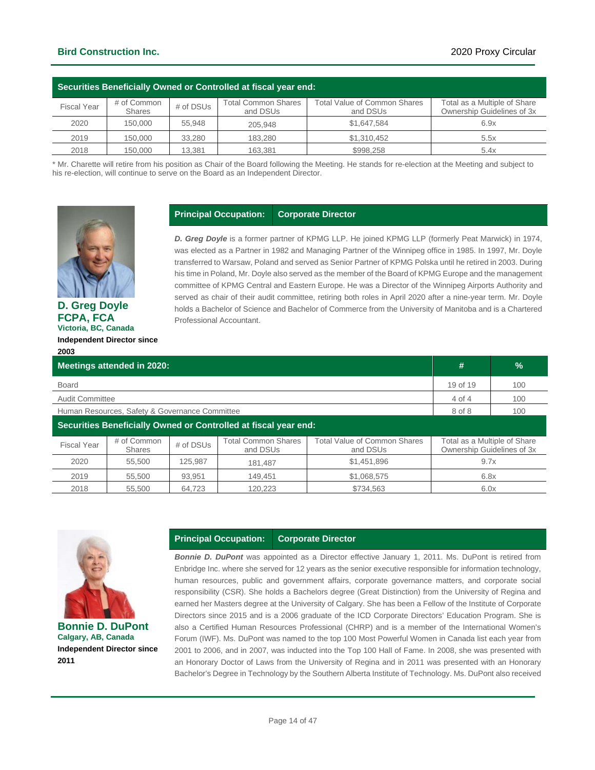| Securities Beneficially Owned or Controlled at fiscal year end: |                       |           |                                 |                                          |                                                            |  |  |  |  |
|-----------------------------------------------------------------|-----------------------|-----------|---------------------------------|------------------------------------------|------------------------------------------------------------|--|--|--|--|
| <b>Fiscal Year</b>                                              | # of Common<br>Shares | # of DSUs | Total Common Shares<br>and DSUs | Total Value of Common Shares<br>and DSUs | Total as a Multiple of Share<br>Ownership Guidelines of 3x |  |  |  |  |
| 2020                                                            | 150,000               | 55.948    | 205.948                         | \$1,647,584                              | 6.9x                                                       |  |  |  |  |
| 2019                                                            | 150,000               | 33.280    | 183.280                         | \$1,310,452                              | 5.5x                                                       |  |  |  |  |
| 2018                                                            | 150,000               | 13.381    | 163.381                         | \$998.258                                | 5.4x                                                       |  |  |  |  |

\* Mr. Charette will retire from his position as Chair of the Board following the Meeting. He stands for re-election at the Meeting and subject to his re-election, will continue to serve on the Board as an Independent Director.

**Principal Occupation: Corporate Director**



**D. Greg Doyle FCPA, FCA Victoria, BC, Canada Independent Director since 2003**

### *D. Greg Doyle* is a former partner of KPMG LLP. He joined KPMG LLP (formerly Peat Marwick) in 1974, was elected as a Partner in 1982 and Managing Partner of the Winnipeg office in 1985. In 1997, Mr. Doyle transferred to Warsaw, Poland and served as Senior Partner of KPMG Polska until he retired in 2003. During his time in Poland, Mr. Doyle also served as the member of the Board of KPMG Europe and the management committee of KPMG Central and Eastern Europe. He was a Director of the Winnipeg Airports Authority and served as chair of their audit committee, retiring both roles in April 2020 after a nine-year term. Mr. Doyle holds a Bachelor of Science and Bachelor of Commerce from the University of Manitoba and is a Chartered Professional Accountant.

| <b>Meetings attended in 2020:</b> | #                                              | $\frac{9}{6}$ |                                                                 |                                                 |                                                            |     |  |
|-----------------------------------|------------------------------------------------|---------------|-----------------------------------------------------------------|-------------------------------------------------|------------------------------------------------------------|-----|--|
| <b>Board</b>                      |                                                |               |                                                                 |                                                 |                                                            | 100 |  |
| <b>Audit Committee</b>            |                                                |               |                                                                 |                                                 | 4 of 4                                                     | 100 |  |
|                                   | Human Resources, Safety & Governance Committee |               |                                                                 |                                                 | 8 of 8                                                     | 100 |  |
|                                   |                                                |               | Securities Beneficially Owned or Controlled at fiscal year end: |                                                 |                                                            |     |  |
| <b>Fiscal Year</b>                | # of Common<br><b>Shares</b>                   | # of DSUs     | <b>Total Common Shares</b><br>and DSUs                          | <b>Total Value of Common Shares</b><br>and DSUs | Total as a Multiple of Share<br>Ownership Guidelines of 3x |     |  |
| 2020                              | 55.500                                         | 125.987       | 181.487                                                         | \$1,451,896                                     | 9.7x                                                       |     |  |
| 2019                              | 55.500                                         | 93.951        | 149.451                                                         | \$1,068,575                                     | 6.8x                                                       |     |  |
| 2018                              | 55.500                                         | 64.723        | 120.223                                                         | \$734.563                                       | 6.0x                                                       |     |  |



**Bonnie D. DuPont Calgary, AB, Canada Independent Director since 2011**

### **Principal Occupation: Corporate Director**

*Bonnie D. DuPont* was appointed as a Director effective January 1, 2011. Ms. DuPont is retired from Enbridge Inc. where she served for 12 years as the senior executive responsible for information technology, human resources, public and government affairs, corporate governance matters, and corporate social responsibility (CSR). She holds a Bachelors degree (Great Distinction) from the University of Regina and earned her Masters degree at the University of Calgary. She has been a Fellow of the Institute of Corporate Directors since 2015 and is a 2006 graduate of the ICD Corporate Directors' Education Program. She is also a Certified Human Resources Professional (CHRP) and is a member of the International Women's Forum (IWF). Ms. DuPont was named to the top 100 Most Powerful Women in Canada list each year from 2001 to 2006, and in 2007, was inducted into the Top 100 Hall of Fame. In 2008, she was presented with an Honorary Doctor of Laws from the University of Regina and in 2011 was presented with an Honorary Bachelor's Degree in Technology by the Southern Alberta Institute of Technology. Ms. DuPont also received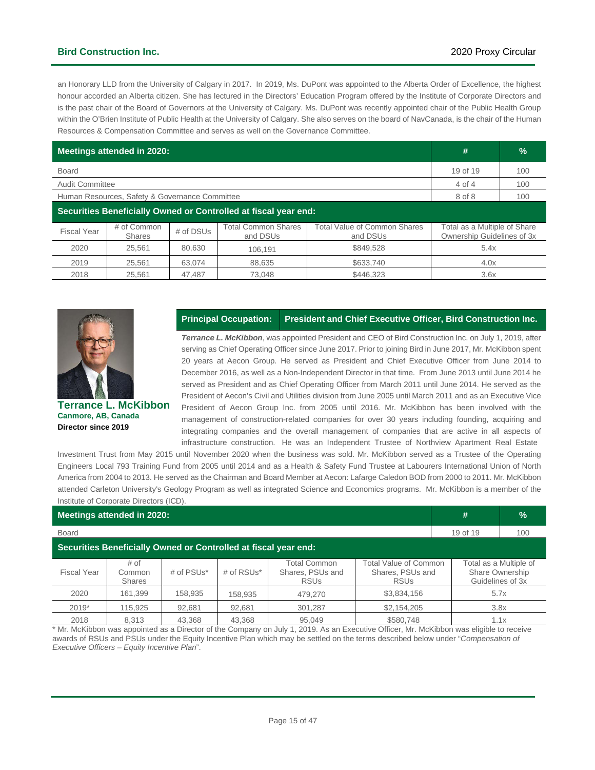### **Bird Construction Inc.** 2020 Proxy Circular

an Honorary LLD from the University of Calgary in 2017. In 2019, Ms. DuPont was appointed to the Alberta Order of Excellence, the highest honour accorded an Alberta citizen. She has lectured in the Directors' Education Program offered by the Institute of Corporate Directors and is the past chair of the Board of Governors at the University of Calgary. Ms. DuPont was recently appointed chair of the Public Health Group within the O'Brien Institute of Public Health at the University of Calgary. She also serves on the board of NavCanada, is the chair of the Human Resources & Compensation Committee and serves as well on the Governance Committee.

| Meetings attended in 2020:                     | #                            | $\frac{9}{6}$ |                                                                 |                                          |                                                            |     |  |
|------------------------------------------------|------------------------------|---------------|-----------------------------------------------------------------|------------------------------------------|------------------------------------------------------------|-----|--|
| <b>Board</b>                                   |                              |               |                                                                 |                                          |                                                            | 100 |  |
| <b>Audit Committee</b>                         | 4 of 4                       | 100           |                                                                 |                                          |                                                            |     |  |
| Human Resources, Safety & Governance Committee | 8 of 8                       | 100           |                                                                 |                                          |                                                            |     |  |
|                                                |                              |               | Securities Beneficially Owned or Controlled at fiscal year end: |                                          |                                                            |     |  |
| <b>Fiscal Year</b>                             | # of Common<br><b>Shares</b> | # of DSUs     | <b>Total Common Shares</b><br>and DSUs                          | Total Value of Common Shares<br>and DSUs | Total as a Multiple of Share<br>Ownership Guidelines of 3x |     |  |
| 2020                                           | 25.561                       | 80.630        | 106.191                                                         | \$849.528                                | 5.4x                                                       |     |  |
| 2019                                           | 25.561                       | 63.074        | 88.635                                                          | \$633.740                                | 4.0x                                                       |     |  |
| 2018                                           | 25.561                       | 47.487        | 73.048                                                          | \$446.323                                | 3.6x                                                       |     |  |



**Canmore, AB, Canada Director since 2019**

#### **Principal Occupation: President and Chief Executive Officer, Bird Construction Inc.**

*Terrance L. McKibbon*, was appointed President and CEO of Bird Construction Inc. on July 1, 2019, after serving as Chief Operating Officer since June 2017. Prior to joining Bird in June 2017, Mr. McKibbon spent 20 years at Aecon Group. He served as President and Chief Executive Officer from June 2014 to December 2016, as well as a Non-Independent Director in that time. From June 2013 until June 2014 he served as President and as Chief Operating Officer from March 2011 until June 2014. He served as the President of Aecon's Civil and Utilities division from June 2005 until March 2011 and as an Executive Vice President of Aecon Group Inc. from 2005 until 2016. Mr. McKibbon has been involved with the management of construction-related companies for over 30 years including founding, acquiring and integrating companies and the overall management of companies that are active in all aspects of infrastructure construction. He was an Independent Trustee of Northview Apartment Real Estate

Investment Trust from May 2015 until November 2020 when the business was sold. Mr. McKibbon served as a Trustee of the Operating Engineers Local 793 Training Fund from 2005 until 2014 and as a Health & Safety Fund Trustee at Labourers International Union of North America from 2004 to 2013. He served as the Chairman and Board Member at Aecon: Lafarge Caledon BOD from 2000 to 2011. Mr. McKibbon attended Carleton University's Geology Program as well as integrated Science and Economics programs. Mr. McKibbon is a member of the Institute of Corporate Directors (ICD).

| Meetings attended in 2020:                                      |                                 |               |            |                                                 |                                                          |  | $\frac{9}{6}$                                                 |  |
|-----------------------------------------------------------------|---------------------------------|---------------|------------|-------------------------------------------------|----------------------------------------------------------|--|---------------------------------------------------------------|--|
| <b>Board</b>                                                    |                                 |               |            |                                                 |                                                          |  | 100                                                           |  |
| Securities Beneficially Owned or Controlled at fiscal year end: |                                 |               |            |                                                 |                                                          |  |                                                               |  |
| <b>Fiscal Year</b>                                              | # of<br>Common<br><b>Shares</b> | # of $PSUs^*$ | # of RSUs* | Total Common<br>Shares, PSUs and<br><b>RSUs</b> | Total Value of Common<br>Shares, PSUs and<br><b>RSUs</b> |  | Total as a Multiple of<br>Share Ownership<br>Guidelines of 3x |  |
| 2020                                                            | 161.399                         | 158.935       | 158,935    | 479.270                                         | \$3,834,156                                              |  | 5.7x                                                          |  |
| $2019*$                                                         | 115,925                         | 92,681        | 92,681     | 301,287                                         | \$2,154,205                                              |  | 3.8x                                                          |  |
| 2018                                                            | 8.313                           | 43.368        | 43.368     | 95.049                                          | \$580.748                                                |  | 1.1x                                                          |  |

\* Mr. McKibbon was appointed as a Director of the Company on July 1, 2019. As an Executive Officer, Mr. McKibbon was eligible to receive awards of RSUs and PSUs under the Equity Incentive Plan which may be settled on the terms described below under "*Compensation of Executive Officers – Equity Incentive Plan*".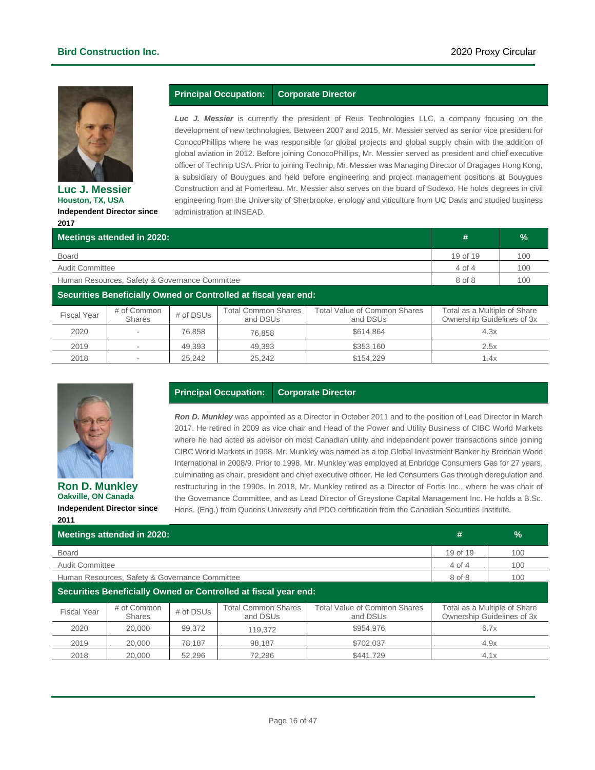

**Luc J. Messier Houston, TX, USA Independent Director since 2017**

### **Principal Occupation: Corporate Director**

*Luc J. Messier* is currently the president of Reus Technologies LLC, a company focusing on the development of new technologies. Between 2007 and 2015, Mr. Messier served as senior vice president for ConocoPhillips where he was responsible for global projects and global supply chain with the addition of global aviation in 2012. Before joining ConocoPhillips, Mr. Messier served as president and chief executive officer of Technip USA. Prior to joining Technip, Mr. Messier was Managing Director of Dragages Hong Kong, a subsidiary of Bouygues and held before engineering and project management positions at Bouygues Construction and at Pomerleau. Mr. Messier also serves on the board of Sodexo. He holds degrees in civil engineering from the University of Sherbrooke, enology and viticulture from UC Davis and studied business administration at INSEAD.

| Meetings attended in 2020:                                      | #                            | $\frac{9}{6}$ |                                        |                                                 |                                                            |     |
|-----------------------------------------------------------------|------------------------------|---------------|----------------------------------------|-------------------------------------------------|------------------------------------------------------------|-----|
| <b>Board</b>                                                    |                              |               |                                        |                                                 | 19 of 19                                                   | 100 |
| <b>Audit Committee</b>                                          |                              |               |                                        |                                                 | 4 of 4                                                     | 100 |
| Human Resources, Safety & Governance Committee                  | 8 of 8                       | 100           |                                        |                                                 |                                                            |     |
| Securities Beneficially Owned or Controlled at fiscal year end: |                              |               |                                        |                                                 |                                                            |     |
| <b>Fiscal Year</b>                                              | # of Common<br><b>Shares</b> | # of DSUs     | <b>Total Common Shares</b><br>and DSUs | <b>Total Value of Common Shares</b><br>and DSUs | Total as a Multiple of Share<br>Ownership Guidelines of 3x |     |
| 2020                                                            |                              | 76.858        | 76,858                                 | \$614,864                                       | 4.3x                                                       |     |
| 2019                                                            |                              | 49.393        | 49.393                                 | \$353,160                                       | 2.5x                                                       |     |
| 2018                                                            |                              | 25.242        | 25.242                                 | \$154.229                                       | 1.4x                                                       |     |



**Ron D. Munkley Oakville, ON Canada Independent Director since 2011**

### **Principal Occupation: Corporate Director**

*Ron D. Munkley* was appointed as a Director in October 2011 and to the position of Lead Director in March 2017. He retired in 2009 as vice chair and Head of the Power and Utility Business of CIBC World Markets where he had acted as advisor on most Canadian utility and independent power transactions since joining CIBC World Markets in 1998. Mr. Munkley was named as a top Global Investment Banker by Brendan Wood International in 2008/9. Prior to 1998, Mr. Munkley was employed at Enbridge Consumers Gas for 27 years, culminating as chair, president and chief executive officer. He led Consumers Gas through deregulation and restructuring in the 1990s. In 2018, Mr. Munkley retired as a Director of Fortis Inc., where he was chair of the Governance Committee, and as Lead Director of Greystone Capital Management Inc. He holds a B.Sc. Hons. (Eng.) from Queens University and PDO certification from the Canadian Securities Institute.

| <b>Meetings attended in 2020:</b>                               |                                                |           |                                        |                                          |        | $\frac{9}{6}$                                              |
|-----------------------------------------------------------------|------------------------------------------------|-----------|----------------------------------------|------------------------------------------|--------|------------------------------------------------------------|
| Board                                                           | 19 of 19                                       | 100       |                                        |                                          |        |                                                            |
| Audit Committee                                                 |                                                |           |                                        |                                          | 4 of 4 | 100                                                        |
|                                                                 | Human Resources, Safety & Governance Committee |           |                                        |                                          | 8 of 8 | 100                                                        |
| Securities Beneficially Owned or Controlled at fiscal year end: |                                                |           |                                        |                                          |        |                                                            |
| <b>Fiscal Year</b>                                              | # of Common<br><b>Shares</b>                   | # of DSUs | <b>Total Common Shares</b><br>and DSUs | Total Value of Common Shares<br>and DSUs |        | Total as a Multiple of Share<br>Ownership Guidelines of 3x |
| 2020                                                            | 20,000                                         | 99.372    | 119.372                                | \$954,976                                | 6.7x   |                                                            |
| 2019                                                            | 20,000                                         | 78.187    | 98.187                                 | \$702.037                                | 4.9x   |                                                            |
| 2018                                                            | 20,000                                         | 52.296    | 72.296                                 | \$441.729                                |        | 4.1x                                                       |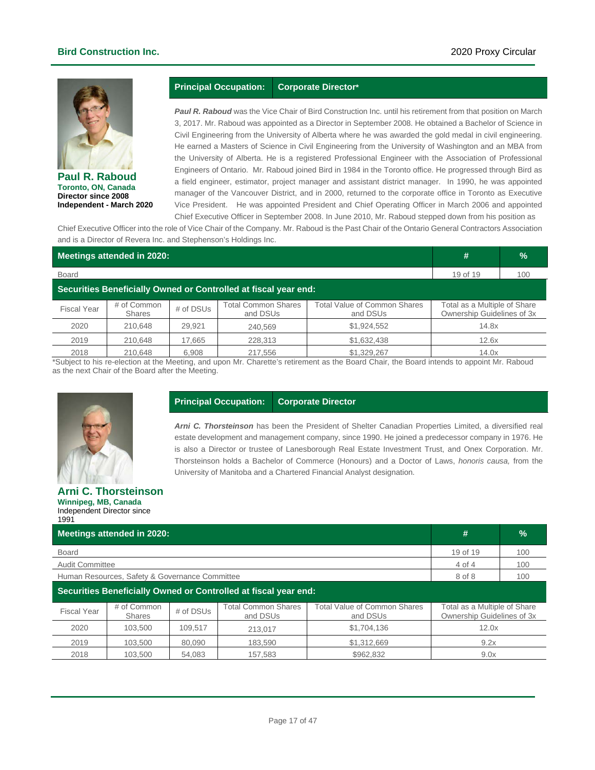### **Bird Construction Inc.** 2020 Proxy Circular



**Paul R. Raboud Toronto, ON, Canada Director since 2008 Independent - March 2020**

### **Principal Occupation: Corporate Director\***

*Paul R. Raboud* was the Vice Chair of Bird Construction Inc. until his retirement from that position on March 3, 2017. Mr. Raboud was appointed as a Director in September 2008. He obtained a Bachelor of Science in Civil Engineering from the University of Alberta where he was awarded the gold medal in civil engineering. He earned a Masters of Science in Civil Engineering from the University of Washington and an MBA from the University of Alberta. He is a registered Professional Engineer with the Association of Professional Engineers of Ontario. Mr. Raboud joined Bird in 1984 in the Toronto office. He progressed through Bird as a field engineer, estimator, project manager and assistant district manager. In 1990, he was appointed manager of the Vancouver District, and in 2000, returned to the corporate office in Toronto as Executive Vice President. He was appointed President and Chief Operating Officer in March 2006 and appointed Chief Executive Officer in September 2008. In June 2010, Mr. Raboud stepped down from his position as

Chief Executive Officer into the role of Vice Chair of the Company. Mr. Raboud is the Past Chair of the Ontario General Contractors Association and is a Director of Revera Inc. and Stephenson's Holdings Inc.

| Meetings attended in 2020:                                      |                              |           |                                        |                                                 |                                                            | $\frac{1}{2}$ |  |
|-----------------------------------------------------------------|------------------------------|-----------|----------------------------------------|-------------------------------------------------|------------------------------------------------------------|---------------|--|
| <b>Board</b>                                                    | 19 of 19                     | 100       |                                        |                                                 |                                                            |               |  |
| Securities Beneficially Owned or Controlled at fiscal year end: |                              |           |                                        |                                                 |                                                            |               |  |
| <b>Fiscal Year</b>                                              | # of Common<br><b>Shares</b> | # of DSUs | <b>Total Common Shares</b><br>and DSUs | <b>Total Value of Common Shares</b><br>and DSUs | Total as a Multiple of Share<br>Ownership Guidelines of 3x |               |  |
| 2020                                                            | 210.648                      | 29.921    | 240,569                                | \$1,924,552                                     | 14.8x                                                      |               |  |
| 2019                                                            | 210.648                      | 17.665    | 228,313                                | \$1,632,438                                     | 12.6x                                                      |               |  |
| 2018                                                            | 210.648                      | 6.908     | 217.556                                | \$1,329,267                                     | 14.0x                                                      |               |  |

\*Subject to his re-election at the Meeting, and upon Mr. Charette's retirement as the Board Chair, the Board intends to appoint Mr. Raboud as the next Chair of the Board after the Meeting.



#### **Principal Occupation: Corporate Director**

*Arni C. Thorsteinson* has been the President of Shelter Canadian Properties Limited, a diversified real estate development and management company, since 1990. He joined a predecessor company in 1976. He is also a Director or trustee of Lanesborough Real Estate Investment Trust, and Onex Corporation. Mr. Thorsteinson holds a Bachelor of Commerce (Honours) and a Doctor of Laws, *honoris causa,* from the University of Manitoba and a Chartered Financial Analyst designation.

#### **Arni C. Thorsteinson Winnipeg, MB, Canada** Independent Director since 1991

| Meetings attended in 2020:                                      | #                             | $\frac{9}{6}$     |                                        |                                          |                                                            |     |  |
|-----------------------------------------------------------------|-------------------------------|-------------------|----------------------------------------|------------------------------------------|------------------------------------------------------------|-----|--|
| Board                                                           | 19 of 19<br>100               |                   |                                        |                                          |                                                            |     |  |
| <b>Audit Committee</b>                                          |                               |                   |                                        |                                          | 4 of 4                                                     | 100 |  |
| Human Resources, Safety & Governance Committee                  |                               | 8 of 8            | 100                                    |                                          |                                                            |     |  |
| Securities Beneficially Owned or Controlled at fiscal year end: |                               |                   |                                        |                                          |                                                            |     |  |
| <b>Fiscal Year</b>                                              | # of Common<br><b>Shares</b>  | # of DSUs         | <b>Total Common Shares</b><br>and DSUs | Total Value of Common Shares<br>and DSUs | Total as a Multiple of Share<br>Ownership Guidelines of 3x |     |  |
| 2020                                                            | 103.500<br>109.517<br>213.017 |                   | \$1,704,136                            | 12.0x                                    |                                                            |     |  |
| 2019                                                            | 103.500                       | 80.090<br>183.590 |                                        | \$1,312,669                              | 9.2x                                                       |     |  |
| 2018                                                            | 103.500                       | 157.583<br>54.083 |                                        | \$962.832                                | 9.0x                                                       |     |  |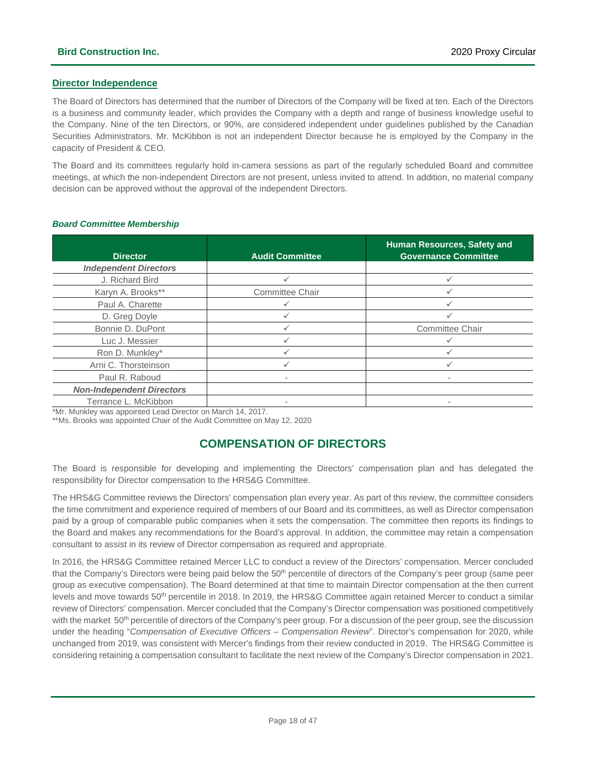### **Director Independence**

The Board of Directors has determined that the number of Directors of the Company will be fixed at ten. Each of the Directors is a business and community leader, which provides the Company with a depth and range of business knowledge useful to the Company. Nine of the ten Directors, or 90%, are considered independent under guidelines published by the Canadian Securities Administrators. Mr. McKibbon is not an independent Director because he is employed by the Company in the capacity of President & CEO.

The Board and its committees regularly hold in-camera sessions as part of the regularly scheduled Board and committee meetings, at which the non-independent Directors are not present, unless invited to attend. In addition, no material company decision can be approved without the approval of the independent Directors.

| <b>Director</b>                  | <b>Audit Committee</b> | Human Resources, Safety and<br><b>Governance Committee</b> |
|----------------------------------|------------------------|------------------------------------------------------------|
| <b>Independent Directors</b>     |                        |                                                            |
| J. Richard Bird                  |                        |                                                            |
| Karyn A. Brooks**                | Committee Chair        |                                                            |
| Paul A. Charette                 |                        |                                                            |
| D. Greg Doyle                    | ✓                      |                                                            |
| Bonnie D. DuPont                 |                        | <b>Committee Chair</b>                                     |
| Luc J. Messier                   |                        |                                                            |
| Ron D. Munkley*                  | ✓                      |                                                            |
| Arni C. Thorsteinson             |                        |                                                            |
| Paul R. Raboud                   |                        |                                                            |
| <b>Non-Independent Directors</b> |                        |                                                            |
| Terrance L. McKibbon             | ۰                      |                                                            |

#### *Board Committee Membership*

\*Mr. Munkley was appointed Lead Director on March 14, 2017.

<span id="page-17-0"></span>\*\*Ms. Brooks was appointed Chair of the Audit Committee on May 12, 2020

### **COMPENSATION OF DIRECTORS**

The Board is responsible for developing and implementing the Directors' compensation plan and has delegated the responsibility for Director compensation to the HRS&G Committee.

The HRS&G Committee reviews the Directors' compensation plan every year. As part of this review, the committee considers the time commitment and experience required of members of our Board and its committees, as well as Director compensation paid by a group of comparable public companies when it sets the compensation. The committee then reports its findings to the Board and makes any recommendations for the Board's approval. In addition, the committee may retain a compensation consultant to assist in its review of Director compensation as required and appropriate.

In 2016, the HRS&G Committee retained Mercer LLC to conduct a review of the Directors' compensation. Mercer concluded that the Company's Directors were being paid below the 50<sup>th</sup> percentile of directors of the Company's peer group (same peer group as executive compensation). The Board determined at that time to maintain Director compensation at the then current levels and move towards 50<sup>th</sup> percentile in 2018. In 2019, the HRS&G Committee again retained Mercer to conduct a similar review of Directors' compensation. Mercer concluded that the Company's Director compensation was positioned competitively with the market 50<sup>th</sup> percentile of directors of the Company's peer group. For a discussion of the peer group, see the discussion under the heading "*Compensation of Executive Officers – Compensation Review*". Director's compensation for 2020, while unchanged from 2019, was consistent with Mercer's findings from their review conducted in 2019. The HRS&G Committee is considering retaining a compensation consultant to facilitate the next review of the Company's Director compensation in 2021.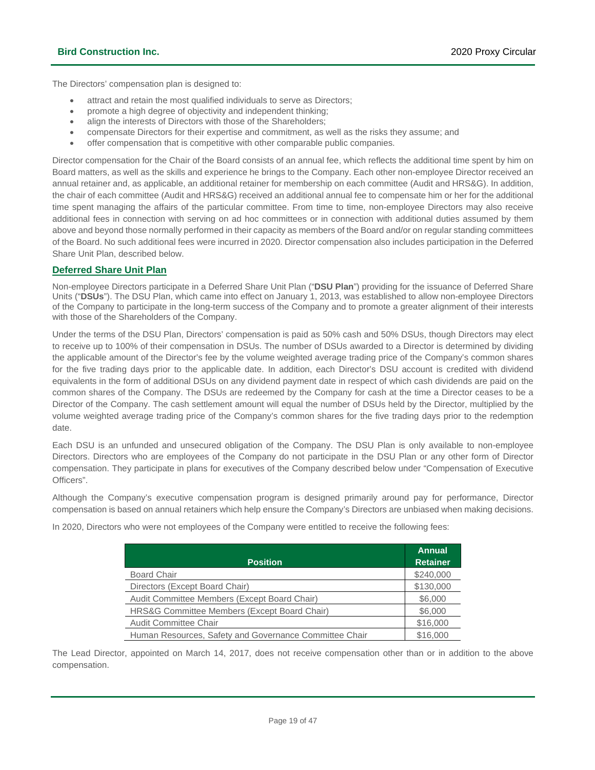The Directors' compensation plan is designed to:

- attract and retain the most qualified individuals to serve as Directors:
- promote a high degree of objectivity and independent thinking;
- align the interests of Directors with those of the Shareholders;
- compensate Directors for their expertise and commitment, as well as the risks they assume; and
- offer compensation that is competitive with other comparable public companies.

Director compensation for the Chair of the Board consists of an annual fee, which reflects the additional time spent by him on Board matters, as well as the skills and experience he brings to the Company. Each other non-employee Director received an annual retainer and, as applicable, an additional retainer for membership on each committee (Audit and HRS&G). In addition, the chair of each committee (Audit and HRS&G) received an additional annual fee to compensate him or her for the additional time spent managing the affairs of the particular committee. From time to time, non-employee Directors may also receive additional fees in connection with serving on ad hoc committees or in connection with additional duties assumed by them above and beyond those normally performed in their capacity as members of the Board and/or on regular standing committees of the Board. No such additional fees were incurred in 2020. Director compensation also includes participation in the Deferred Share Unit Plan, described below.

### **Deferred Share Unit Plan**

Non-employee Directors participate in a Deferred Share Unit Plan ("**DSU Plan**") providing for the issuance of Deferred Share Units ("**DSUs**"). The DSU Plan, which came into effect on January 1, 2013, was established to allow non-employee Directors of the Company to participate in the long-term success of the Company and to promote a greater alignment of their interests with those of the Shareholders of the Company.

Under the terms of the DSU Plan, Directors' compensation is paid as 50% cash and 50% DSUs, though Directors may elect to receive up to 100% of their compensation in DSUs. The number of DSUs awarded to a Director is determined by dividing the applicable amount of the Director's fee by the volume weighted average trading price of the Company's common shares for the five trading days prior to the applicable date. In addition, each Director's DSU account is credited with dividend equivalents in the form of additional DSUs on any dividend payment date in respect of which cash dividends are paid on the common shares of the Company. The DSUs are redeemed by the Company for cash at the time a Director ceases to be a Director of the Company. The cash settlement amount will equal the number of DSUs held by the Director, multiplied by the volume weighted average trading price of the Company's common shares for the five trading days prior to the redemption date.

Each DSU is an unfunded and unsecured obligation of the Company. The DSU Plan is only available to non-employee Directors. Directors who are employees of the Company do not participate in the DSU Plan or any other form of Director compensation. They participate in plans for executives of the Company described below under "Compensation of Executive Officers".

Although the Company's executive compensation program is designed primarily around pay for performance, Director compensation is based on annual retainers which help ensure the Company's Directors are unbiased when making decisions.

In 2020, Directors who were not employees of the Company were entitled to receive the following fees:

|                                                        | <b>Annual</b>   |
|--------------------------------------------------------|-----------------|
| <b>Position</b>                                        | <b>Retainer</b> |
| <b>Board Chair</b>                                     | \$240,000       |
| Directors (Except Board Chair)                         | \$130,000       |
| Audit Committee Members (Except Board Chair)           | \$6,000         |
| HRS&G Committee Members (Except Board Chair)           | \$6,000         |
| <b>Audit Committee Chair</b>                           | \$16,000        |
| Human Resources, Safety and Governance Committee Chair | \$16,000        |

The Lead Director, appointed on March 14, 2017, does not receive compensation other than or in addition to the above compensation.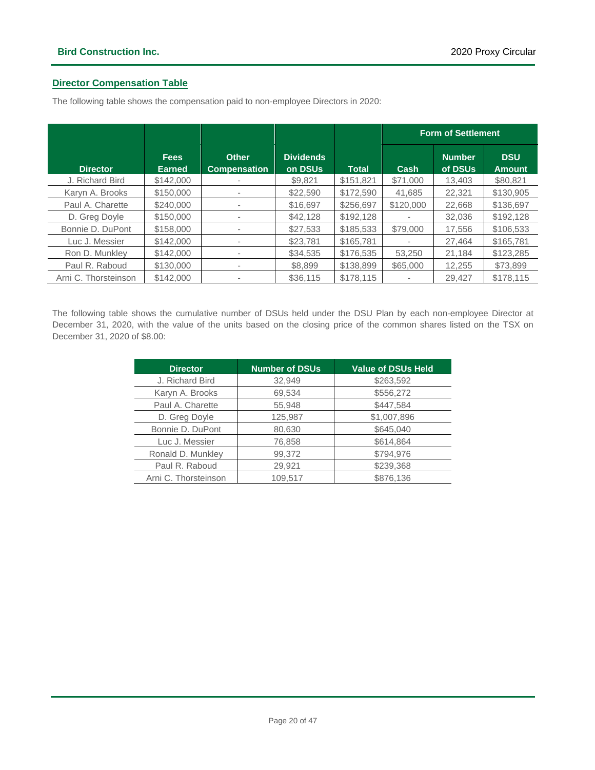### **Director Compensation Table**

The following table shows the compensation paid to non-employee Directors in 2020:

|                      |                              |                                     |                             |              | <b>Form of Settlement</b> |                          |                             |
|----------------------|------------------------------|-------------------------------------|-----------------------------|--------------|---------------------------|--------------------------|-----------------------------|
| <b>Director</b>      | <b>Fees</b><br><b>Earned</b> | <b>Other</b><br><b>Compensation</b> | <b>Dividends</b><br>on DSUs | <b>Total</b> | Cash                      | <b>Number</b><br>of DSUs | <b>DSU</b><br><b>Amount</b> |
| J. Richard Bird      | \$142,000                    |                                     | \$9,821                     | \$151,821    | \$71,000                  | 13,403                   | \$80,821                    |
| Karyn A. Brooks      | \$150,000                    |                                     | \$22,590                    | \$172,590    | 41,685                    | 22,321                   | \$130,905                   |
| Paul A. Charette     | \$240,000                    |                                     | \$16,697                    | \$256,697    | \$120,000                 | 22,668                   | \$136,697                   |
| D. Greg Doyle        | \$150,000                    |                                     | \$42,128                    | \$192.128    |                           | 32.036                   | \$192.128                   |
| Bonnie D. DuPont     | \$158,000                    |                                     | \$27,533                    | \$185,533    | \$79,000                  | 17,556                   | \$106,533                   |
| Luc J. Messier       | \$142,000                    |                                     | \$23,781                    | \$165,781    |                           | 27,464                   | \$165.781                   |
| Ron D. Munkley       | \$142,000                    |                                     | \$34,535                    | \$176,535    | 53.250                    | 21.184                   | \$123,285                   |
| Paul R. Raboud       | \$130,000                    | ۰                                   | \$8,899                     | \$138,899    | \$65,000                  | 12,255                   | \$73,899                    |
| Arni C. Thorsteinson | \$142,000                    |                                     | \$36,115                    | \$178.115    |                           | 29.427                   | \$178.115                   |

The following table shows the cumulative number of DSUs held under the DSU Plan by each non-employee Director at December 31, 2020, with the value of the units based on the closing price of the common shares listed on the TSX on December 31, 2020 of \$8.00:

| <b>Director</b>      | <b>Number of DSUs</b> | <b>Value of DSUs Held</b> |
|----------------------|-----------------------|---------------------------|
| J. Richard Bird      | 32,949                | \$263,592                 |
| Karyn A. Brooks      | 69,534                | \$556,272                 |
| Paul A. Charette     | 55,948                | \$447,584                 |
| D. Greg Doyle        | 125,987               | \$1,007,896               |
| Bonnie D. DuPont     | 80,630                | \$645,040                 |
| Luc J. Messier       | 76,858                | \$614,864                 |
| Ronald D. Munkley    | 99,372                | \$794,976                 |
| Paul R. Raboud       | 29,921                | \$239,368                 |
| Arni C. Thorsteinson | 109.517               | \$876,136                 |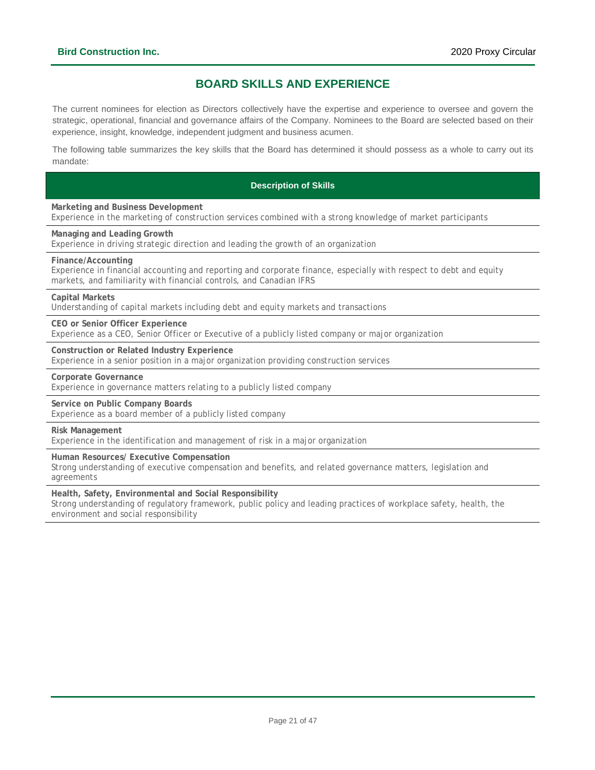### **BOARD SKILLS AND EXPERIENCE**

<span id="page-20-0"></span>The current nominees for election as Directors collectively have the expertise and experience to oversee and govern the strategic, operational, financial and governance affairs of the Company. Nominees to the Board are selected based on their experience, insight, knowledge, independent judgment and business acumen.

The following table summarizes the key skills that the Board has determined it should possess as a whole to carry out its mandate:

### **Description of Skills**

**Marketing and Business Development**

Experience in the marketing of construction services combined with a strong knowledge of market participants

**Managing and Leading Growth**

Experience in driving strategic direction and leading the growth of an organization

#### **Finance/Accounting**

Experience in financial accounting and reporting and corporate finance, especially with respect to debt and equity markets, and familiarity with financial controls, and Canadian IFRS

**Capital Markets**

Understanding of capital markets including debt and equity markets and transactions

**CEO or Senior Officer Experience**

Experience as a CEO, Senior Officer or Executive of a publicly listed company or major organization

**Construction or Related Industry Experience**

Experience in a senior position in a major organization providing construction services

**Corporate Governance**

Experience in governance matters relating to a publicly listed company

**Service on Public Company Boards**

Experience as a board member of a publicly listed company

**Risk Management**

Experience in the identification and management of risk in a major organization

**Human Resources/ Executive Compensation**

Strong understanding of executive compensation and benefits, and related governance matters, legislation and agreements

**Health, Safety, Environmental and Social Responsibility**

Strong understanding of regulatory framework, public policy and leading practices of workplace safety, health, the environment and social responsibility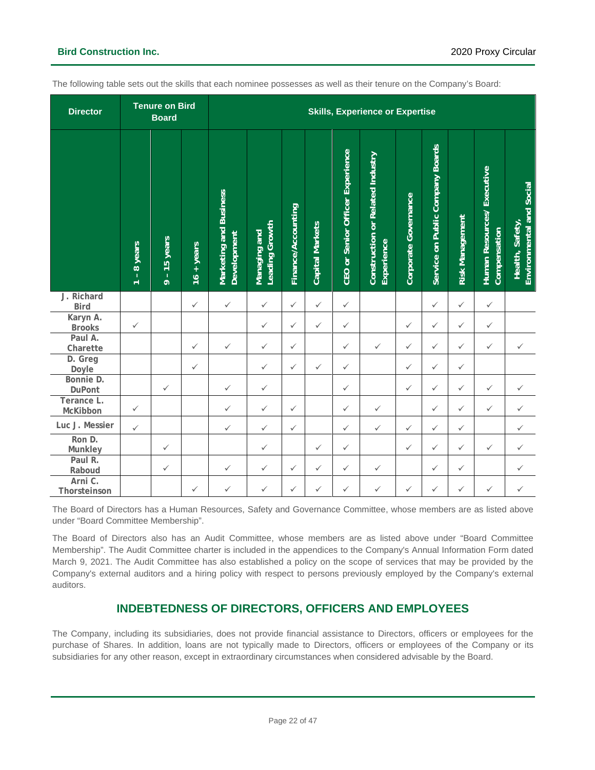| <b>Director</b>           |                                                   | <b>Tenure on Bird</b><br><b>Board</b> |              |                                       |                                |                    |                        |                                         | <b>Skills, Experience or Expertise</b>         |                      |                                  |                        |                                               |                                             |  |
|---------------------------|---------------------------------------------------|---------------------------------------|--------------|---------------------------------------|--------------------------------|--------------------|------------------------|-----------------------------------------|------------------------------------------------|----------------------|----------------------------------|------------------------|-----------------------------------------------|---------------------------------------------|--|
|                           | years<br>$\infty$<br>$\mathbf{L}$<br>$\leftarrow$ | 15 years<br>$\overline{9}$ .          | $16 + years$ | Marketing and Business<br>Development | Leading Growth<br>Managing and | Finance/Accounting | <b>Capital Markets</b> | <b>CEO or Senior Officer Experience</b> | Construction or Related Industry<br>Experience | Corporate Governance | Service on Public Company Boards | <b>Risk Management</b> | Executive<br>Human Resources/<br>Compensation | Environmental and Social<br>Health, Safety, |  |
| J. Richard<br><b>Bird</b> |                                                   |                                       | $\checkmark$ | $\checkmark$                          | $\checkmark$                   | $\checkmark$       | $\checkmark$           | $\checkmark$                            |                                                |                      | $\checkmark$                     | $\checkmark$           | $\checkmark$                                  |                                             |  |
| Karyn A.<br><b>Brooks</b> | $\checkmark$                                      |                                       |              |                                       | $\checkmark$                   | $\checkmark$       | ✓                      | $\checkmark$                            |                                                | $\checkmark$         | $\checkmark$                     | $\checkmark$           | $\checkmark$                                  |                                             |  |
| Paul A.<br>Charette       |                                                   |                                       | $\checkmark$ | $\checkmark$                          | $\checkmark$                   | $\checkmark$       |                        | $\checkmark$                            | $\checkmark$                                   | $\checkmark$         | $\checkmark$                     | $\checkmark$           | $\checkmark$                                  | $\checkmark$                                |  |
| D. Greg<br>Doyle          |                                                   |                                       | $\checkmark$ |                                       | $\checkmark$                   | $\checkmark$       | $\checkmark$           | $\checkmark$                            |                                                | $\checkmark$         | $\checkmark$                     | $\checkmark$           |                                               |                                             |  |
| Bonnie D.<br>DuPont       |                                                   | $\checkmark$                          |              | $\checkmark$                          | $\checkmark$                   |                    |                        | $\checkmark$                            |                                                | $\checkmark$         | $\checkmark$                     | $\checkmark$           | $\checkmark$                                  | ✓                                           |  |
| Terance L.<br>McKibbon    | $\checkmark$                                      |                                       |              | $\checkmark$                          | $\checkmark$                   | $\checkmark$       |                        | $\checkmark$                            | $\checkmark$                                   |                      | $\checkmark$                     | ✓                      | $\checkmark$                                  | $\checkmark$                                |  |
| Luc J. Messier            | $\checkmark$                                      |                                       |              | $\checkmark$                          | $\checkmark$                   | $\checkmark$       |                        | $\checkmark$                            | $\checkmark$                                   | $\checkmark$         | $\checkmark$                     | $\checkmark$           |                                               | ✓                                           |  |
| Ron D.<br>Munkley         |                                                   | $\checkmark$                          |              |                                       | $\checkmark$                   |                    | $\checkmark$           | $\checkmark$                            |                                                | $\checkmark$         | $\checkmark$                     | $\checkmark$           | $\checkmark$                                  | $\checkmark$                                |  |
| Paul R.<br>Raboud         |                                                   | $\checkmark$                          |              | $\checkmark$                          | $\checkmark$                   | $\checkmark$       | $\checkmark$           | $\checkmark$                            | $\checkmark$                                   |                      | $\checkmark$                     | $\checkmark$           |                                               | $\checkmark$                                |  |
| Arni C.<br>Thorsteinson   |                                                   |                                       | $\checkmark$ | $\checkmark$                          | $\checkmark$                   | $\checkmark$       | ✓                      | ✓                                       | $\checkmark$                                   | $\checkmark$         | ✓                                | ✓                      | $\checkmark$                                  | $\checkmark$                                |  |

The following table sets out the skills that each nominee possesses as well as their tenure on the Company's Board:

The Board of Directors has a Human Resources, Safety and Governance Committee, whose members are as listed above under "Board Committee Membership".

The Board of Directors also has an Audit Committee, whose members are as listed above under "Board Committee Membership". The Audit Committee charter is included in the appendices to the Company's Annual Information Form dated March 9, 2021. The Audit Committee has also established a policy on the scope of services that may be provided by the Company's external auditors and a hiring policy with respect to persons previously employed by the Company's external auditors.

### **INDEBTEDNESS OF DIRECTORS, OFFICERS AND EMPLOYEES**

<span id="page-21-0"></span>The Company, including its subsidiaries, does not provide financial assistance to Directors, officers or employees for the purchase of Shares. In addition, loans are not typically made to Directors, officers or employees of the Company or its subsidiaries for any other reason, except in extraordinary circumstances when considered advisable by the Board.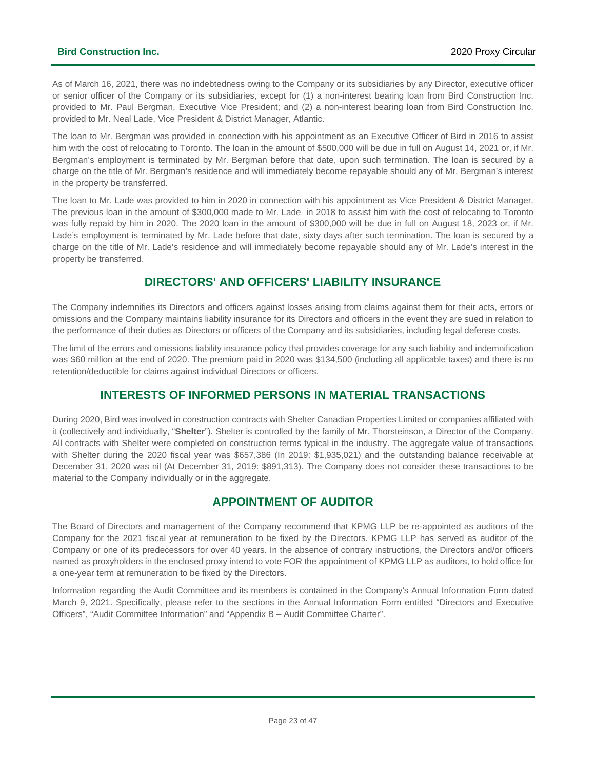### **Bird Construction Inc.** 2020 Proxy Circular

As of March 16, 2021, there was no indebtedness owing to the Company or its subsidiaries by any Director, executive officer or senior officer of the Company or its subsidiaries, except for (1) a non-interest bearing loan from Bird Construction Inc. provided to Mr. Paul Bergman, Executive Vice President; and (2) a non-interest bearing loan from Bird Construction Inc. provided to Mr. Neal Lade, Vice President & District Manager, Atlantic.

The loan to Mr. Bergman was provided in connection with his appointment as an Executive Officer of Bird in 2016 to assist him with the cost of relocating to Toronto. The loan in the amount of \$500,000 will be due in full on August 14, 2021 or, if Mr. Bergman's employment is terminated by Mr. Bergman before that date, upon such termination. The loan is secured by a charge on the title of Mr. Bergman's residence and will immediately become repayable should any of Mr. Bergman's interest in the property be transferred.

The loan to Mr. Lade was provided to him in 2020 in connection with his appointment as Vice President & District Manager. The previous loan in the amount of \$300,000 made to Mr. Lade in 2018 to assist him with the cost of relocating to Toronto was fully repaid by him in 2020. The 2020 loan in the amount of \$300,000 will be due in full on August 18, 2023 or, if Mr. Lade's employment is terminated by Mr. Lade before that date, sixty days after such termination. The loan is secured by a charge on the title of Mr. Lade's residence and will immediately become repayable should any of Mr. Lade's interest in the property be transferred.

### **DIRECTORS' AND OFFICERS' LIABILITY INSURANCE**

<span id="page-22-0"></span>The Company indemnifies its Directors and officers against losses arising from claims against them for their acts, errors or omissions and the Company maintains liability insurance for its Directors and officers in the event they are sued in relation to the performance of their duties as Directors or officers of the Company and its subsidiaries, including legal defense costs.

The limit of the errors and omissions liability insurance policy that provides coverage for any such liability and indemnification was \$60 million at the end of 2020. The premium paid in 2020 was \$134,500 (including all applicable taxes) and there is no retention/deductible for claims against individual Directors or officers.

### **INTERESTS OF INFORMED PERSONS IN MATERIAL TRANSACTIONS**

<span id="page-22-1"></span>During 2020, Bird was involved in construction contracts with Shelter Canadian Properties Limited or companies affiliated with it (collectively and individually, "**Shelter**"). Shelter is controlled by the family of Mr. Thorsteinson, a Director of the Company. All contracts with Shelter were completed on construction terms typical in the industry. The aggregate value of transactions with Shelter during the 2020 fiscal year was \$657,386 (In 2019: \$1,935,021) and the outstanding balance receivable at December 31, 2020 was nil (At December 31, 2019: \$891,313). The Company does not consider these transactions to be material to the Company individually or in the aggregate.

### <span id="page-22-3"></span>**APPOINTMENT OF AUDITOR**

<span id="page-22-2"></span>The Board of Directors and management of the Company recommend that KPMG LLP be re-appointed as auditors of the Company for the 2021 fiscal year at remuneration to be fixed by the Directors. KPMG LLP has served as auditor of the Company or one of its predecessors for over 40 years. In the absence of contrary instructions, the Directors and/or officers named as proxyholders in the enclosed proxy intend to vote FOR the appointment of KPMG LLP as auditors, to hold office for a one-year term at remuneration to be fixed by the Directors.

Information regarding the Audit Committee and its members is contained in the Company's Annual Information Form dated March 9, 2021. Specifically, please refer to the sections in the Annual Information Form entitled "Directors and Executive Officers", "Audit Committee Information" and "Appendix B – Audit Committee Charter".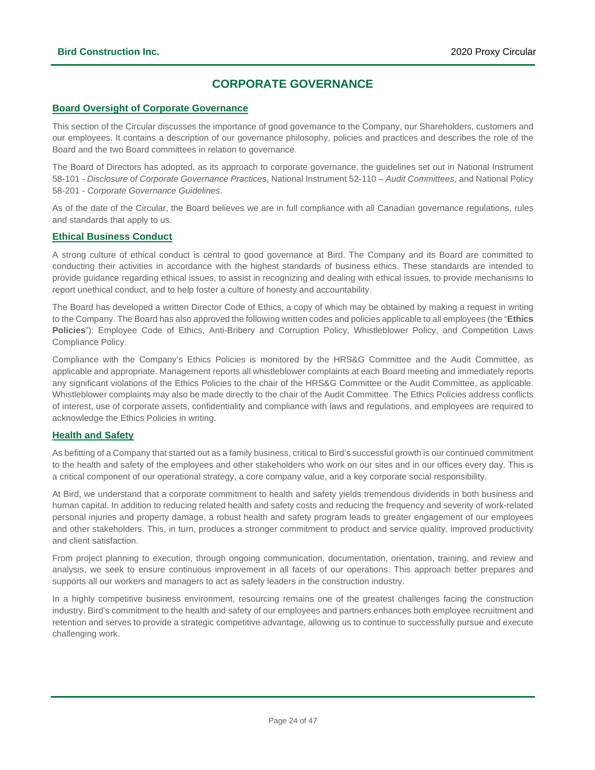### **CORPORATE GOVERNANCE**

### **Board Oversight of Corporate Governance**

This section of the Circular discusses the importance of good governance to the Company, our Shareholders, customers and our employees. It contains a description of our governance philosophy, policies and practices and describes the role of the Board and the two Board committees in relation to governance.

The Board of Directors has adopted, as its approach to corporate governance, the guidelines set out in National Instrument 58-101 - *Disclosure of Corporate Governance Practices*, National Instrument 52-110 – *Audit Committees*, and National Policy 58-201 - *Corporate Governance Guidelines*.

As of the date of the Circular, the Board believes we are in full compliance with all Canadian governance regulations, rules and standards that apply to us.

### **Ethical Business Conduct**

A strong culture of ethical conduct is central to good governance at Bird. The Company and its Board are committed to conducting their activities in accordance with the highest standards of business ethics. These standards are intended to provide guidance regarding ethical issues, to assist in recognizing and dealing with ethical issues, to provide mechanisms to report unethical conduct, and to help foster a culture of honesty and accountability.

The Board has developed a written Director Code of Ethics, a copy of which may be obtained by making a request in writing to the Company. The Board has also approved the following written codes and policies applicable to all employees (the "**Ethics Policies**"): Employee Code of Ethics, Anti-Bribery and Corruption Policy, Whistleblower Policy, and Competition Laws Compliance Policy.

Compliance with the Company's Ethics Policies is monitored by the HRS&G Committee and the Audit Committee, as applicable and appropriate. Management reports all whistleblower complaints at each Board meeting and immediately reports any significant violations of the Ethics Policies to the chair of the HRS&G Committee or the Audit Committee, as applicable. Whistleblower complaints may also be made directly to the chair of the Audit Committee. The Ethics Policies address conflicts of interest, use of corporate assets, confidentiality and compliance with laws and regulations, and employees are required to acknowledge the Ethics Policies in writing.

### **Health and Safety**

As befitting of a Company that started out as a family business, critical to Bird's successful growth is our continued commitment to the health and safety of the employees and other stakeholders who work on our sites and in our offices every day. This is a critical component of our operational strategy, a core company value, and a key corporate social responsibility.

At Bird, we understand that a corporate commitment to health and safety yields tremendous dividends in both business and human capital. In addition to reducing related health and safety costs and reducing the frequency and severity of work-related personal injuries and property damage, a robust health and safety program leads to greater engagement of our employees and other stakeholders. This, in turn, produces a stronger commitment to product and service quality, improved productivity and client satisfaction.

From project planning to execution, through ongoing communication, documentation, orientation, training, and review and analysis, we seek to ensure continuous improvement in all facets of our operations. This approach better prepares and supports all our workers and managers to act as safety leaders in the construction industry.

In a highly competitive business environment, resourcing remains one of the greatest challenges facing the construction industry. Bird's commitment to the health and safety of our employees and partners enhances both employee recruitment and retention and serves to provide a strategic competitive advantage, allowing us to continue to successfully pursue and execute challenging work.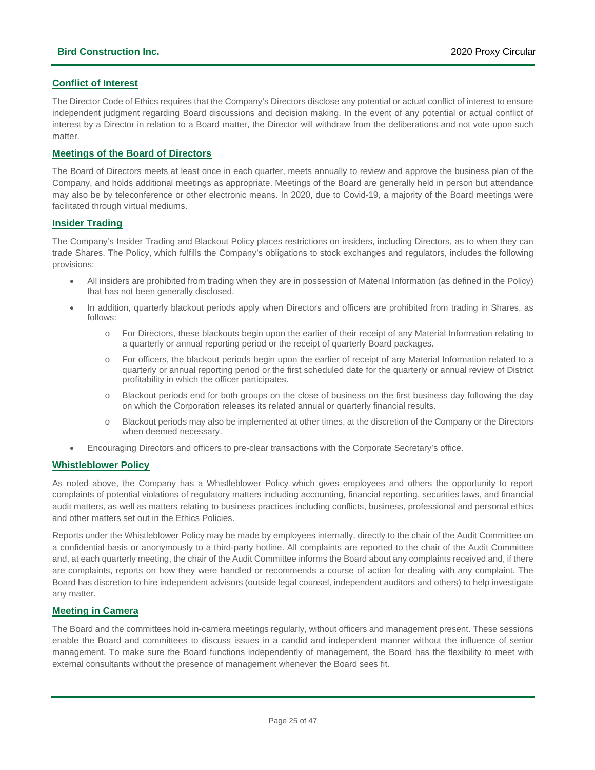### **Conflict of Interest**

The Director Code of Ethics requires that the Company's Directors disclose any potential or actual conflict of interest to ensure independent judgment regarding Board discussions and decision making. In the event of any potential or actual conflict of interest by a Director in relation to a Board matter, the Director will withdraw from the deliberations and not vote upon such matter.

### **Meetings of the Board of Directors**

The Board of Directors meets at least once in each quarter, meets annually to review and approve the business plan of the Company, and holds additional meetings as appropriate. Meetings of the Board are generally held in person but attendance may also be by teleconference or other electronic means. In 2020, due to Covid-19, a majority of the Board meetings were facilitated through virtual mediums.

### **Insider Trading**

The Company's Insider Trading and Blackout Policy places restrictions on insiders, including Directors, as to when they can trade Shares. The Policy, which fulfills the Company's obligations to stock exchanges and regulators, includes the following provisions:

- All insiders are prohibited from trading when they are in possession of Material Information (as defined in the Policy) that has not been generally disclosed.
- In addition, quarterly blackout periods apply when Directors and officers are prohibited from trading in Shares, as follows:
	- o For Directors, these blackouts begin upon the earlier of their receipt of any Material Information relating to a quarterly or annual reporting period or the receipt of quarterly Board packages.
	- o For officers, the blackout periods begin upon the earlier of receipt of any Material Information related to a quarterly or annual reporting period or the first scheduled date for the quarterly or annual review of District profitability in which the officer participates.
	- o Blackout periods end for both groups on the close of business on the first business day following the day on which the Corporation releases its related annual or quarterly financial results.
	- o Blackout periods may also be implemented at other times, at the discretion of the Company or the Directors when deemed necessary.
- Encouraging Directors and officers to pre-clear transactions with the Corporate Secretary's office.

### **Whistleblower Policy**

As noted above, the Company has a Whistleblower Policy which gives employees and others the opportunity to report complaints of potential violations of regulatory matters including accounting, financial reporting, securities laws, and financial audit matters, as well as matters relating to business practices including conflicts, business, professional and personal ethics and other matters set out in the Ethics Policies.

Reports under the Whistleblower Policy may be made by employees internally, directly to the chair of the Audit Committee on a confidential basis or anonymously to a third-party hotline. All complaints are reported to the chair of the Audit Committee and, at each quarterly meeting, the chair of the Audit Committee informs the Board about any complaints received and, if there are complaints, reports on how they were handled or recommends a course of action for dealing with any complaint. The Board has discretion to hire independent advisors (outside legal counsel, independent auditors and others) to help investigate any matter.

### **Meeting in Camera**

The Board and the committees hold in-camera meetings regularly, without officers and management present. These sessions enable the Board and committees to discuss issues in a candid and independent manner without the influence of senior management. To make sure the Board functions independently of management, the Board has the flexibility to meet with external consultants without the presence of management whenever the Board sees fit.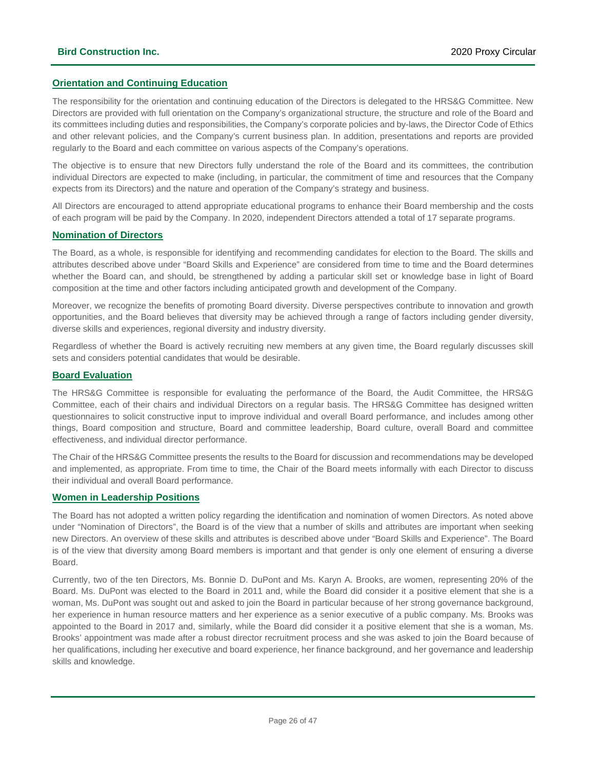### **Orientation and Continuing Education**

The responsibility for the orientation and continuing education of the Directors is delegated to the HRS&G Committee. New Directors are provided with full orientation on the Company's organizational structure, the structure and role of the Board and its committees including duties and responsibilities, the Company's corporate policies and by-laws, the Director Code of Ethics and other relevant policies, and the Company's current business plan. In addition, presentations and reports are provided regularly to the Board and each committee on various aspects of the Company's operations.

The objective is to ensure that new Directors fully understand the role of the Board and its committees, the contribution individual Directors are expected to make (including, in particular, the commitment of time and resources that the Company expects from its Directors) and the nature and operation of the Company's strategy and business.

All Directors are encouraged to attend appropriate educational programs to enhance their Board membership and the costs of each program will be paid by the Company. In 2020, independent Directors attended a total of 17 separate programs.

### **Nomination of Directors**

The Board, as a whole, is responsible for identifying and recommending candidates for election to the Board. The skills and attributes described above under "Board Skills and Experience" are considered from time to time and the Board determines whether the Board can, and should, be strengthened by adding a particular skill set or knowledge base in light of Board composition at the time and other factors including anticipated growth and development of the Company.

Moreover, we recognize the benefits of promoting Board diversity. Diverse perspectives contribute to innovation and growth opportunities, and the Board believes that diversity may be achieved through a range of factors including gender diversity, diverse skills and experiences, regional diversity and industry diversity.

Regardless of whether the Board is actively recruiting new members at any given time, the Board regularly discusses skill sets and considers potential candidates that would be desirable.

### **Board Evaluation**

The HRS&G Committee is responsible for evaluating the performance of the Board, the Audit Committee, the HRS&G Committee, each of their chairs and individual Directors on a regular basis. The HRS&G Committee has designed written questionnaires to solicit constructive input to improve individual and overall Board performance, and includes among other things, Board composition and structure, Board and committee leadership, Board culture, overall Board and committee effectiveness, and individual director performance.

The Chair of the HRS&G Committee presents the results to the Board for discussion and recommendations may be developed and implemented, as appropriate. From time to time, the Chair of the Board meets informally with each Director to discuss their individual and overall Board performance.

### **Women in Leadership Positions**

The Board has not adopted a written policy regarding the identification and nomination of women Directors. As noted above under "Nomination of Directors", the Board is of the view that a number of skills and attributes are important when seeking new Directors. An overview of these skills and attributes is described above under "Board Skills and Experience". The Board is of the view that diversity among Board members is important and that gender is only one element of ensuring a diverse Board.

Currently, two of the ten Directors, Ms. Bonnie D. DuPont and Ms. Karyn A. Brooks, are women, representing 20% of the Board. Ms. DuPont was elected to the Board in 2011 and, while the Board did consider it a positive element that she is a woman, Ms. DuPont was sought out and asked to join the Board in particular because of her strong governance background, her experience in human resource matters and her experience as a senior executive of a public company. Ms. Brooks was appointed to the Board in 2017 and, similarly, while the Board did consider it a positive element that she is a woman, Ms. Brooks' appointment was made after a robust director recruitment process and she was asked to join the Board because of her qualifications, including her executive and board experience, her finance background, and her governance and leadership skills and knowledge.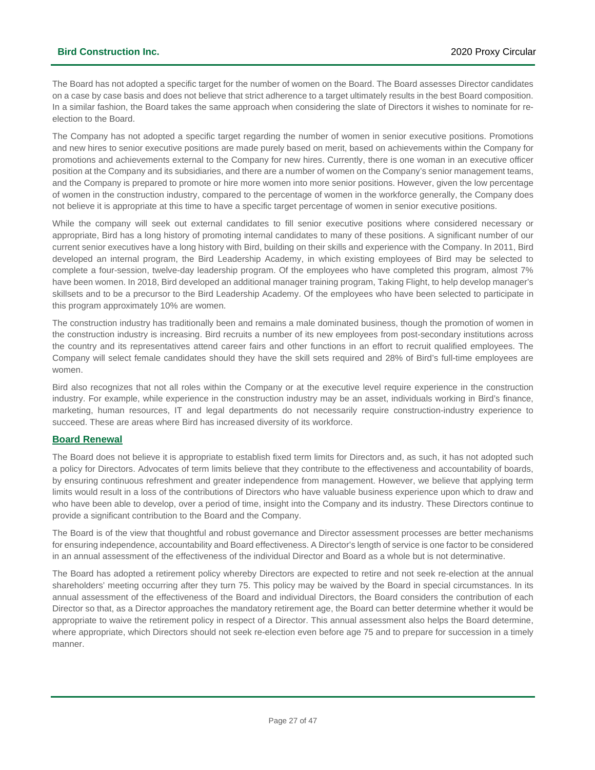The Board has not adopted a specific target for the number of women on the Board. The Board assesses Director candidates on a case by case basis and does not believe that strict adherence to a target ultimately results in the best Board composition. In a similar fashion, the Board takes the same approach when considering the slate of Directors it wishes to nominate for reelection to the Board.

The Company has not adopted a specific target regarding the number of women in senior executive positions. Promotions and new hires to senior executive positions are made purely based on merit, based on achievements within the Company for promotions and achievements external to the Company for new hires. Currently, there is one woman in an executive officer position at the Company and its subsidiaries, and there are a number of women on the Company's senior management teams, and the Company is prepared to promote or hire more women into more senior positions. However, given the low percentage of women in the construction industry, compared to the percentage of women in the workforce generally, the Company does not believe it is appropriate at this time to have a specific target percentage of women in senior executive positions.

While the company will seek out external candidates to fill senior executive positions where considered necessary or appropriate, Bird has a long history of promoting internal candidates to many of these positions. A significant number of our current senior executives have a long history with Bird, building on their skills and experience with the Company. In 2011, Bird developed an internal program, the Bird Leadership Academy, in which existing employees of Bird may be selected to complete a four-session, twelve-day leadership program. Of the employees who have completed this program, almost 7% have been women. In 2018, Bird developed an additional manager training program, Taking Flight, to help develop manager's skillsets and to be a precursor to the Bird Leadership Academy. Of the employees who have been selected to participate in this program approximately 10% are women.

The construction industry has traditionally been and remains a male dominated business, though the promotion of women in the construction industry is increasing. Bird recruits a number of its new employees from post-secondary institutions across the country and its representatives attend career fairs and other functions in an effort to recruit qualified employees. The Company will select female candidates should they have the skill sets required and 28% of Bird's full-time employees are women.

Bird also recognizes that not all roles within the Company or at the executive level require experience in the construction industry. For example, while experience in the construction industry may be an asset, individuals working in Bird's finance, marketing, human resources, IT and legal departments do not necessarily require construction-industry experience to succeed. These are areas where Bird has increased diversity of its workforce.

### **Board Renewal**

The Board does not believe it is appropriate to establish fixed term limits for Directors and, as such, it has not adopted such a policy for Directors. Advocates of term limits believe that they contribute to the effectiveness and accountability of boards, by ensuring continuous refreshment and greater independence from management. However, we believe that applying term limits would result in a loss of the contributions of Directors who have valuable business experience upon which to draw and who have been able to develop, over a period of time, insight into the Company and its industry. These Directors continue to provide a significant contribution to the Board and the Company.

The Board is of the view that thoughtful and robust governance and Director assessment processes are better mechanisms for ensuring independence, accountability and Board effectiveness. A Director's length of service is one factor to be considered in an annual assessment of the effectiveness of the individual Director and Board as a whole but is not determinative.

The Board has adopted a retirement policy whereby Directors are expected to retire and not seek re-election at the annual shareholders' meeting occurring after they turn 75. This policy may be waived by the Board in special circumstances. In its annual assessment of the effectiveness of the Board and individual Directors, the Board considers the contribution of each Director so that, as a Director approaches the mandatory retirement age, the Board can better determine whether it would be appropriate to waive the retirement policy in respect of a Director. This annual assessment also helps the Board determine, where appropriate, which Directors should not seek re-election even before age 75 and to prepare for succession in a timely manner.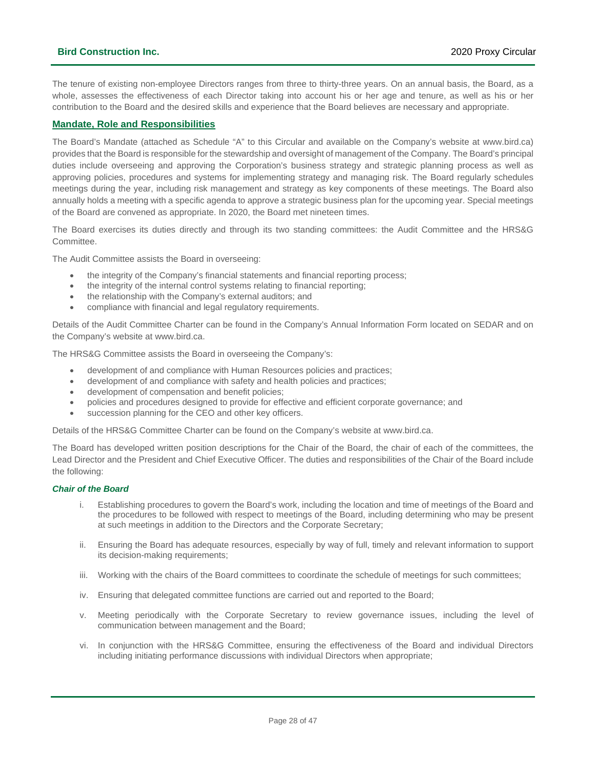The tenure of existing non-employee Directors ranges from three to thirty-three years. On an annual basis, the Board, as a whole, assesses the effectiveness of each Director taking into account his or her age and tenure, as well as his or her contribution to the Board and the desired skills and experience that the Board believes are necessary and appropriate.

### **Mandate, Role and Responsibilities**

The Board's Mandate (attached as Schedule "A" to this Circular and available on the Company's website at www.bird.ca) provides that the Board is responsible for the stewardship and oversight of management of the Company. The Board's principal duties include overseeing and approving the Corporation's business strategy and strategic planning process as well as approving policies, procedures and systems for implementing strategy and managing risk. The Board regularly schedules meetings during the year, including risk management and strategy as key components of these meetings. The Board also annually holds a meeting with a specific agenda to approve a strategic business plan for the upcoming year. Special meetings of the Board are convened as appropriate. In 2020, the Board met nineteen times.

The Board exercises its duties directly and through its two standing committees: the Audit Committee and the HRS&G Committee.

The Audit Committee assists the Board in overseeing:

- the integrity of the Company's financial statements and financial reporting process;
- the integrity of the internal control systems relating to financial reporting;
- the relationship with the Company's external auditors; and
- compliance with financial and legal regulatory requirements.

Details of the Audit Committee Charter can be found in the Company's Annual Information Form located on SEDAR and on the Company's website at www.bird.ca.

The HRS&G Committee assists the Board in overseeing the Company's:

- development of and compliance with Human Resources policies and practices;
- development of and compliance with safety and health policies and practices;
- development of compensation and benefit policies;
- policies and procedures designed to provide for effective and efficient corporate governance; and
- succession planning for the CEO and other key officers.

Details of the HRS&G Committee Charter can be found on the Company's website at www.bird.ca.

The Board has developed written position descriptions for the Chair of the Board, the chair of each of the committees, the Lead Director and the President and Chief Executive Officer. The duties and responsibilities of the Chair of the Board include the following:

### *Chair of the Board*

- i. Establishing procedures to govern the Board's work, including the location and time of meetings of the Board and the procedures to be followed with respect to meetings of the Board, including determining who may be present at such meetings in addition to the Directors and the Corporate Secretary;
- ii. Ensuring the Board has adequate resources, especially by way of full, timely and relevant information to support its decision-making requirements;
- iii. Working with the chairs of the Board committees to coordinate the schedule of meetings for such committees;
- iv. Ensuring that delegated committee functions are carried out and reported to the Board;
- v. Meeting periodically with the Corporate Secretary to review governance issues, including the level of communication between management and the Board;
- vi. In conjunction with the HRS&G Committee, ensuring the effectiveness of the Board and individual Directors including initiating performance discussions with individual Directors when appropriate;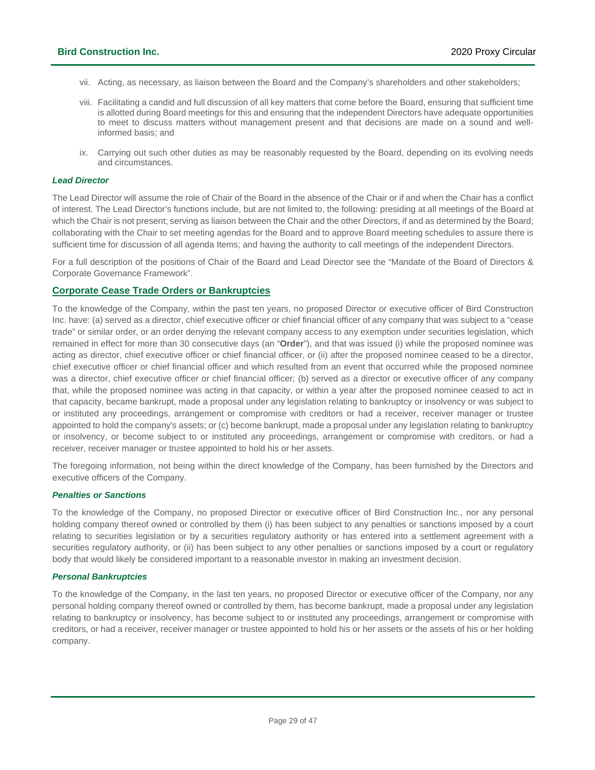- vii. Acting, as necessary, as liaison between the Board and the Company's shareholders and other stakeholders;
- viii. Facilitating a candid and full discussion of all key matters that come before the Board, ensuring that sufficient time is allotted during Board meetings for this and ensuring that the independent Directors have adequate opportunities to meet to discuss matters without management present and that decisions are made on a sound and wellinformed basis; and
- ix. Carrying out such other duties as may be reasonably requested by the Board, depending on its evolving needs and circumstances.

#### *Lead Director*

The Lead Director will assume the role of Chair of the Board in the absence of the Chair or if and when the Chair has a conflict of interest. The Lead Director's functions include, but are not limited to, the following: presiding at all meetings of the Board at which the Chair is not present; serving as liaison between the Chair and the other Directors, if and as determined by the Board; collaborating with the Chair to set meeting agendas for the Board and to approve Board meeting schedules to assure there is sufficient time for discussion of all agenda Items; and having the authority to call meetings of the independent Directors.

For a full description of the positions of Chair of the Board and Lead Director see the "Mandate of the Board of Directors & Corporate Governance Framework".

### **Corporate Cease Trade Orders or Bankruptcies**

To the knowledge of the Company, within the past ten years, no proposed Director or executive officer of Bird Construction Inc. have: (a) served as a director, chief executive officer or chief financial officer of any company that was subject to a "cease trade" or similar order, or an order denying the relevant company access to any exemption under securities legislation, which remained in effect for more than 30 consecutive days (an "**Order**"), and that was issued (i) while the proposed nominee was acting as director, chief executive officer or chief financial officer, or (ii) after the proposed nominee ceased to be a director, chief executive officer or chief financial officer and which resulted from an event that occurred while the proposed nominee was a director, chief executive officer or chief financial officer; (b) served as a director or executive officer of any company that, while the proposed nominee was acting in that capacity, or within a year after the proposed nominee ceased to act in that capacity, became bankrupt, made a proposal under any legislation relating to bankruptcy or insolvency or was subject to or instituted any proceedings, arrangement or compromise with creditors or had a receiver, receiver manager or trustee appointed to hold the company's assets; or (c) become bankrupt, made a proposal under any legislation relating to bankruptcy or insolvency, or become subject to or instituted any proceedings, arrangement or compromise with creditors, or had a receiver, receiver manager or trustee appointed to hold his or her assets.

The foregoing information, not being within the direct knowledge of the Company, has been furnished by the Directors and executive officers of the Company.

### *Penalties or Sanctions*

To the knowledge of the Company, no proposed Director or executive officer of Bird Construction Inc., nor any personal holding company thereof owned or controlled by them (i) has been subject to any penalties or sanctions imposed by a court relating to securities legislation or by a securities regulatory authority or has entered into a settlement agreement with a securities regulatory authority, or (ii) has been subject to any other penalties or sanctions imposed by a court or regulatory body that would likely be considered important to a reasonable investor in making an investment decision.

#### *Personal Bankruptcies*

To the knowledge of the Company, in the last ten years, no proposed Director or executive officer of the Company, nor any personal holding company thereof owned or controlled by them, has become bankrupt, made a proposal under any legislation relating to bankruptcy or insolvency, has become subject to or instituted any proceedings, arrangement or compromise with creditors, or had a receiver, receiver manager or trustee appointed to hold his or her assets or the assets of his or her holding company.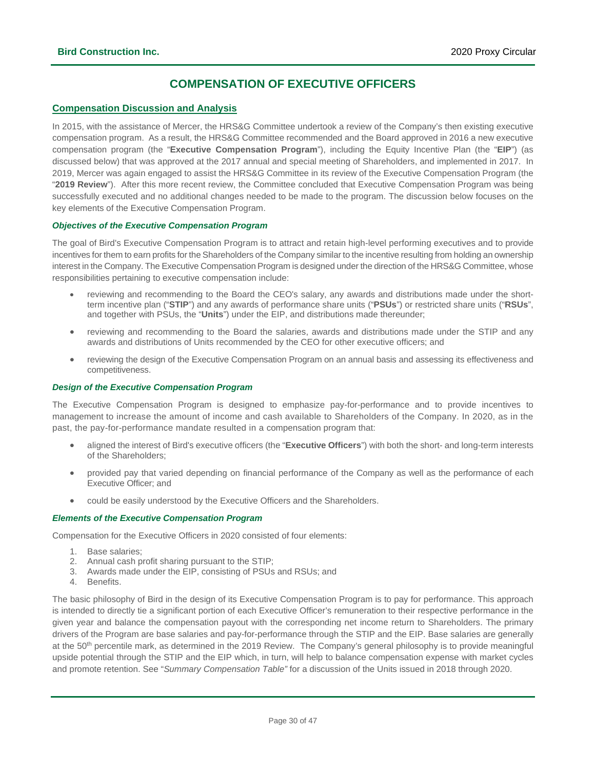### **COMPENSATION OF EXECUTIVE OFFICERS**

### <span id="page-29-0"></span>**Compensation Discussion and Analysis**

In 2015, with the assistance of Mercer, the HRS&G Committee undertook a review of the Company's then existing executive compensation program. As a result, the HRS&G Committee recommended and the Board approved in 2016 a new executive compensation program (the "**Executive Compensation Program**"), including the Equity Incentive Plan (the "**EIP**") (as discussed below) that was approved at the 2017 annual and special meeting of Shareholders, and implemented in 2017. In 2019, Mercer was again engaged to assist the HRS&G Committee in its review of the Executive Compensation Program (the "**2019 Review**"). After this more recent review, the Committee concluded that Executive Compensation Program was being successfully executed and no additional changes needed to be made to the program. The discussion below focuses on the key elements of the Executive Compensation Program.

### *Objectives of the Executive Compensation Program*

The goal of Bird's Executive Compensation Program is to attract and retain high-level performing executives and to provide incentives for them to earn profits for the Shareholders of the Company similar to the incentive resulting from holding an ownership interest in the Company. The Executive Compensation Program is designed under the direction of the HRS&G Committee, whose responsibilities pertaining to executive compensation include:

- reviewing and recommending to the Board the CEO's salary, any awards and distributions made under the shortterm incentive plan ("**STIP**") and any awards of performance share units ("**PSUs**") or restricted share units ("**RSUs**", and together with PSUs, the "**Units**") under the EIP, and distributions made thereunder;
- reviewing and recommending to the Board the salaries, awards and distributions made under the STIP and any awards and distributions of Units recommended by the CEO for other executive officers; and
- reviewing the design of the Executive Compensation Program on an annual basis and assessing its effectiveness and competitiveness.

### *Design of the Executive Compensation Program*

The Executive Compensation Program is designed to emphasize pay-for-performance and to provide incentives to management to increase the amount of income and cash available to Shareholders of the Company. In 2020, as in the past, the pay-for-performance mandate resulted in a compensation program that:

- aligned the interest of Bird's executive officers (the "**Executive Officers**") with both the short- and long-term interests of the Shareholders;
- provided pay that varied depending on financial performance of the Company as well as the performance of each Executive Officer; and
- could be easily understood by the Executive Officers and the Shareholders.

### *Elements of the Executive Compensation Program*

Compensation for the Executive Officers in 2020 consisted of four elements:

- 1. Base salaries;
- 2. Annual cash profit sharing pursuant to the STIP;
- 3. Awards made under the EIP, consisting of PSUs and RSUs; and
- 4. Benefits.

The basic philosophy of Bird in the design of its Executive Compensation Program is to pay for performance. This approach is intended to directly tie a significant portion of each Executive Officer's remuneration to their respective performance in the given year and balance the compensation payout with the corresponding net income return to Shareholders. The primary drivers of the Program are base salaries and pay-for-performance through the STIP and the EIP. Base salaries are generally at the 50<sup>th</sup> percentile mark, as determined in the 2019 Review. The Company's general philosophy is to provide meaningful upside potential through the STIP and the EIP which, in turn, will help to balance compensation expense with market cycles and promote retention. See "*Summary Compensation Table"* for a discussion of the Units issued in 2018 through 2020.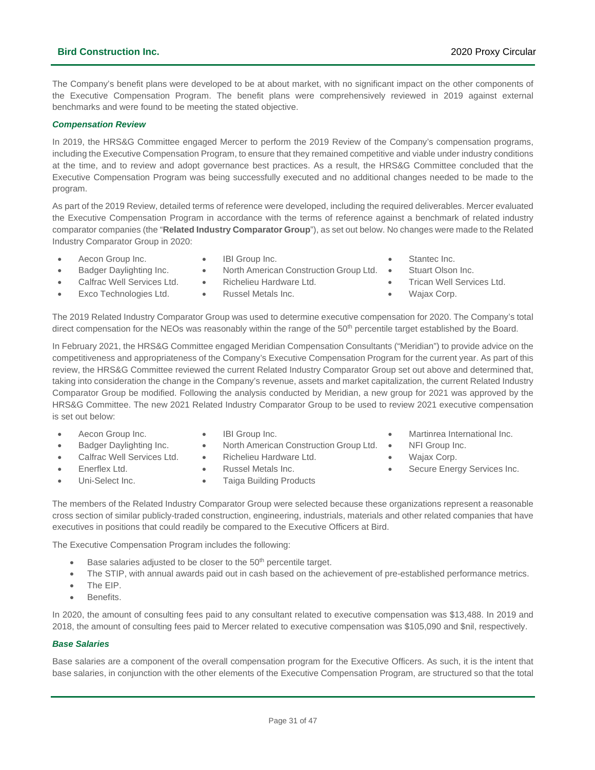### **Bird Construction Inc.** 2020 Proxy Circular

The Company's benefit plans were developed to be at about market, with no significant impact on the other components of the Executive Compensation Program. The benefit plans were comprehensively reviewed in 2019 against external benchmarks and were found to be meeting the stated objective.

### *Compensation Review*

In 2019, the HRS&G Committee engaged Mercer to perform the 2019 Review of the Company's compensation programs, including the Executive Compensation Program, to ensure that they remained competitive and viable under industry conditions at the time, and to review and adopt governance best practices. As a result, the HRS&G Committee concluded that the Executive Compensation Program was being successfully executed and no additional changes needed to be made to the program.

As part of the 2019 Review, detailed terms of reference were developed, including the required deliverables. Mercer evaluated the Executive Compensation Program in accordance with the terms of reference against a benchmark of related industry comparator companies (the "**Related Industry Comparator Group**"), as set out below. No changes were made to the Related Industry Comparator Group in 2020:

- Aecon Group Inc.
- IBI Group Inc.
- North American Construction Group Ltd. •
- Stantec Inc. Stuart Olson Inc.
- Badger Daylighting Inc. Calfrac Well Services Ltd.
- Richelieu Hardware Ltd.
- Trican Well Services Ltd. • Wajax Corp.
- Exco Technologies Ltd.
- Russel Metals Inc.

The 2019 Related Industry Comparator Group was used to determine executive compensation for 2020. The Company's total direct compensation for the NEOs was reasonably within the range of the 50<sup>th</sup> percentile target established by the Board.

In February 2021, the HRS&G Committee engaged Meridian Compensation Consultants ("Meridian") to provide advice on the competitiveness and appropriateness of the Company's Executive Compensation Program for the current year. As part of this review, the HRS&G Committee reviewed the current Related Industry Comparator Group set out above and determined that, taking into consideration the change in the Company's revenue, assets and market capitalization, the current Related Industry Comparator Group be modified. Following the analysis conducted by Meridian, a new group for 2021 was approved by the HRS&G Committee. The new 2021 Related Industry Comparator Group to be used to review 2021 executive compensation is set out below:

- Aecon Group Inc.
- Badger Daylighting Inc.
- Calfrac Well Services Ltd.
- Enerflex Ltd.
- IBI Group Inc. • North American Construction Group Ltd. •
- Richelieu Hardware Ltd.
- 
- Russel Metals Inc.
- Uni-Select Inc.
- Taiga Building Products
- NFI Group Inc.
	- Wajax Corp.
	- Secure Energy Services Inc.

• Martinrea International Inc.

The members of the Related Industry Comparator Group were selected because these organizations represent a reasonable cross section of similar publicly-traded construction, engineering, industrials, materials and other related companies that have executives in positions that could readily be compared to the Executive Officers at Bird.

The Executive Compensation Program includes the following:

- Base salaries adjusted to be closer to the 50<sup>th</sup> percentile target.
- The STIP, with annual awards paid out in cash based on the achievement of pre-established performance metrics.
- The EIP.
- Benefits.

In 2020, the amount of consulting fees paid to any consultant related to executive compensation was \$13,488. In 2019 and 2018, the amount of consulting fees paid to Mercer related to executive compensation was \$105,090 and \$nil, respectively.

### *Base Salaries*

Base salaries are a component of the overall compensation program for the Executive Officers. As such, it is the intent that base salaries, in conjunction with the other elements of the Executive Compensation Program, are structured so that the total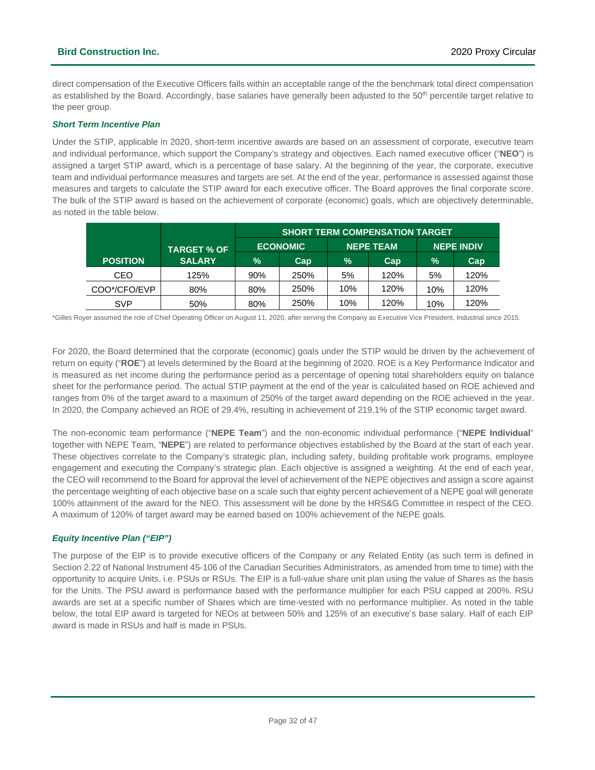direct compensation of the Executive Officers falls within an acceptable range of the the benchmark total direct compensation as established by the Board. Accordingly, base salaries have generally been adjusted to the 50<sup>th</sup> percentile target relative to the peer group.

### *Short Term Incentive Plan*

Under the STIP, applicable in 2020, short-term incentive awards are based on an assessment of corporate, executive team and individual performance, which support the Company's strategy and objectives. Each named executive officer ("**NEO**") is assigned a target STIP award, which is a percentage of base salary. At the beginning of the year, the corporate, executive team and individual performance measures and targets are set. At the end of the year, performance is assessed against those measures and targets to calculate the STIP award for each executive officer. The Board approves the final corporate score. The bulk of the STIP award is based on the achievement of corporate (economic) goals, which are objectively determinable, as noted in the table below.

|                 |                    | <b>SHORT TERM COMPENSATION TARGET</b> |                 |                  |      |                   |      |  |
|-----------------|--------------------|---------------------------------------|-----------------|------------------|------|-------------------|------|--|
|                 | <b>TARGET % OF</b> |                                       | <b>ECONOMIC</b> | <b>NEPE TEAM</b> |      | <b>NEPE INDIV</b> |      |  |
| <b>POSITION</b> | <b>SALARY</b>      | $\%$                                  | Cap             | $\%$             | Cap  | $\%$              | Cap  |  |
| CEO             | 125%               | 90%                                   | 250%            | 5%               | 120% | 5%                | 120% |  |
| COO*/CFO/EVP    | 80%                | 80%                                   | 250%            | 10%              | 120% | 10%               | 120% |  |
| SVP             | 50%                | 80%                                   | 250%            | 10%              | 120% | 10%               | 120% |  |

\*Gilles Royer assumed the role of Chief Operating Officer on August 11, 2020, after serving the Company as Executive Vice President, Industrial since 2015.

For 2020, the Board determined that the corporate (economic) goals under the STIP would be driven by the achievement of return on equity ("**ROE**") at levels determined by the Board at the beginning of 2020. ROE is a Key Performance Indicator and is measured as net income during the performance period as a percentage of opening total shareholders equity on balance sheet for the performance period. The actual STIP payment at the end of the year is calculated based on ROE achieved and ranges from 0% of the target award to a maximum of 250% of the target award depending on the ROE achieved in the year. In 2020, the Company achieved an ROE of 29.4%, resulting in achievement of 219.1% of the STIP economic target award.

The non-economic team performance ("**NEPE Team**") and the non-economic individual performance ("**NEPE Individual**" together with NEPE Team, "**NEPE**") are related to performance objectives established by the Board at the start of each year. These objectives correlate to the Company's strategic plan, including safety, building profitable work programs, employee engagement and executing the Company's strategic plan. Each objective is assigned a weighting. At the end of each year, the CEO will recommend to the Board for approval the level of achievement of the NEPE objectives and assign a score against the percentage weighting of each objective base on a scale such that eighty percent achievement of a NEPE goal will generate 100% attainment of the award for the NEO. This assessment will be done by the HRS&G Committee in respect of the CEO. A maximum of 120% of target award may be earned based on 100% achievement of the NEPE goals.

### *Equity Incentive Plan ("EIP")*

The purpose of the EIP is to provide executive officers of the Company or any Related Entity (as such term is defined in Section 2.22 of National Instrument 45-106 of the Canadian Securities Administrators, as amended from time to time) with the opportunity to acquire Units, i.e. PSUs or RSUs. The EIP is a full-value share unit plan using the value of Shares as the basis for the Units. The PSU award is performance based with the performance multiplier for each PSU capped at 200%. RSU awards are set at a specific number of Shares which are time-vested with no performance multiplier. As noted in the table below, the total EIP award is targeted for NEOs at between 50% and 125% of an executive's base salary. Half of each EIP award is made in RSUs and half is made in PSUs.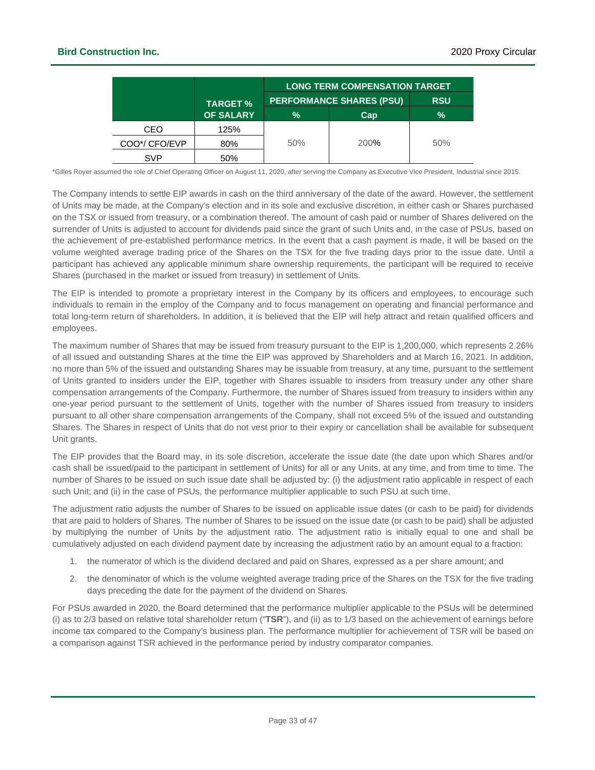|               |                  | <b>LONG TERM COMPENSATION TARGET</b> |                                 |               |  |  |  |
|---------------|------------------|--------------------------------------|---------------------------------|---------------|--|--|--|
|               | <b>TARGET %</b>  |                                      | <b>PERFORMANCE SHARES (PSU)</b> | <b>RSU</b>    |  |  |  |
|               | <b>OF SALARY</b> | $\%$                                 | Cap                             | $\frac{1}{2}$ |  |  |  |
| CEO           | 125%             |                                      |                                 |               |  |  |  |
| COO*/ CFO/EVP | 80%              | 50%                                  | 200%                            | 50%           |  |  |  |
| SVP           | 50%              |                                      |                                 |               |  |  |  |

\*Gilles Royer assumed the role of Chief Operating Officer on August 11, 2020, after serving the Company as Executive Vice President, Industrial since 2015.

The Company intends to settle EIP awards in cash on the third anniversary of the date of the award. However, the settlement of Units may be made, at the Company's election and in its sole and exclusive discretion, in either cash or Shares purchased on the TSX or issued from treasury, or a combination thereof. The amount of cash paid or number of Shares delivered on the surrender of Units is adjusted to account for dividends paid since the grant of such Units and, in the case of PSUs, based on the achievement of pre-established performance metrics. In the event that a cash payment is made, it will be based on the volume weighted average trading price of the Shares on the TSX for the five trading days prior to the issue date. Until a participant has achieved any applicable minimum share ownership requirements, the participant will be required to receive Shares (purchased in the market or issued from treasury) in settlement of Units.

The EIP is intended to promote a proprietary interest in the Company by its officers and employees, to encourage such individuals to remain in the employ of the Company and to focus management on operating and financial performance and total long-term return of shareholders. In addition, it is believed that the EIP will help attract and retain qualified officers and employees.

The maximum number of Shares that may be issued from treasury pursuant to the EIP is 1,200,000, which represents 2.26% of all issued and outstanding Shares at the time the EIP was approved by Shareholders and at March 16, 2021. In addition, no more than 5% of the issued and outstanding Shares may be issuable from treasury, at any time, pursuant to the settlement of Units granted to insiders under the EIP, together with Shares issuable to insiders from treasury under any other share compensation arrangements of the Company. Furthermore, the number of Shares issued from treasury to insiders within any one-year period pursuant to the settlement of Units, together with the number of Shares issued from treasury to insiders pursuant to all other share compensation arrangements of the Company, shall not exceed 5% of the issued and outstanding Shares. The Shares in respect of Units that do not vest prior to their expiry or cancellation shall be available for subsequent Unit grants.

The EIP provides that the Board may, in its sole discretion, accelerate the issue date (the date upon which Shares and/or cash shall be issued/paid to the participant in settlement of Units) for all or any Units, at any time, and from time to time. The number of Shares to be issued on such issue date shall be adjusted by: (i) the adjustment ratio applicable in respect of each such Unit; and (ii) in the case of PSUs, the performance multiplier applicable to such PSU at such time.

The adjustment ratio adjusts the number of Shares to be issued on applicable issue dates (or cash to be paid) for dividends that are paid to holders of Shares. The number of Shares to be issued on the issue date (or cash to be paid) shall be adjusted by multiplying the number of Units by the adjustment ratio. The adjustment ratio is initially equal to one and shall be cumulatively adjusted on each dividend payment date by increasing the adjustment ratio by an amount equal to a fraction:

- 1. the numerator of which is the dividend declared and paid on Shares, expressed as a per share amount; and
- 2. the denominator of which is the volume weighted average trading price of the Shares on the TSX for the five trading days preceding the date for the payment of the dividend on Shares.

For PSUs awarded in 2020, the Board determined that the performance multiplier applicable to the PSUs will be determined (i) as to 2/3 based on relative total shareholder return ("**TSR**"), and (ii) as to 1/3 based on the achievement of earnings before income tax compared to the Company's business plan. The performance multiplier for achievement of TSR will be based on a comparison against TSR achieved in the performance period by industry comparator companies.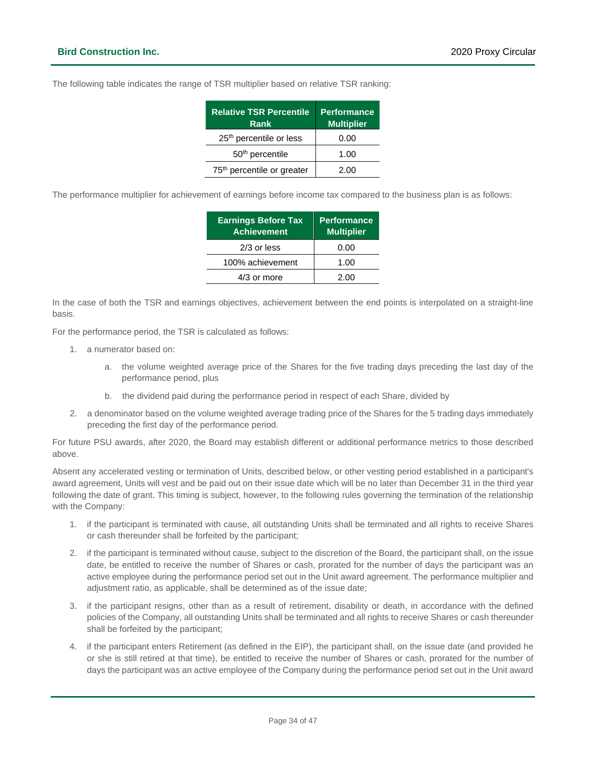The following table indicates the range of TSR multiplier based on relative TSR ranking:

| <b>Relative TSR Percentile</b><br>Rank | <b>Performance</b><br><b>Multiplier</b> |
|----------------------------------------|-----------------------------------------|
| 25 <sup>th</sup> percentile or less    | 0.00                                    |
| 50 <sup>th</sup> percentile            | 1.00                                    |
| 75 <sup>th</sup> percentile or greater | 2.00                                    |

The performance multiplier for achievement of earnings before income tax compared to the business plan is as follows:

| <b>Earnings Before Tax</b><br><b>Achievement</b> | <b>Performance</b><br><b>Multiplier</b> |
|--------------------------------------------------|-----------------------------------------|
| $2/3$ or less                                    | 0.00                                    |
| 100% achievement                                 | 1.00                                    |
| 4/3 or more                                      | 2.00                                    |

In the case of both the TSR and earnings objectives, achievement between the end points is interpolated on a straight-line basis.

For the performance period, the TSR is calculated as follows:

- 1. a numerator based on:
	- a. the volume weighted average price of the Shares for the five trading days preceding the last day of the performance period, plus
	- b. the dividend paid during the performance period in respect of each Share, divided by
- 2. a denominator based on the volume weighted average trading price of the Shares for the 5 trading days immediately preceding the first day of the performance period.

For future PSU awards, after 2020, the Board may establish different or additional performance metrics to those described above.

Absent any accelerated vesting or termination of Units, described below, or other vesting period established in a participant's award agreement, Units will vest and be paid out on their issue date which will be no later than December 31 in the third year following the date of grant. This timing is subject, however, to the following rules governing the termination of the relationship with the Company:

- 1. if the participant is terminated with cause, all outstanding Units shall be terminated and all rights to receive Shares or cash thereunder shall be forfeited by the participant;
- 2. if the participant is terminated without cause, subject to the discretion of the Board, the participant shall, on the issue date, be entitled to receive the number of Shares or cash, prorated for the number of days the participant was an active employee during the performance period set out in the Unit award agreement. The performance multiplier and adjustment ratio, as applicable, shall be determined as of the issue date;
- 3. if the participant resigns, other than as a result of retirement, disability or death, in accordance with the defined policies of the Company, all outstanding Units shall be terminated and all rights to receive Shares or cash thereunder shall be forfeited by the participant;
- 4. if the participant enters Retirement (as defined in the EIP), the participant shall, on the issue date (and provided he or she is still retired at that time), be entitled to receive the number of Shares or cash, prorated for the number of days the participant was an active employee of the Company during the performance period set out in the Unit award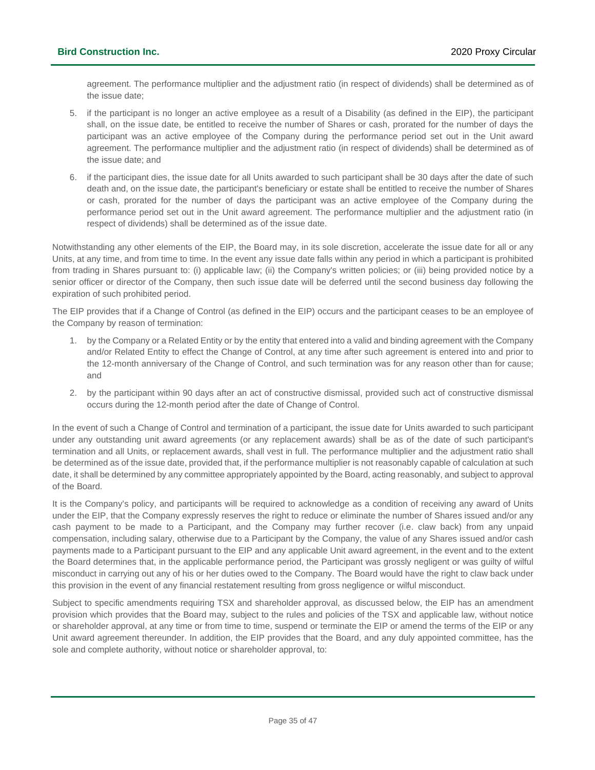agreement. The performance multiplier and the adjustment ratio (in respect of dividends) shall be determined as of the issue date;

- 5. if the participant is no longer an active employee as a result of a Disability (as defined in the EIP), the participant shall, on the issue date, be entitled to receive the number of Shares or cash, prorated for the number of days the participant was an active employee of the Company during the performance period set out in the Unit award agreement. The performance multiplier and the adjustment ratio (in respect of dividends) shall be determined as of the issue date; and
- 6. if the participant dies, the issue date for all Units awarded to such participant shall be 30 days after the date of such death and, on the issue date, the participant's beneficiary or estate shall be entitled to receive the number of Shares or cash, prorated for the number of days the participant was an active employee of the Company during the performance period set out in the Unit award agreement. The performance multiplier and the adjustment ratio (in respect of dividends) shall be determined as of the issue date.

Notwithstanding any other elements of the EIP, the Board may, in its sole discretion, accelerate the issue date for all or any Units, at any time, and from time to time. In the event any issue date falls within any period in which a participant is prohibited from trading in Shares pursuant to: (i) applicable law; (ii) the Company's written policies; or (iii) being provided notice by a senior officer or director of the Company, then such issue date will be deferred until the second business day following the expiration of such prohibited period.

The EIP provides that if a Change of Control (as defined in the EIP) occurs and the participant ceases to be an employee of the Company by reason of termination:

- 1. by the Company or a Related Entity or by the entity that entered into a valid and binding agreement with the Company and/or Related Entity to effect the Change of Control, at any time after such agreement is entered into and prior to the 12-month anniversary of the Change of Control, and such termination was for any reason other than for cause; and
- 2. by the participant within 90 days after an act of constructive dismissal, provided such act of constructive dismissal occurs during the 12-month period after the date of Change of Control.

In the event of such a Change of Control and termination of a participant, the issue date for Units awarded to such participant under any outstanding unit award agreements (or any replacement awards) shall be as of the date of such participant's termination and all Units, or replacement awards, shall vest in full. The performance multiplier and the adjustment ratio shall be determined as of the issue date, provided that, if the performance multiplier is not reasonably capable of calculation at such date, it shall be determined by any committee appropriately appointed by the Board, acting reasonably, and subject to approval of the Board.

It is the Company's policy, and participants will be required to acknowledge as a condition of receiving any award of Units under the EIP, that the Company expressly reserves the right to reduce or eliminate the number of Shares issued and/or any cash payment to be made to a Participant, and the Company may further recover (i.e. claw back) from any unpaid compensation, including salary, otherwise due to a Participant by the Company, the value of any Shares issued and/or cash payments made to a Participant pursuant to the EIP and any applicable Unit award agreement, in the event and to the extent the Board determines that, in the applicable performance period, the Participant was grossly negligent or was guilty of wilful misconduct in carrying out any of his or her duties owed to the Company. The Board would have the right to claw back under this provision in the event of any financial restatement resulting from gross negligence or wilful misconduct.

Subject to specific amendments requiring TSX and shareholder approval, as discussed below, the EIP has an amendment provision which provides that the Board may, subject to the rules and policies of the TSX and applicable law, without notice or shareholder approval, at any time or from time to time, suspend or terminate the EIP or amend the terms of the EIP or any Unit award agreement thereunder. In addition, the EIP provides that the Board, and any duly appointed committee, has the sole and complete authority, without notice or shareholder approval, to: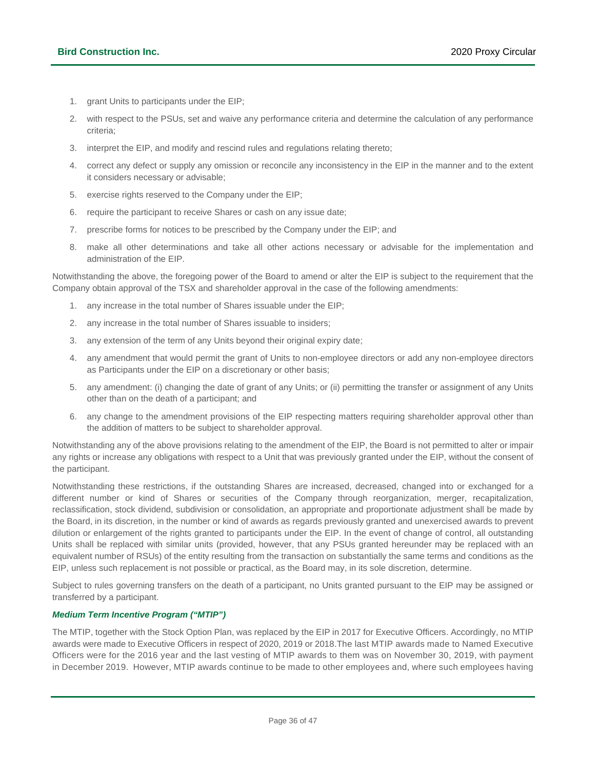- 1. grant Units to participants under the EIP;
- 2. with respect to the PSUs, set and waive any performance criteria and determine the calculation of any performance criteria;
- 3. interpret the EIP, and modify and rescind rules and regulations relating thereto;
- 4. correct any defect or supply any omission or reconcile any inconsistency in the EIP in the manner and to the extent it considers necessary or advisable;
- 5. exercise rights reserved to the Company under the EIP;
- 6. require the participant to receive Shares or cash on any issue date;
- 7. prescribe forms for notices to be prescribed by the Company under the EIP; and
- 8. make all other determinations and take all other actions necessary or advisable for the implementation and administration of the EIP.

Notwithstanding the above, the foregoing power of the Board to amend or alter the EIP is subject to the requirement that the Company obtain approval of the TSX and shareholder approval in the case of the following amendments:

- 1. any increase in the total number of Shares issuable under the EIP;
- 2. any increase in the total number of Shares issuable to insiders;
- 3. any extension of the term of any Units beyond their original expiry date;
- 4. any amendment that would permit the grant of Units to non-employee directors or add any non-employee directors as Participants under the EIP on a discretionary or other basis;
- 5. any amendment: (i) changing the date of grant of any Units; or (ii) permitting the transfer or assignment of any Units other than on the death of a participant; and
- 6. any change to the amendment provisions of the EIP respecting matters requiring shareholder approval other than the addition of matters to be subject to shareholder approval.

Notwithstanding any of the above provisions relating to the amendment of the EIP, the Board is not permitted to alter or impair any rights or increase any obligations with respect to a Unit that was previously granted under the EIP, without the consent of the participant.

Notwithstanding these restrictions, if the outstanding Shares are increased, decreased, changed into or exchanged for a different number or kind of Shares or securities of the Company through reorganization, merger, recapitalization, reclassification, stock dividend, subdivision or consolidation, an appropriate and proportionate adjustment shall be made by the Board, in its discretion, in the number or kind of awards as regards previously granted and unexercised awards to prevent dilution or enlargement of the rights granted to participants under the EIP. In the event of change of control, all outstanding Units shall be replaced with similar units (provided, however, that any PSUs granted hereunder may be replaced with an equivalent number of RSUs) of the entity resulting from the transaction on substantially the same terms and conditions as the EIP, unless such replacement is not possible or practical, as the Board may, in its sole discretion, determine.

Subject to rules governing transfers on the death of a participant, no Units granted pursuant to the EIP may be assigned or transferred by a participant.

### *Medium Term Incentive Program ("MTIP")*

The MTIP, together with the Stock Option Plan, was replaced by the EIP in 2017 for Executive Officers. Accordingly, no MTIP awards were made to Executive Officers in respect of 2020, 2019 or 2018.The last MTIP awards made to Named Executive Officers were for the 2016 year and the last vesting of MTIP awards to them was on November 30, 2019, with payment in December 2019. However, MTIP awards continue to be made to other employees and, where such employees having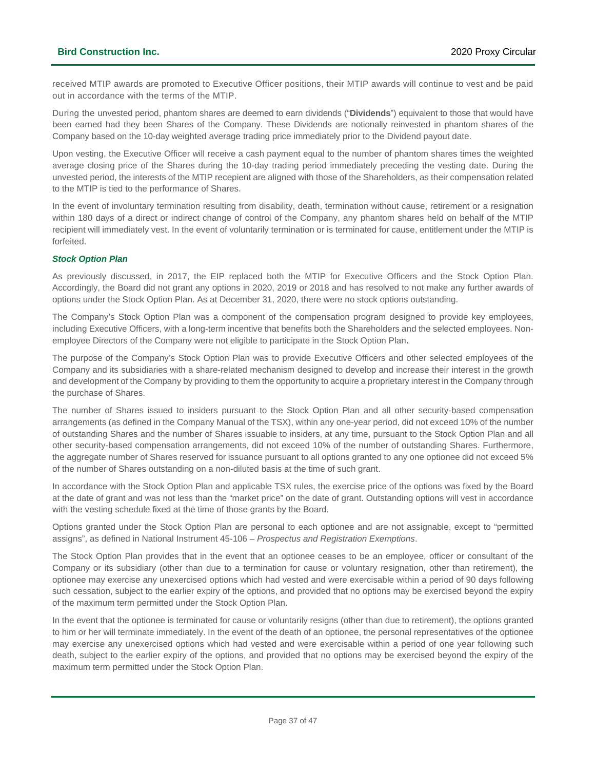received MTIP awards are promoted to Executive Officer positions, their MTIP awards will continue to vest and be paid out in accordance with the terms of the MTIP.

During the unvested period, phantom shares are deemed to earn dividends ("**Dividends**") equivalent to those that would have been earned had they been Shares of the Company. These Dividends are notionally reinvested in phantom shares of the Company based on the 10-day weighted average trading price immediately prior to the Dividend payout date.

Upon vesting, the Executive Officer will receive a cash payment equal to the number of phantom shares times the weighted average closing price of the Shares during the 10-day trading period immediately preceding the vesting date. During the unvested period, the interests of the MTIP recepient are aligned with those of the Shareholders, as their compensation related to the MTIP is tied to the performance of Shares.

In the event of involuntary termination resulting from disability, death, termination without cause, retirement or a resignation within 180 days of a direct or indirect change of control of the Company, any phantom shares held on behalf of the MTIP recipient will immediately vest. In the event of voluntarily termination or is terminated for cause, entitlement under the MTIP is forfeited.

### *Stock Option Plan*

As previously discussed, in 2017, the EIP replaced both the MTIP for Executive Officers and the Stock Option Plan. Accordingly, the Board did not grant any options in 2020, 2019 or 2018 and has resolved to not make any further awards of options under the Stock Option Plan. As at December 31, 2020, there were no stock options outstanding.

The Company's Stock Option Plan was a component of the compensation program designed to provide key employees, including Executive Officers, with a long-term incentive that benefits both the Shareholders and the selected employees. Nonemployee Directors of the Company were not eligible to participate in the Stock Option Plan.

The purpose of the Company's Stock Option Plan was to provide Executive Officers and other selected employees of the Company and its subsidiaries with a share-related mechanism designed to develop and increase their interest in the growth and development of the Company by providing to them the opportunity to acquire a proprietary interest in the Company through the purchase of Shares.

The number of Shares issued to insiders pursuant to the Stock Option Plan and all other security-based compensation arrangements (as defined in the Company Manual of the TSX), within any one-year period, did not exceed 10% of the number of outstanding Shares and the number of Shares issuable to insiders, at any time, pursuant to the Stock Option Plan and all other security-based compensation arrangements, did not exceed 10% of the number of outstanding Shares. Furthermore, the aggregate number of Shares reserved for issuance pursuant to all options granted to any one optionee did not exceed 5% of the number of Shares outstanding on a non-diluted basis at the time of such grant.

In accordance with the Stock Option Plan and applicable TSX rules, the exercise price of the options was fixed by the Board at the date of grant and was not less than the "market price" on the date of grant. Outstanding options will vest in accordance with the vesting schedule fixed at the time of those grants by the Board.

Options granted under the Stock Option Plan are personal to each optionee and are not assignable, except to "permitted assigns", as defined in National Instrument 45-106 – *Prospectus and Registration Exemptions*.

The Stock Option Plan provides that in the event that an optionee ceases to be an employee, officer or consultant of the Company or its subsidiary (other than due to a termination for cause or voluntary resignation, other than retirement), the optionee may exercise any unexercised options which had vested and were exercisable within a period of 90 days following such cessation, subject to the earlier expiry of the options, and provided that no options may be exercised beyond the expiry of the maximum term permitted under the Stock Option Plan.

In the event that the optionee is terminated for cause or voluntarily resigns (other than due to retirement), the options granted to him or her will terminate immediately. In the event of the death of an optionee, the personal representatives of the optionee may exercise any unexercised options which had vested and were exercisable within a period of one year following such death, subject to the earlier expiry of the options, and provided that no options may be exercised beyond the expiry of the maximum term permitted under the Stock Option Plan.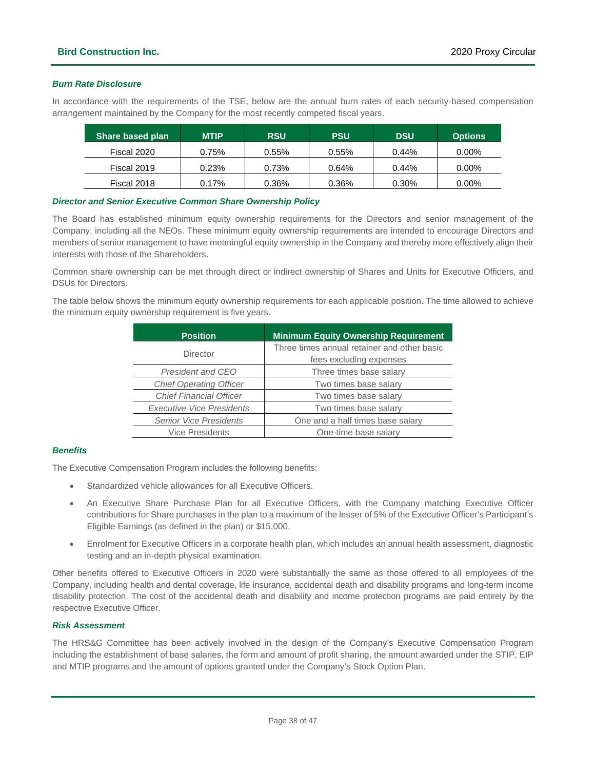### *Burn Rate Disclosure*

In accordance with the requirements of the TSE, below are the annual burn rates of each security-based compensation arrangement maintained by the Company for the most recently competed fiscal years.

| <b>Share based plan</b> | <b>MTIP</b> | <b>RSU</b> | <b>PSU</b> | <b>DSU</b> | <b>Options</b> |
|-------------------------|-------------|------------|------------|------------|----------------|
| Fiscal 2020             | 0.75%       | 0.55%      | 0.55%      | 0.44%      | $0.00\%$       |
| Fiscal 2019             | 0.23%       | 0.73%      | 0.64%      | $0.44\%$   | $0.00\%$       |
| Fiscal 2018             | 0.17%       | 0.36%      | 0.36%      | 0.30%      | $0.00\%$       |

### *Director and Senior Executive Common Share Ownership Policy*

The Board has established minimum equity ownership requirements for the Directors and senior management of the Company, including all the NEOs. These minimum equity ownership requirements are intended to encourage Directors and members of senior management to have meaningful equity ownership in the Company and thereby more effectively align their interests with those of the Shareholders.

Common share ownership can be met through direct or indirect ownership of Shares and Units for Executive Officers, and DSUs for Directors.

The table below shows the minimum equity ownership requirements for each applicable position. The time allowed to achieve the minimum equity ownership requirement is five years.

| <b>Position</b>                  | <b>Minimum Equity Ownership Requirement</b> |  |  |  |
|----------------------------------|---------------------------------------------|--|--|--|
| Director                         | Three times annual retainer and other basic |  |  |  |
|                                  | fees excluding expenses                     |  |  |  |
| President and CEO                | Three times base salary                     |  |  |  |
| <b>Chief Operating Officer</b>   | Two times base salary                       |  |  |  |
| <b>Chief Financial Officer</b>   | Two times base salary                       |  |  |  |
| <b>Executive Vice Presidents</b> | Two times base salary                       |  |  |  |
| <b>Senior Vice Presidents</b>    | One and a half times base salary            |  |  |  |
| <b>Vice Presidents</b>           | One-time base salary                        |  |  |  |

### *Benefits*

The Executive Compensation Program includes the following benefits:

- Standardized vehicle allowances for all Executive Officers.
- An Executive Share Purchase Plan for all Executive Officers, with the Company matching Executive Officer contributions for Share purchases in the plan to a maximum of the lesser of 5% of the Executive Officer's Participant's Eligible Earnings (as defined in the plan) or \$15,000.
- Enrolment for Executive Officers in a corporate health plan, which includes an annual health assessment, diagnostic testing and an in-depth physical examination.

Other benefits offered to Executive Officers in 2020 were substantially the same as those offered to all employees of the Company, including health and dental coverage, life insurance, accidental death and disability programs and long-term income disability protection. The cost of the accidental death and disability and income protection programs are paid entirely by the respective Executive Officer.

### *Risk Assessment*

The HRS&G Committee has been actively involved in the design of the Company's Executive Compensation Program including the establishment of base salaries, the form and amount of profit sharing, the amount awarded under the STIP, EIP and MTIP programs and the amount of options granted under the Company's Stock Option Plan.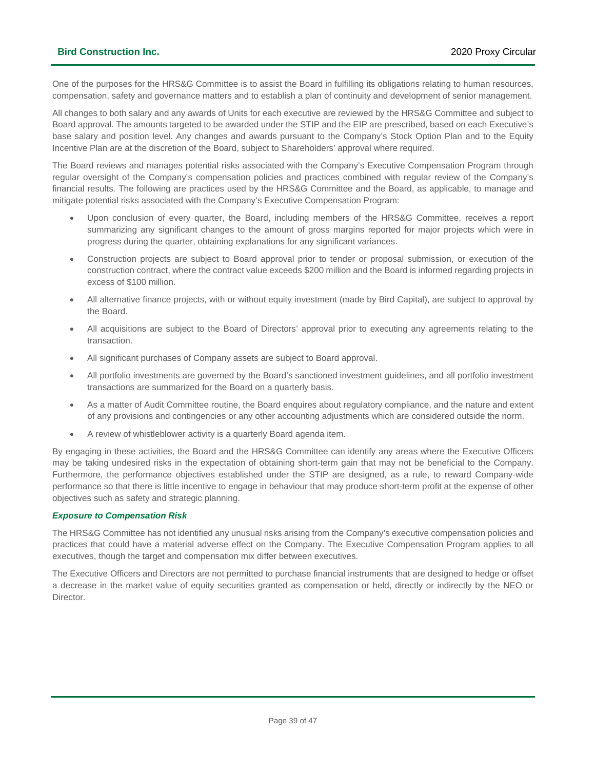One of the purposes for the HRS&G Committee is to assist the Board in fulfilling its obligations relating to human resources, compensation, safety and governance matters and to establish a plan of continuity and development of senior management.

All changes to both salary and any awards of Units for each executive are reviewed by the HRS&G Committee and subject to Board approval. The amounts targeted to be awarded under the STIP and the EIP are prescribed, based on each Executive's base salary and position level. Any changes and awards pursuant to the Company's Stock Option Plan and to the Equity Incentive Plan are at the discretion of the Board, subject to Shareholders' approval where required.

The Board reviews and manages potential risks associated with the Company's Executive Compensation Program through regular oversight of the Company's compensation policies and practices combined with regular review of the Company's financial results. The following are practices used by the HRS&G Committee and the Board, as applicable, to manage and mitigate potential risks associated with the Company's Executive Compensation Program:

- Upon conclusion of every quarter, the Board, including members of the HRS&G Committee, receives a report summarizing any significant changes to the amount of gross margins reported for major projects which were in progress during the quarter, obtaining explanations for any significant variances.
- Construction projects are subject to Board approval prior to tender or proposal submission, or execution of the construction contract, where the contract value exceeds \$200 million and the Board is informed regarding projects in excess of \$100 million.
- All alternative finance projects, with or without equity investment (made by Bird Capital), are subject to approval by the Board.
- All acquisitions are subject to the Board of Directors' approval prior to executing any agreements relating to the transaction.
- All significant purchases of Company assets are subject to Board approval.
- All portfolio investments are governed by the Board's sanctioned investment guidelines, and all portfolio investment transactions are summarized for the Board on a quarterly basis.
- As a matter of Audit Committee routine, the Board enquires about regulatory compliance, and the nature and extent of any provisions and contingencies or any other accounting adjustments which are considered outside the norm.
- A review of whistleblower activity is a quarterly Board agenda item.

By engaging in these activities, the Board and the HRS&G Committee can identify any areas where the Executive Officers may be taking undesired risks in the expectation of obtaining short-term gain that may not be beneficial to the Company. Furthermore, the performance objectives established under the STIP are designed, as a rule, to reward Company-wide performance so that there is little incentive to engage in behaviour that may produce short-term profit at the expense of other objectives such as safety and strategic planning.

### *Exposure to Compensation Risk*

The HRS&G Committee has not identified any unusual risks arising from the Company's executive compensation policies and practices that could have a material adverse effect on the Company. The Executive Compensation Program applies to all executives, though the target and compensation mix differ between executives.

The Executive Officers and Directors are not permitted to purchase financial instruments that are designed to hedge or offset a decrease in the market value of equity securities granted as compensation or held, directly or indirectly by the NEO or Director.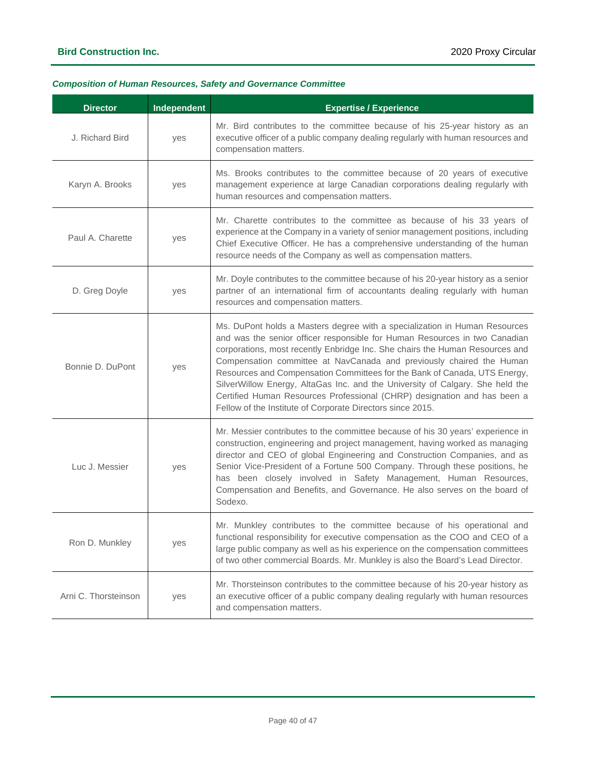### *Composition of Human Resources, Safety and Governance Committee*

| <b>Director</b>                  | <b>Independent</b> | <b>Expertise / Experience</b>                                                                                                                                                                                                                                                                                                                                                                                                                                                                                                                                                                                            |  |  |
|----------------------------------|--------------------|--------------------------------------------------------------------------------------------------------------------------------------------------------------------------------------------------------------------------------------------------------------------------------------------------------------------------------------------------------------------------------------------------------------------------------------------------------------------------------------------------------------------------------------------------------------------------------------------------------------------------|--|--|
| J. Richard Bird                  | yes                | Mr. Bird contributes to the committee because of his 25-year history as an<br>executive officer of a public company dealing regularly with human resources and<br>compensation matters.                                                                                                                                                                                                                                                                                                                                                                                                                                  |  |  |
| Karyn A. Brooks                  | yes                | Ms. Brooks contributes to the committee because of 20 years of executive<br>management experience at large Canadian corporations dealing regularly with<br>human resources and compensation matters.                                                                                                                                                                                                                                                                                                                                                                                                                     |  |  |
| Paul A. Charette                 | yes                | Mr. Charette contributes to the committee as because of his 33 years of<br>experience at the Company in a variety of senior management positions, including<br>Chief Executive Officer. He has a comprehensive understanding of the human<br>resource needs of the Company as well as compensation matters.                                                                                                                                                                                                                                                                                                              |  |  |
| D. Greg Doyle                    | yes                | Mr. Doyle contributes to the committee because of his 20-year history as a senior<br>partner of an international firm of accountants dealing regularly with human<br>resources and compensation matters.                                                                                                                                                                                                                                                                                                                                                                                                                 |  |  |
| Bonnie D. DuPont                 | yes                | Ms. DuPont holds a Masters degree with a specialization in Human Resources<br>and was the senior officer responsible for Human Resources in two Canadian<br>corporations, most recently Enbridge Inc. She chairs the Human Resources and<br>Compensation committee at NavCanada and previously chaired the Human<br>Resources and Compensation Committees for the Bank of Canada, UTS Energy,<br>SilverWillow Energy, AltaGas Inc. and the University of Calgary. She held the<br>Certified Human Resources Professional (CHRP) designation and has been a<br>Fellow of the Institute of Corporate Directors since 2015. |  |  |
| Luc J. Messier<br>yes<br>Sodexo. |                    | Mr. Messier contributes to the committee because of his 30 years' experience in<br>construction, engineering and project management, having worked as managing<br>director and CEO of global Engineering and Construction Companies, and as<br>Senior Vice-President of a Fortune 500 Company. Through these positions, he<br>has been closely involved in Safety Management, Human Resources,<br>Compensation and Benefits, and Governance. He also serves on the board of                                                                                                                                              |  |  |
| Ron D. Munkley                   | yes                | Mr. Munkley contributes to the committee because of his operational and<br>functional responsibility for executive compensation as the COO and CEO of a<br>large public company as well as his experience on the compensation committees<br>of two other commercial Boards. Mr. Munkley is also the Board's Lead Director.                                                                                                                                                                                                                                                                                               |  |  |
| Arni C. Thorsteinson             | yes                | Mr. Thorsteinson contributes to the committee because of his 20-year history as<br>an executive officer of a public company dealing regularly with human resources<br>and compensation matters.                                                                                                                                                                                                                                                                                                                                                                                                                          |  |  |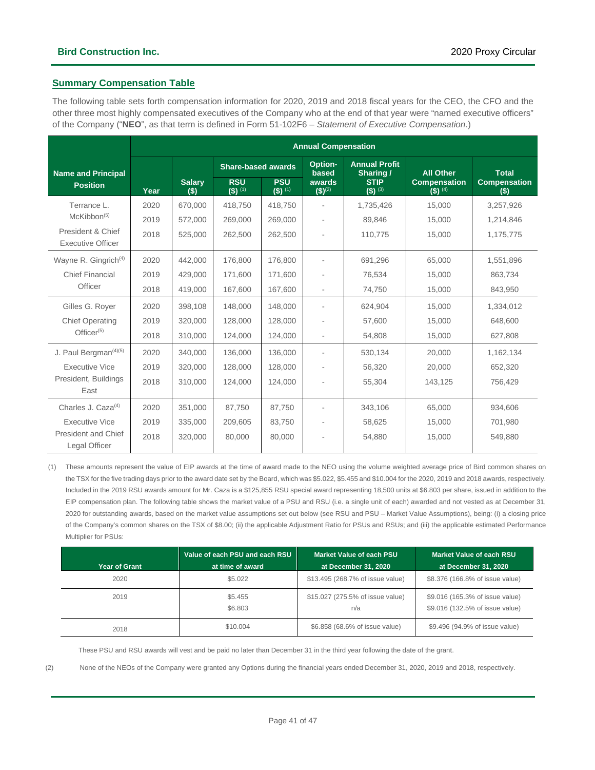### **Summary Compensation Table**

The following table sets forth compensation information for 2020, 2019 and 2018 fiscal years for the CEO, the CFO and the other three most highly compensated executives of the Company who at the end of that year were "named executive officers" of the Company ("**NEO**", as that term is defined in Form 51-102F6 – *Statement of Executive Compensation*.)

|                                               | <b>Annual Compensation</b> |                           |                         |                         |                                   |                                     |                                  |                            |
|-----------------------------------------------|----------------------------|---------------------------|-------------------------|-------------------------|-----------------------------------|-------------------------------------|----------------------------------|----------------------------|
| <b>Name and Principal</b>                     |                            | <b>Share-based awards</b> |                         | Option-<br>based        | <b>Annual Profit</b><br>Sharing / | <b>All Other</b>                    | <b>Total</b>                     |                            |
| <b>Position</b>                               | Year                       | <b>Salary</b><br>(S)      | <b>RSU</b><br>$(5)$ (1) | <b>PSU</b><br>$(5)$ (1) | awards<br>$($ \$) <sup>(2)</sup>  | <b>STIP</b><br>$(5)$ <sup>(3)</sup> | <b>Compensation</b><br>$(5)$ (4) | <b>Compensation</b><br>(s) |
| Terrance L.                                   | 2020                       | 670.000                   | 418.750                 | 418.750                 |                                   | 1.735.426                           | 15.000                           | 3,257,926                  |
| McKibbon <sup>(5)</sup>                       | 2019                       | 572,000                   | 269,000                 | 269,000                 |                                   | 89,846                              | 15,000                           | 1,214,846                  |
| President & Chief<br><b>Executive Officer</b> | 2018                       | 525,000                   | 262,500                 | 262,500                 |                                   | 110,775                             | 15,000                           | 1,175,775                  |
| Wayne R. Gingrich <sup>(4)</sup>              | 2020                       | 442.000                   | 176.800                 | 176,800                 |                                   | 691.296                             | 65.000                           | 1,551,896                  |
| <b>Chief Financial</b><br>Officer             | 2019                       | 429.000                   | 171,600                 | 171.600                 |                                   | 76,534                              | 15.000                           | 863.734                    |
|                                               | 2018                       | 419,000                   | 167,600                 | 167,600                 |                                   | 74,750                              | 15,000                           | 843,950                    |
| Gilles G. Royer                               | 2020                       | 398.108                   | 148,000                 | 148,000                 |                                   | 624,904                             | 15,000                           | 1,334,012                  |
| <b>Chief Operating</b><br>$Officer^{(5)}$     | 2019                       | 320,000                   | 128,000                 | 128,000                 |                                   | 57,600                              | 15,000                           | 648,600                    |
|                                               | 2018                       | 310,000                   | 124,000                 | 124,000                 | $\overline{\phantom{a}}$          | 54,808                              | 15,000                           | 627,808                    |
| J. Paul Bergman <sup>(4)(5)</sup>             | 2020                       | 340.000                   | 136.000                 | 136,000                 |                                   | 530,134                             | 20.000                           | 1,162,134                  |
| <b>Executive Vice</b>                         | 2019                       | 320,000                   | 128,000                 | 128,000                 |                                   | 56,320                              | 20,000                           | 652,320                    |
| President, Buildings<br>East                  | 2018                       | 310,000                   | 124,000                 | 124,000                 |                                   | 55,304                              | 143,125                          | 756,429                    |
| Charles J. Caza $(4)$                         | 2020                       | 351,000                   | 87.750                  | 87.750                  |                                   | 343.106                             | 65,000                           | 934.606                    |
| <b>Executive Vice</b>                         | 2019                       | 335,000                   | 209,605                 | 83,750                  |                                   | 58,625                              | 15,000                           | 701,980                    |
| President and Chief<br>Legal Officer          | 2018                       | 320,000                   | 80,000                  | 80,000                  |                                   | 54,880                              | 15,000                           | 549,880                    |

(1) These amounts represent the value of EIP awards at the time of award made to the NEO using the volume weighted average price of Bird common shares on the TSX for the five trading days prior to the award date set by the Board, which was \$5.022, \$5.455 and \$10.004 for the 2020, 2019 and 2018 awards, respectively. Included in the 2019 RSU awards amount for Mr. Caza is a \$125,855 RSU special award representing 18,500 units at \$6.803 per share, issued in addition to the EIP compensation plan. The following table shows the market value of a PSU and RSU (i.e. a single unit of each) awarded and not vested as at December 31, 2020 for outstanding awards, based on the market value assumptions set out below (see RSU and PSU – Market Value Assumptions), being: (i) a closing price of the Company's common shares on the TSX of \$8.00; (ii) the applicable Adjustment Ratio for PSUs and RSUs; and (iii) the applicable estimated Performance Multiplier for PSUs:

|                      | Value of each PSU and each RSU | Market Value of each PSU                | Market Value of each RSU                                           |
|----------------------|--------------------------------|-----------------------------------------|--------------------------------------------------------------------|
| <b>Year of Grant</b> | at time of award               | at December 31, 2020                    | at December 31, 2020                                               |
| 2020                 | \$5.022                        | \$13.495 (268.7% of issue value)        | \$8.376 (166.8% of issue value)                                    |
| 2019                 | \$5.455<br>\$6.803             | \$15.027 (275.5% of issue value)<br>n/a | \$9.016 (165.3% of issue value)<br>\$9.016 (132.5% of issue value) |
| 2018                 | \$10.004                       | \$6.858 (68.6% of issue value)          | \$9.496 (94.9% of issue value)                                     |

These PSU and RSU awards will vest and be paid no later than December 31 in the third year following the date of the grant.

(2) None of the NEOs of the Company were granted any Options during the financial years ended December 31, 2020, 2019 and 2018, respectively.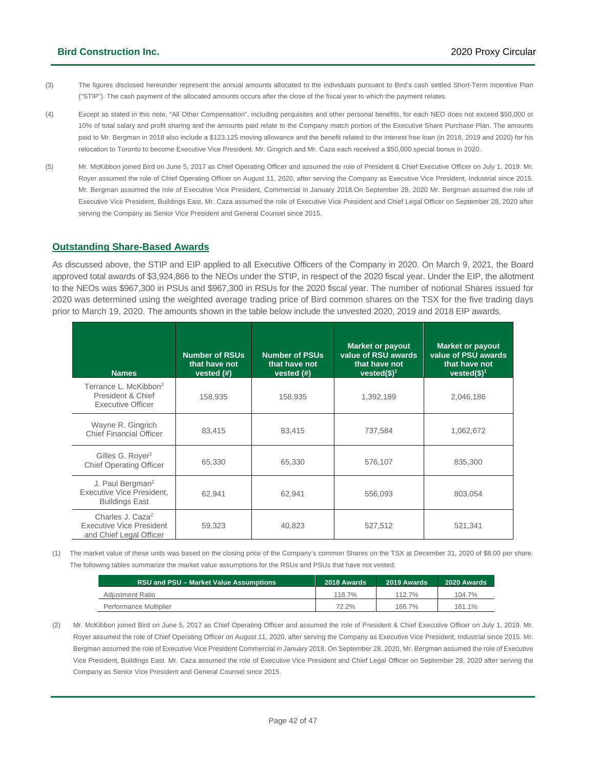- (3) The figures disclosed hereunder represent the annual amounts allocated to the individuals pursuant to Bird's cash settled Short-Term Incentive Plan ("STIP"). The cash payment of the allocated amounts occurs after the close of the fiscal year to which the payment relates.
- (4) Except as stated in this note, "All Other Compensation", including perquisites and other personal benefits, for each NEO does not exceed \$50,000 or 10% of total salary and profit sharing and the amounts paid relate to the Company match portion of the Executive Share Purchase Plan. The amounts paid to Mr. Bergman in 2018 also include a \$123,125 moving allowance and the benefit related to the interest free loan (in 2018, 2019 and 2020) for his relocation to Toronto to become Executive Vice President. Mr. Gingrich and Mr. Caza each received a \$50,000 special bonus in 2020.
- (5) Mr. McKibbon joined Bird on June 5, 2017 as Chief Operating Officer and assumed the role of President & Chief Executive Officer on July 1, 2019. Mr. Royer assumed the role of Chief Operating Officer on August 11, 2020, after serving the Company as Executive Vice President, Industrial since 2015. Mr. Bergman assumed the role of Executive Vice President, Commercial in January 2018.On September 28, 2020 Mr. Bergman assumed the role of Executive Vice President, Buildings East. Mr. Caza assumed the role of Executive Vice President and Chief Legal Officer on September 28, 2020 after serving the Company as Senior Vice President and General Counsel since 2015.

### **Outstanding Share-Based Awards**

As discussed above, the STIP and EIP applied to all Executive Officers of the Company in 2020. On March 9, 2021, the Board approved total awards of \$3,924,866 to the NEOs under the STIP, in respect of the 2020 fiscal year. Under the EIP, the allotment to the NEOs was \$967,300 in PSUs and \$967,300 in RSUs for the 2020 fiscal year. The number of notional Shares issued for 2020 was determined using the weighted average trading price of Bird common shares on the TSX for the five trading days prior to March 19, 2020. The amounts shown in the table below include the unvested 2020, 2019 and 2018 EIP awards.

| <b>Names</b>                                                                               | <b>Number of RSUs</b><br>that have not<br>vested $(H)$ | <b>Number of PSUs</b><br>that have not<br>vested $(H)$ | <b>Market or payout</b><br>value of RSU awards<br>that have not<br>vested $($)^1$ | <b>Market or payout</b><br>value of PSU awards<br>that have not<br>vested $($)^1$ |
|--------------------------------------------------------------------------------------------|--------------------------------------------------------|--------------------------------------------------------|-----------------------------------------------------------------------------------|-----------------------------------------------------------------------------------|
| Terrance L. McKibbon <sup>2</sup><br>President & Chief<br><b>Executive Officer</b>         | 158,935                                                | 158,935                                                | 1,392,189                                                                         | 2,046,186                                                                         |
| Wayne R. Gingrich<br><b>Chief Financial Officer</b>                                        | 83,415                                                 | 83,415                                                 | 737,584                                                                           | 1,062,672                                                                         |
| Gilles G. Royer <sup>2</sup><br><b>Chief Operating Officer</b>                             | 65,330                                                 | 65,330                                                 | 576,107                                                                           | 835,300                                                                           |
| J. Paul Bergman <sup>2</sup><br>Executive Vice President.<br><b>Buildings East</b>         | 62,941                                                 | 62,941                                                 | 556,093                                                                           | 803,054                                                                           |
| Charles J. Caza <sup>2</sup><br><b>Executive Vice President</b><br>and Chief Legal Officer | 59,323                                                 | 40,823                                                 | 527,512                                                                           | 521,341                                                                           |

(1) The market value of these units was based on the closing price of the Company's common Shares on the TSX at December 31, 2020 of \$8.00 per share. The following tables summarize the market value assumptions for the RSUs and PSUs that have not vested:

| RSU and PSU – Market Value Assumptions | 2018 Awards | 2019 Awards | 2020 Awards |
|----------------------------------------|-------------|-------------|-------------|
| Adiustment Ratio                       | 118.7%      | 112.7%      | 104.7%      |
| Performance Multiplier                 | 72.2%       | 166.7%      | 161.1%      |

(2) Mr. McKibbon joined Bird on June 5, 2017 as Chief Operating Officer and assumed the role of President & Chief Executive Officer on July 1, 2019. Mr. Royer assumed the role of Chief Operating Officer on August 11, 2020, after serving the Company as Executive Vice President, Industrial since 2015. Mr. Bergman assumed the role of Executive Vice President Commercial in January 2018. On September 28, 2020, Mr. Bergman assumed the role of Executive Vice President, Buildings East. Mr. Caza assumed the role of Executive Vice President and Chief Legal Officer on September 28, 2020 after serving the Company as Senior Vice President and General Counsel since 2015.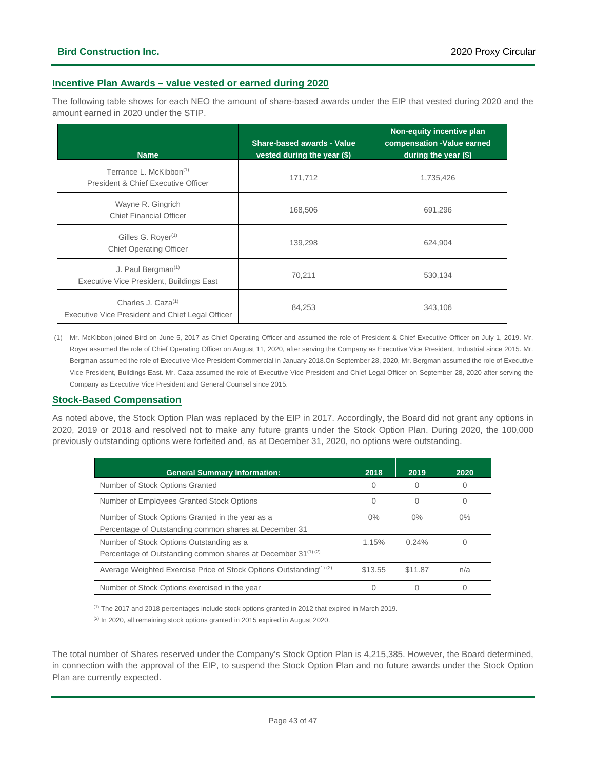### **Incentive Plan Awards – value vested or earned during 2020**

The following table shows for each NEO the amount of share-based awards under the EIP that vested during 2020 and the amount earned in 2020 under the STIP.

| <b>Name</b>                                                                        | <b>Share-based awards - Value</b><br>vested during the year (\$) | Non-equity incentive plan<br>compensation -Value earned<br>during the year (\$) |
|------------------------------------------------------------------------------------|------------------------------------------------------------------|---------------------------------------------------------------------------------|
| Terrance L. McKibbon <sup>(1)</sup><br>President & Chief Executive Officer         | 171,712                                                          | 1,735,426                                                                       |
| Wayne R. Gingrich<br><b>Chief Financial Officer</b>                                | 168,506                                                          | 691,296                                                                         |
| Gilles G. Royer <sup>(1)</sup><br><b>Chief Operating Officer</b>                   | 139,298                                                          | 624,904                                                                         |
| J. Paul Bergman $(1)$<br>Executive Vice President, Buildings East                  | 70,211                                                           | 530,134                                                                         |
| Charles J. Caza <sup>(1)</sup><br>Executive Vice President and Chief Legal Officer | 84,253                                                           | 343,106                                                                         |

(1) Mr. McKibbon joined Bird on June 5, 2017 as Chief Operating Officer and assumed the role of President & Chief Executive Officer on July 1, 2019. Mr. Royer assumed the role of Chief Operating Officer on August 11, 2020, after serving the Company as Executive Vice President, Industrial since 2015. Mr. Bergman assumed the role of Executive Vice President Commercial in January 2018.On September 28, 2020, Mr. Bergman assumed the role of Executive Vice President, Buildings East. Mr. Caza assumed the role of Executive Vice President and Chief Legal Officer on September 28, 2020 after serving the Company as Executive Vice President and General Counsel since 2015.

### **Stock-Based Compensation**

As noted above, the Stock Option Plan was replaced by the EIP in 2017. Accordingly, the Board did not grant any options in 2020, 2019 or 2018 and resolved not to make any future grants under the Stock Option Plan. During 2020, the 100,000 previously outstanding options were forfeited and, as at December 31, 2020, no options were outstanding.

| <b>General Summary Information:</b>                                                                                              | 2018    | 2019    | 2020  |
|----------------------------------------------------------------------------------------------------------------------------------|---------|---------|-------|
| Number of Stock Options Granted                                                                                                  | $\cup$  |         |       |
| Number of Employees Granted Stock Options                                                                                        | 0       |         |       |
| Number of Stock Options Granted in the year as a<br>Percentage of Outstanding common shares at December 31                       | $0\%$   | $0\%$   | $0\%$ |
| Number of Stock Options Outstanding as a<br>Percentage of Outstanding common shares at December 31 <sup>(1)</sup> <sup>(2)</sup> | 1.15%   | 0.24%   |       |
| Average Weighted Exercise Price of Stock Options Outstanding <sup>(1)</sup> (2)                                                  | \$13.55 | \$11.87 | n/a   |
| Number of Stock Options exercised in the year                                                                                    |         |         |       |

(1) The 2017 and 2018 percentages include stock options granted in 2012 that expired in March 2019.

(2) In 2020, all remaining stock options granted in 2015 expired in August 2020.

The total number of Shares reserved under the Company's Stock Option Plan is 4,215,385. However, the Board determined, in connection with the approval of the EIP, to suspend the Stock Option Plan and no future awards under the Stock Option Plan are currently expected.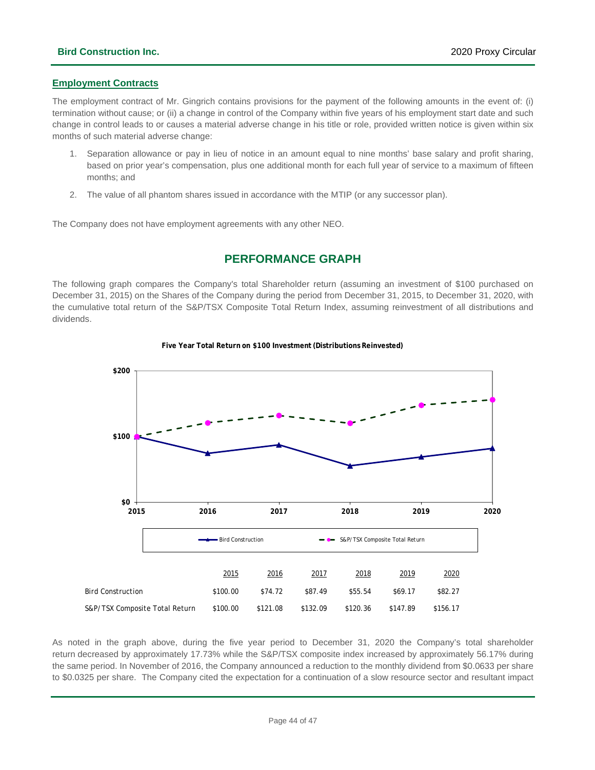### **Employment Contracts**

The employment contract of Mr. Gingrich contains provisions for the payment of the following amounts in the event of: (i) termination without cause; or (ii) a change in control of the Company within five years of his employment start date and such change in control leads to or causes a material adverse change in his title or role, provided written notice is given within six months of such material adverse change:

- 1. Separation allowance or pay in lieu of notice in an amount equal to nine months' base salary and profit sharing, based on prior year's compensation, plus one additional month for each full year of service to a maximum of fifteen months; and
- 2. The value of all phantom shares issued in accordance with the MTIP (or any successor plan).

<span id="page-43-0"></span>The Company does not have employment agreements with any other NEO.

### **PERFORMANCE GRAPH**

The following graph compares the Company's total Shareholder return (assuming an investment of \$100 purchased on December 31, 2015) on the Shares of the Company during the period from December 31, 2015, to December 31, 2020, with the cumulative total return of the S&P/TSX Composite Total Return Index, assuming reinvestment of all distributions and dividends.



#### **Five Year Total Return on \$100 Investment (Distributions Reinvested)**

As noted in the graph above, during the five year period to December 31, 2020 the Company's total shareholder return decreased by approximately 17.73% while the S&P/TSX composite index increased by approximately 56.17% during the same period. In November of 2016, the Company announced a reduction to the monthly dividend from \$0.0633 per share to \$0.0325 per share. The Company cited the expectation for a continuation of a slow resource sector and resultant impact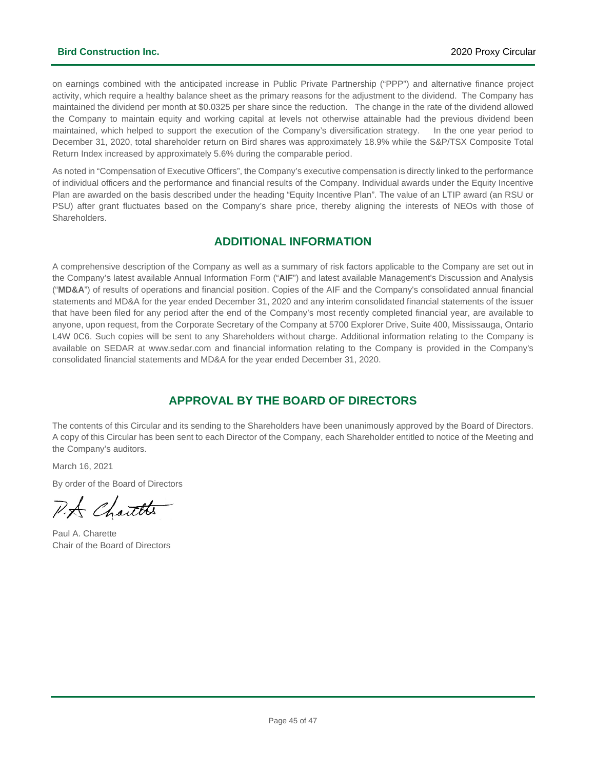on earnings combined with the anticipated increase in Public Private Partnership ("PPP") and alternative finance project activity, which require a healthy balance sheet as the primary reasons for the adjustment to the dividend. The Company has maintained the dividend per month at \$0.0325 per share since the reduction. The change in the rate of the dividend allowed the Company to maintain equity and working capital at levels not otherwise attainable had the previous dividend been maintained, which helped to support the execution of the Company's diversification strategy. In the one year period to December 31, 2020, total shareholder return on Bird shares was approximately 18.9% while the S&P/TSX Composite Total Return Index increased by approximately 5.6% during the comparable period.

As noted in "Compensation of Executive Officers", the Company's executive compensation is directly linked to the performance of individual officers and the performance and financial results of the Company. Individual awards under the Equity Incentive Plan are awarded on the basis described under the heading "Equity Incentive Plan". The value of an LTIP award (an RSU or PSU) after grant fluctuates based on the Company's share price, thereby aligning the interests of NEOs with those of Shareholders.

### <span id="page-44-1"></span>**ADDITIONAL INFORMATION**

<span id="page-44-0"></span>A comprehensive description of the Company as well as a summary of risk factors applicable to the Company are set out in the Company's latest available Annual Information Form ("**AIF**") and latest available Management's Discussion and Analysis ("**MD&A**") of results of operations and financial position. Copies of the AIF and the Company's consolidated annual financial statements and MD&A for the year ended December 31, 2020 and any interim consolidated financial statements of the issuer that have been filed for any period after the end of the Company's most recently completed financial year, are available to anyone, upon request, from the Corporate Secretary of the Company at 5700 Explorer Drive, Suite 400, Mississauga, Ontario L4W 0C6. Such copies will be sent to any Shareholders without charge. Additional information relating to the Company is available on SEDAR at www.sedar.com and financial information relating to the Company is provided in the Company's consolidated financial statements and MD&A for the year ended December 31, 2020.

### **APPROVAL BY THE BOARD OF DIRECTORS**

The contents of this Circular and its sending to the Shareholders have been unanimously approved by the Board of Directors. A copy of this Circular has been sent to each Director of the Company, each Shareholder entitled to notice of the Meeting and the Company's auditors.

March 16, 2021

By order of the Board of Directors

P.A Chautts

Paul A. Charette Chair of the Board of Directors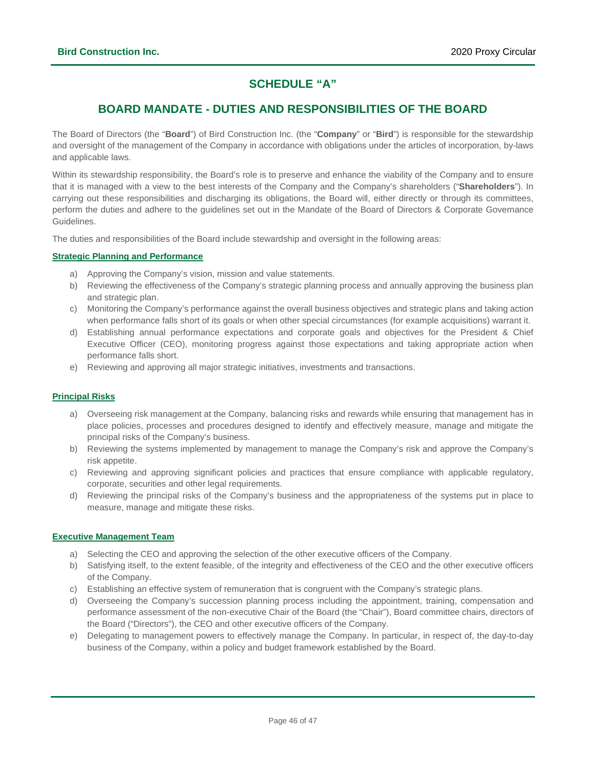### **SCHEDULE "A"**

### **BOARD MANDATE - DUTIES AND RESPONSIBILITIES OF THE BOARD**

<span id="page-45-0"></span>The Board of Directors (the "**Board**") of Bird Construction Inc. (the "**Company**" or "**Bird**") is responsible for the stewardship and oversight of the management of the Company in accordance with obligations under the articles of incorporation, by-laws and applicable laws.

Within its stewardship responsibility, the Board's role is to preserve and enhance the viability of the Company and to ensure that it is managed with a view to the best interests of the Company and the Company's shareholders ("**Shareholders**"). In carrying out these responsibilities and discharging its obligations, the Board will, either directly or through its committees, perform the duties and adhere to the guidelines set out in the Mandate of the Board of Directors & Corporate Governance Guidelines.

The duties and responsibilities of the Board include stewardship and oversight in the following areas:

### **Strategic Planning and Performance**

- a) Approving the Company's vision, mission and value statements.
- b) Reviewing the effectiveness of the Company's strategic planning process and annually approving the business plan and strategic plan.
- c) Monitoring the Company's performance against the overall business objectives and strategic plans and taking action when performance falls short of its goals or when other special circumstances (for example acquisitions) warrant it.
- d) Establishing annual performance expectations and corporate goals and objectives for the President & Chief Executive Officer (CEO), monitoring progress against those expectations and taking appropriate action when performance falls short.
- e) Reviewing and approving all major strategic initiatives, investments and transactions.

### **Principal Risks**

- a) Overseeing risk management at the Company, balancing risks and rewards while ensuring that management has in place policies, processes and procedures designed to identify and effectively measure, manage and mitigate the principal risks of the Company's business.
- b) Reviewing the systems implemented by management to manage the Company's risk and approve the Company's risk appetite.
- c) Reviewing and approving significant policies and practices that ensure compliance with applicable regulatory, corporate, securities and other legal requirements.
- d) Reviewing the principal risks of the Company's business and the appropriateness of the systems put in place to measure, manage and mitigate these risks.

### **Executive Management Team**

- a) Selecting the CEO and approving the selection of the other executive officers of the Company.
- b) Satisfying itself, to the extent feasible, of the integrity and effectiveness of the CEO and the other executive officers of the Company.
- c) Establishing an effective system of remuneration that is congruent with the Company's strategic plans.
- d) Overseeing the Company's succession planning process including the appointment, training, compensation and performance assessment of the non-executive Chair of the Board (the "Chair"), Board committee chairs, directors of the Board ("Directors"), the CEO and other executive officers of the Company.
- e) Delegating to management powers to effectively manage the Company. In particular, in respect of, the day-to-day business of the Company, within a policy and budget framework established by the Board.